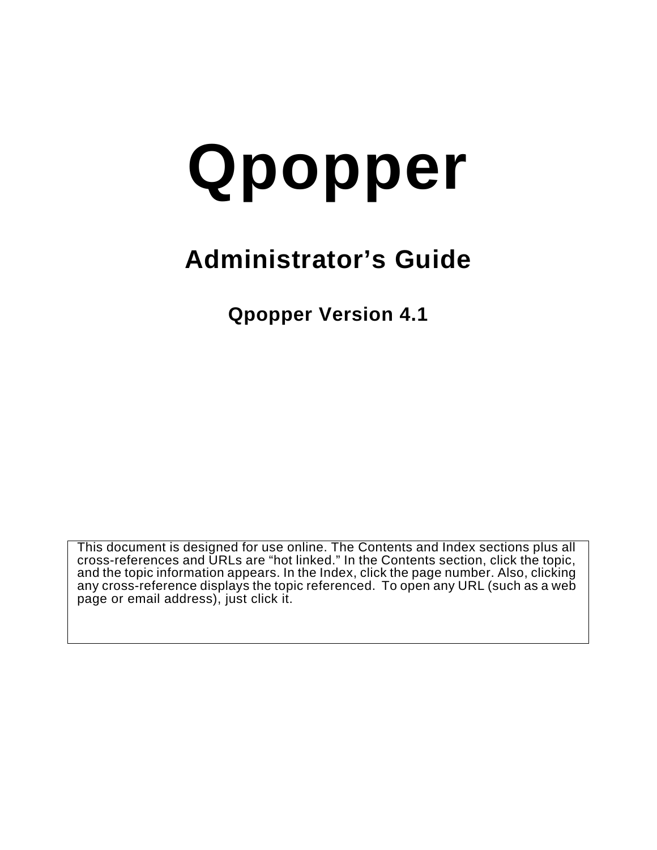# **Qpopper**

# **Administrator's Guide**

**Qpopper Version 4.1**

This document is designed for use online. The Contents and Index sections plus all cross-references and URLs are "hot linked." In the Contents section, click the topic, and the topic information appears. In the Index, click the page number. Also, clicking any cross-reference displays the topic referenced. To open any URL (such as a web page or email address), just click it.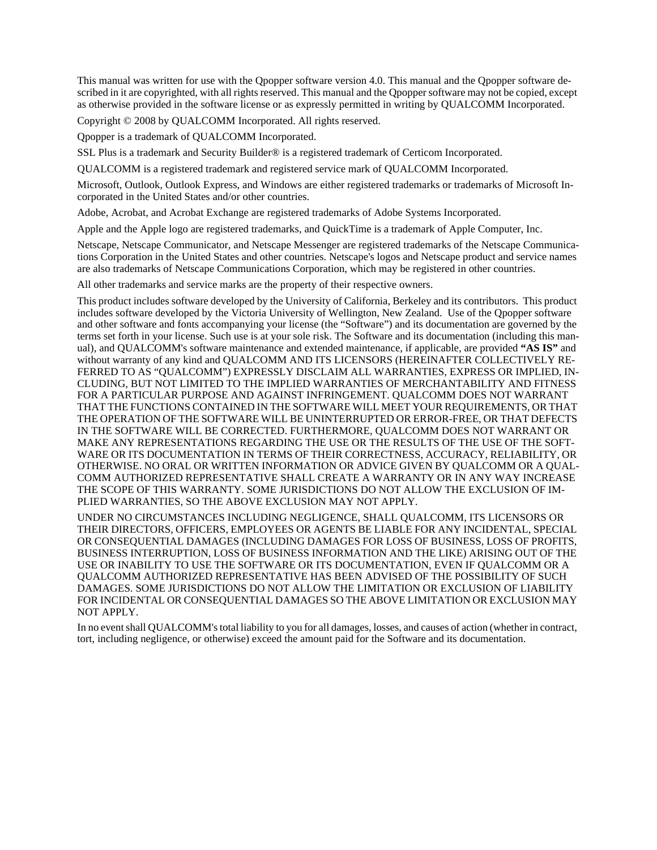This manual was written for use with the Qpopper software version 4.0. This manual and the Qpopper software described in it are copyrighted, with all rights reserved. This manual and the Qpopper software may not be copied, except as otherwise provided in the software license or as expressly permitted in writing by QUALCOMM Incorporated.

Copyright © 2008 by QUALCOMM Incorporated. All rights reserved.

Qpopper is a trademark of QUALCOMM Incorporated.

SSL Plus is a trademark and Security Builder® is a registered trademark of Certicom Incorporated.

QUALCOMM is a registered trademark and registered service mark of QUALCOMM Incorporated.

Microsoft, Outlook, Outlook Express, and Windows are either registered trademarks or trademarks of Microsoft Incorporated in the United States and/or other countries.

Adobe, Acrobat, and Acrobat Exchange are registered trademarks of Adobe Systems Incorporated.

Apple and the Apple logo are registered trademarks, and QuickTime is a trademark of Apple Computer, Inc.

Netscape, Netscape Communicator, and Netscape Messenger are registered trademarks of the Netscape Communications Corporation in the United States and other countries. Netscape's logos and Netscape product and service names are also trademarks of Netscape Communications Corporation, which may be registered in other countries.

All other trademarks and service marks are the property of their respective owners.

This product includes software developed by the University of California, Berkeley and its contributors. This product includes software developed by the Victoria University of Wellington, New Zealand. Use of the Qpopper software and other software and fonts accompanying your license (the "Software") and its documentation are governed by the terms set forth in your license. Such use is at your sole risk. The Software and its documentation (including this manual), and QUALCOMM's software maintenance and extended maintenance, if applicable, are provided **"AS IS"** and without warranty of any kind and QUALCOMM AND ITS LICENSORS (HEREINAFTER COLLECTIVELY RE-FERRED TO AS "QUALCOMM") EXPRESSLY DISCLAIM ALL WARRANTIES, EXPRESS OR IMPLIED, IN-CLUDING, BUT NOT LIMITED TO THE IMPLIED WARRANTIES OF MERCHANTABILITY AND FITNESS FOR A PARTICULAR PURPOSE AND AGAINST INFRINGEMENT. QUALCOMM DOES NOT WARRANT THAT THE FUNCTIONS CONTAINED IN THE SOFTWARE WILL MEET YOUR REQUIREMENTS, OR THAT THE OPERATION OF THE SOFTWARE WILL BE UNINTERRUPTED OR ERROR-FREE, OR THAT DEFECTS IN THE SOFTWARE WILL BE CORRECTED. FURTHERMORE, QUALCOMM DOES NOT WARRANT OR MAKE ANY REPRESENTATIONS REGARDING THE USE OR THE RESULTS OF THE USE OF THE SOFT-WARE OR ITS DOCUMENTATION IN TERMS OF THEIR CORRECTNESS, ACCURACY, RELIABILITY, OR OTHERWISE. NO ORAL OR WRITTEN INFORMATION OR ADVICE GIVEN BY QUALCOMM OR A QUAL-COMM AUTHORIZED REPRESENTATIVE SHALL CREATE A WARRANTY OR IN ANY WAY INCREASE THE SCOPE OF THIS WARRANTY. SOME JURISDICTIONS DO NOT ALLOW THE EXCLUSION OF IM-PLIED WARRANTIES, SO THE ABOVE EXCLUSION MAY NOT APPLY.

UNDER NO CIRCUMSTANCES INCLUDING NEGLIGENCE, SHALL QUALCOMM, ITS LICENSORS OR THEIR DIRECTORS, OFFICERS, EMPLOYEES OR AGENTS BE LIABLE FOR ANY INCIDENTAL, SPECIAL OR CONSEQUENTIAL DAMAGES (INCLUDING DAMAGES FOR LOSS OF BUSINESS, LOSS OF PROFITS, BUSINESS INTERRUPTION, LOSS OF BUSINESS INFORMATION AND THE LIKE) ARISING OUT OF THE USE OR INABILITY TO USE THE SOFTWARE OR ITS DOCUMENTATION, EVEN IF QUALCOMM OR A QUALCOMM AUTHORIZED REPRESENTATIVE HAS BEEN ADVISED OF THE POSSIBILITY OF SUCH DAMAGES. SOME JURISDICTIONS DO NOT ALLOW THE LIMITATION OR EXCLUSION OF LIABILITY FOR INCIDENTAL OR CONSEQUENTIAL DAMAGES SO THE ABOVE LIMITATION OR EXCLUSION MAY NOT APPLY.

In no event shall QUALCOMM's total liability to you for all damages, losses, and causes of action (whether in contract, tort, including negligence, or otherwise) exceed the amount paid for the Software and its documentation.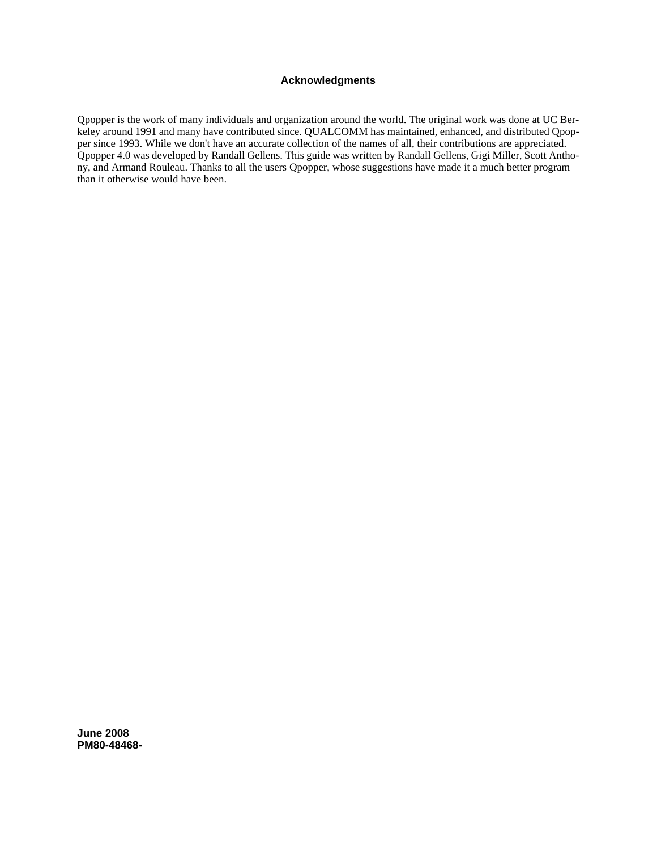## **Acknowledgments**

Qpopper is the work of many individuals and organization around the world. The original work was done at UC Berkeley around 1991 and many have contributed since. QUALCOMM has maintained, enhanced, and distributed Qpopper since 1993. While we don't have an accurate collection of the names of all, their contributions are appreciated. Qpopper 4.0 was developed by Randall Gellens. This guide was written by Randall Gellens, Gigi Miller, Scott Anthony, and Armand Rouleau. Thanks to all the users Qpopper, whose suggestions have made it a much better program than it otherwise would have been.

**June 2008 PM80-48468-**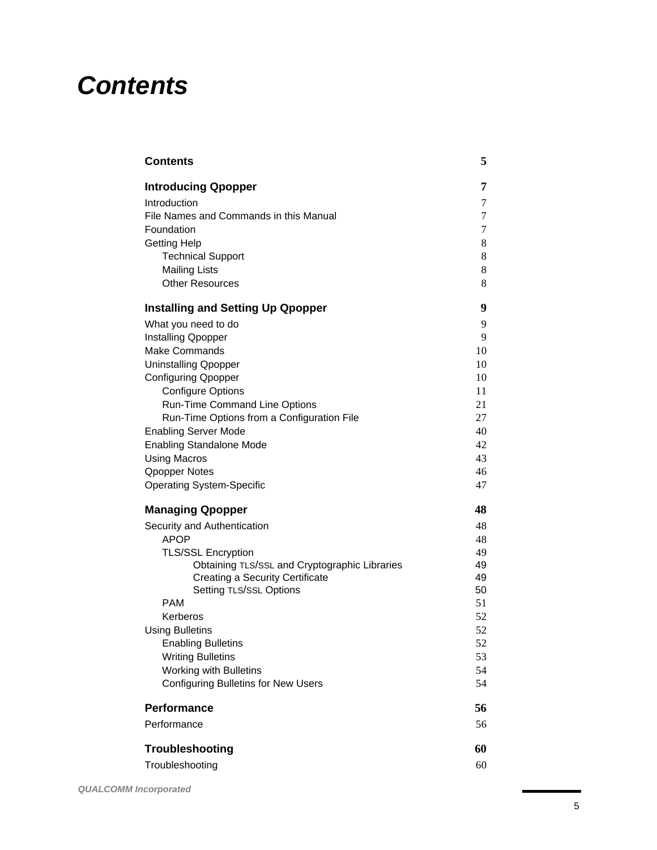# *Contents*

| <b>Contents</b>                                                   | 5        |
|-------------------------------------------------------------------|----------|
| <b>Introducing Qpopper</b>                                        | 7        |
| Introduction                                                      | 7        |
| File Names and Commands in this Manual                            | 7        |
| Foundation                                                        | 7        |
| <b>Getting Help</b>                                               | 8        |
| <b>Technical Support</b>                                          | 8        |
| <b>Mailing Lists</b>                                              | 8        |
| <b>Other Resources</b>                                            | 8        |
| <b>Installing and Setting Up Qpopper</b>                          | 9        |
| What you need to do                                               | 9        |
| Installing Qpopper                                                | 9        |
| <b>Make Commands</b>                                              | 10       |
| <b>Uninstalling Qpopper</b>                                       | 10       |
| <b>Configuring Qpopper</b>                                        | 10       |
| <b>Configure Options</b>                                          | 11       |
| Run-Time Command Line Options                                     | 21       |
| Run-Time Options from a Configuration File                        | 27       |
| <b>Enabling Server Mode</b>                                       | 40       |
| <b>Enabling Standalone Mode</b>                                   | 42       |
| <b>Using Macros</b>                                               | 43       |
| <b>Qpopper Notes</b>                                              | 46       |
| <b>Operating System-Specific</b>                                  | 47       |
| <b>Managing Qpopper</b>                                           | 48       |
| Security and Authentication                                       | 48       |
| <b>APOP</b>                                                       | 48       |
| <b>TLS/SSL Encryption</b>                                         | 49       |
| Obtaining TLS/SSL and Cryptographic Libraries                     | 49       |
| <b>Creating a Security Certificate</b><br>Setting TLS/SSL Options | 49       |
| PAM                                                               | 50<br>51 |
| Kerberos                                                          | 52       |
| <b>Using Bulletins</b>                                            | 52       |
| <b>Enabling Bulletins</b>                                         | 52       |
| <b>Writing Bulletins</b>                                          | 53       |
| Working with Bulletins                                            | 54       |
| <b>Configuring Bulletins for New Users</b>                        | 54       |
| Performance                                                       | 56       |
| Performance                                                       | 56       |
|                                                                   |          |
| Troubleshooting                                                   | 60       |
| Troubleshooting                                                   | 60       |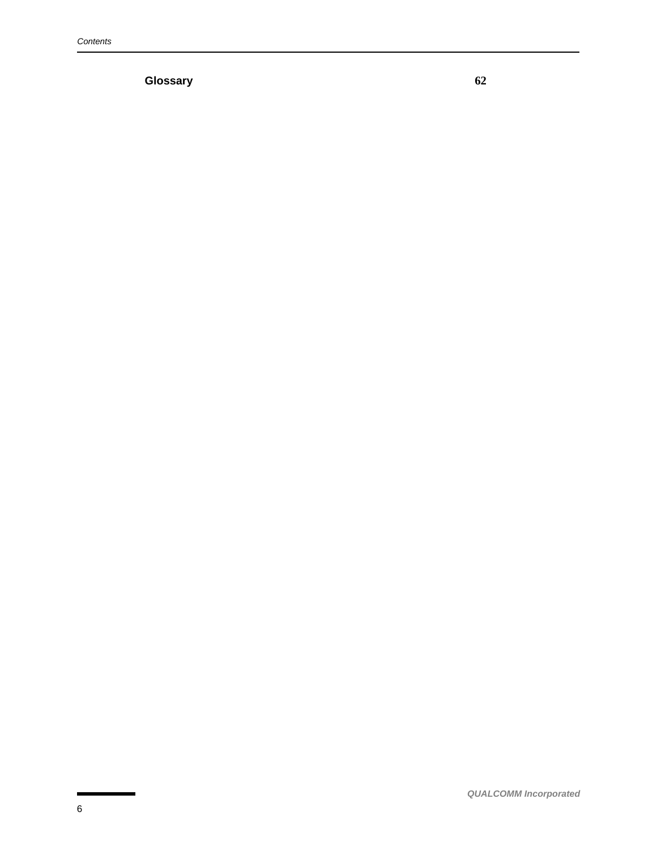**Glossary 62**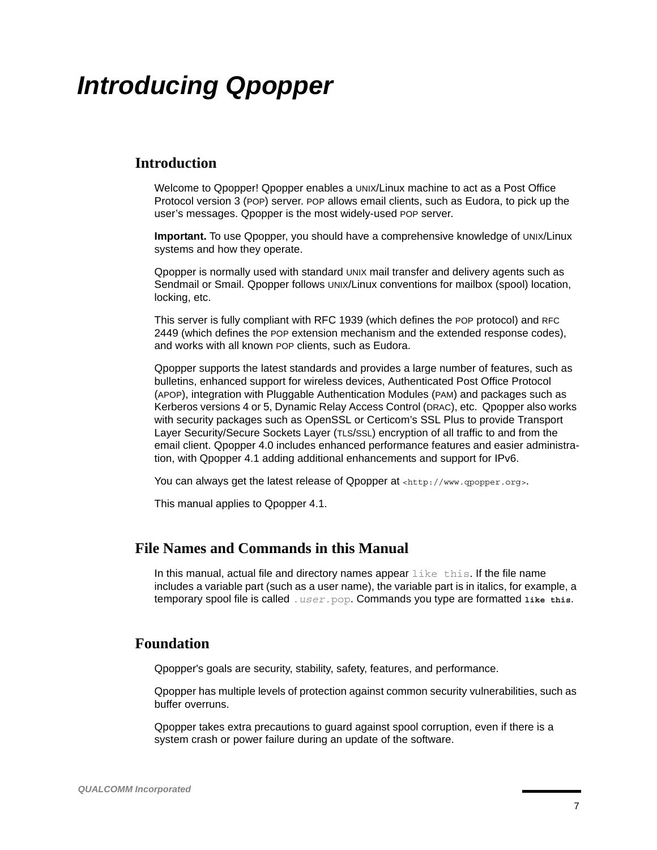# *Introducing Qpopper*

## **Introduction**

Welcome to Qpopper! Qpopper enables a UNIX/Linux machine to act as a Post Office Protocol version 3 (POP) server. POP allows email clients, such as Eudora, to pick up the user's messages. Qpopper is the most widely-used POP server.

**Important.** To use Qpopper, you should have a comprehensive knowledge of UNIX/Linux systems and how they operate.

Qpopper is normally used with standard UNIX mail transfer and delivery agents such as Sendmail or Smail. Qpopper follows UNIX/Linux conventions for mailbox (spool) location, locking, etc.

This server is fully compliant with RFC 1939 (which defines the POP protocol) and RFC 2449 (which defines the POP extension mechanism and the extended response codes), and works with all known POP clients, such as Eudora.

Qpopper supports the latest standards and provides a large number of features, such as bulletins, enhanced support for wireless devices, Authenticated Post Office Protocol (APOP), integration with Pluggable Authentication Modules (PAM) and packages such as Kerberos versions 4 or 5, Dynamic Relay Access Control (DRAC), etc. Qpopper also works with security packages such as OpenSSL or Certicom's SSL Plus to provide Transport Layer Security/Secure Sockets Layer (TLS/SSL) encryption of all traffic to and from the email client. Qpopper 4.0 includes enhanced performance features and easier administration, with Qpopper 4.1 adding additional enhancements and support for IPv6.

You can always get the latest release of Qpopper at [<http://www.qpopper.org>](http://www.qpopper.org).

This manual applies to Qpopper 4.1.

## **File Names and Commands in this Manual**

In this manual, actual file and directory names appear  $\exists$  ike this. If the file name includes a variable part (such as a user name), the variable part is in italics, for example, a temporary spool file is called .*user*.pop. Commands you type are formatted **like this**.

## **Foundation**

Qpopper's goals are security, stability, safety, features, and performance.

Qpopper has multiple levels of protection against common security vulnerabilities, such as buffer overruns.

Qpopper takes extra precautions to guard against spool corruption, even if there is a system crash or power failure during an update of the software.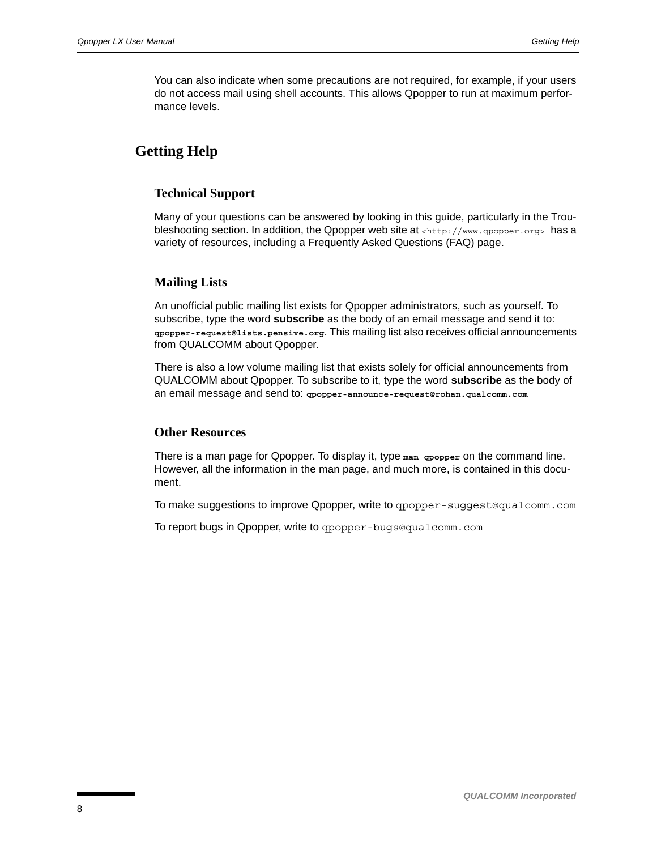You can also indicate when some precautions are not required, for example, if your users do not access mail using shell accounts. This allows Qpopper to run at maximum performance levels.

## **Getting Help**

#### **Technical Support**

Many of your questions can be answered by looking in this guide, particularly in the Trou-bleshooting section. In addition, the Qpopper web site at [<http://www.qpopper.org>](http://www.qpopper.org) has a variety of resources, including a Frequently Asked Questions (FAQ) page.

#### **Mailing Lists**

An unofficial public mailing list exists for Qpopper administrators, such as yourself. To subscribe, type the word **subscribe** as the body of an email message and send it to: **[qpopper-request@lists.pensive.org](mailto:qpopper-request@lists.pensive.org?body=subscribe)**. This mailing list also receives official announcements from QUALCOMM about Qpopper.

There is also a low volume mailing list that exists solely for official announcements from QUALCOMM about Qpopper. To subscribe to it, type the word **subscribe** as the body of an email message and send to: **[qpopper-announce-request@rohan.qualcomm.com](mailto:qpopper-announce-request@rohan.qualcomm.com?body=subscribe)**

#### **Other Resources**

There is a man page for Qpopper. To display it, type **man qpopper** on the command line. However, all the information in the man page, and much more, is contained in this document.

To make suggestions to improve Qpopper, write to [qpopper-suggest@qualcomm.com](mailto:qpopper-suggest@qualcomm.com)

To report bugs in Qpopper, write to [qpopper-bugs@qualcomm.com](mailto:qpopper-bugs@qualcomm.com)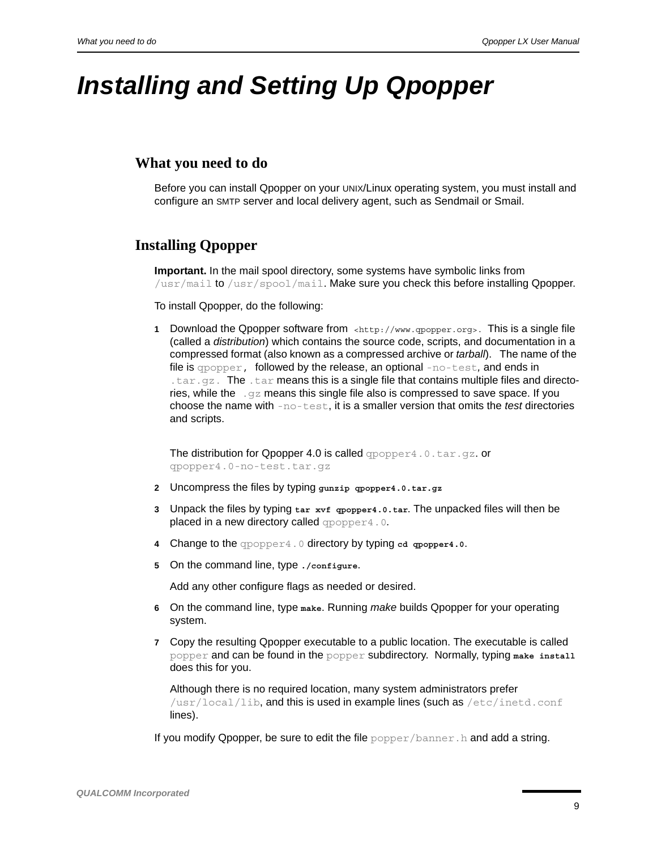# *Installing and Setting Up Qpopper*

## **What you need to do**

Before you can install Qpopper on your UNIX/Linux operating system, you must install and configure an SMTP server and local delivery agent, such as Sendmail or Smail.

## **Installing Qpopper**

**Important.** In the mail spool directory, some systems have symbolic links from /usr/mail to /usr/spool/mail. Make sure you check this before installing Qpopper.

To install Qpopper, do the following:

**1** Download the Qpopper software from  $\langle \text{http://www.gopper.org/} \rangle$ . This is a single file (called a *distribution*) which contains the source code, scripts, and documentation in a compressed format (also known as a compressed archive or *tarball*). The name of the file is qpopper, followed by the release, an optional -no-test*,* and ends in .tar.gz. The .tar means this is a single file that contains multiple files and directories, while the  $\log z$  means this single file also is compressed to save space. If you choose the name with -no-test, it is a smaller version that omits the *test* directories and scripts.

The distribution for Qpopper 4.0 is called  $q$ popper4.0.tar.gz.or qpopper4.0-no-test.tar.gz

- **2** Uncompress the files by typing **gunzip qpopper4.0.tar.gz**
- **3** Unpack the files by typing **tar xvf qpopper4.0.tar**. The unpacked files will then be placed in a new directory called qpopper4.0*.*
- **4** Change to the qpopper4.0 directory by typing **cd qpopper4.0**.
- **5** On the command line, type **./configure**.

Add any other configure flags as needed or desired.

- **6** On the command line, type **make**. Running *make* builds Qpopper for your operating system.
- **7** Copy the resulting Qpopper executable to a public location. The executable is called popper and can be found in the popper subdirectory. Normally, typing **make install** does this for you.

Although there is no required location, many system administrators prefer /usr/local/lib, and this is used in example lines (such as /etc/inetd.conf lines).

If you modify Qpopper, be sure to edit the file  $popper/banner$ . h and add a string.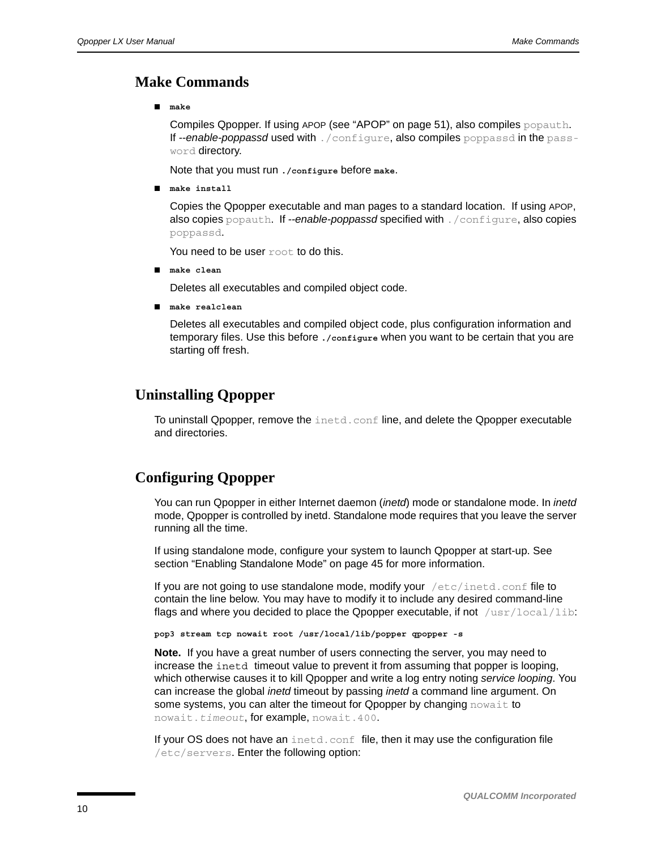## **Make Commands**

■ **make**

Compiles Qpopper. If using APOP (see ["APOP" on page 51\)](#page-50-0), also compiles popauth. If *--enable-poppassd* used with ./configure, also compiles poppassd in the password directory.

Note that you must run **./configure** before **make**.

■ **make install**

Copies the Qpopper executable and man pages to a standard location. If using APOP, also copies popauth. If *--enable-poppassd* specified with ./configure, also copies poppassd.

You need to be user root to do this.

■ **make clean**

Deletes all executables and compiled object code.

■ **make realclean**

Deletes all executables and compiled object code, plus configuration information and temporary files. Use this before **./configure** when you want to be certain that you are starting off fresh.

## **Uninstalling Qpopper**

To uninstall Qpopper, remove the  ${\tt inetd.conf}$  line, and delete the Qpopper executable and directories.

## **Configuring Qpopper**

You can run Qpopper in either Internet daemon (*inetd*) mode or standalone mode. In *inetd* mode, Qpopper is controlled by inetd. Standalone mode requires that you leave the server running all the time.

If using standalone mode, configure your system to launch Qpopper at start-up. See section ["Enabling Standalone Mode" on page 45](#page-44-0) for more information.

If you are not going to use standalone mode, modify your  $/etc/inetd.comf$  file to contain the line below. You may have to modify it to include any desired command-line flags and where you decided to place the Qpopper executable, if not  $/\text{usr}/\text{local}/\text{lib}$ :

**pop3 stream tcp nowait root /usr/local/lib/popper qpopper -s**

**Note.** If you have a great number of users connecting the server, you may need to increase the inetd timeout value to prevent it from assuming that popper is looping, which otherwise causes it to kill Qpopper and write a log entry noting *service looping*. You can increase the global *inetd* timeout by passing *inetd* a command line argument. On some systems, you can alter the timeout for Qpopper by changing nowait to nowait.*timeout*, for example, nowait.400.

If your OS does not have an inetd.conf file, then it may use the configuration file  $/$ etc/servers. Enter the following option: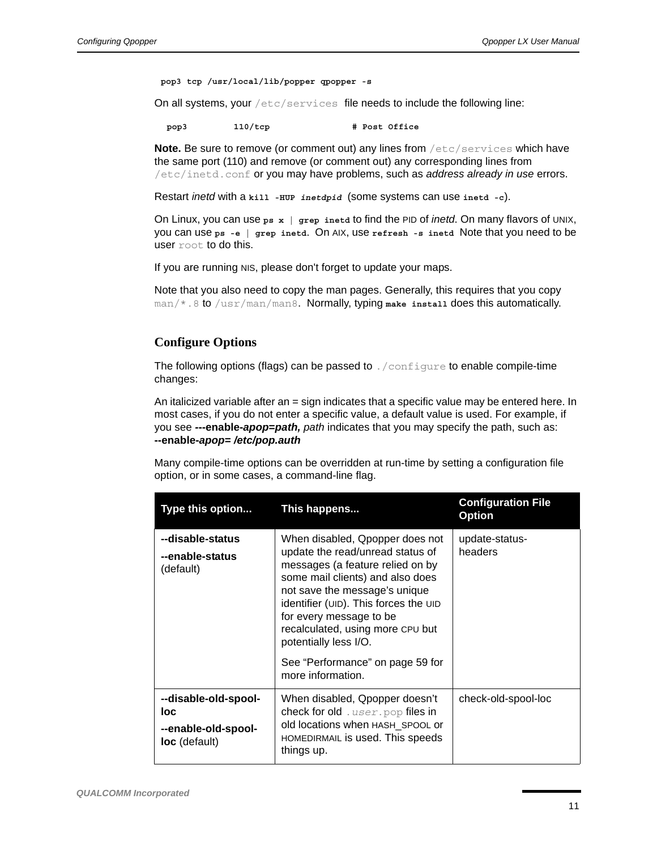**pop3 tcp /usr/local/lib/popper qpopper -s**

On all systems, your /etc/services file needs to include the following line:

pop3 110/tcp # Post Office

**Note.** Be sure to remove (or comment out) any lines from /etc/services which have the same port (110) and remove (or comment out) any corresponding lines from /etc/inetd.conf or you may have problems, such as *address already in use* errors.

Restart *inetd* with a kill -HUP *inetdpid* (some systems can use inetd -c).

On Linux, you can use **ps x | grep inetd** to find the PID of *inetd*. On many flavors of UNIX, you can use **ps -e | grep inetd**. On AIX, use **refresh -s inetd** Note that you need to be user root to do this.

If you are running NIS, please don't forget to update your maps.

Note that you also need to copy the man pages. Generally, this requires that you copy man/\*.8 to /usr/man/man8. Normally, typing **make install** does this automatically.

#### <span id="page-10-0"></span>**Configure Options**

The following options (flags) can be passed to . /configure to enable compile-time changes:

An italicized variable after an = sign indicates that a specific value may be entered here. In most cases, if you do not enter a specific value, a default value is used. For example, if you see *-***--enable-***apop***=***path, path* indicates that you may specify the path, such as: **--enable-***apop***=** */etc/pop.auth*

Many compile-time options can be overridden at run-time by setting a configuration file option, or in some cases, a command-line flag.

| Type this option                                                    | This happens                                                                                                                                                                                                                                                                                                                                                           | <b>Configuration File</b><br><b>Option</b> |
|---------------------------------------------------------------------|------------------------------------------------------------------------------------------------------------------------------------------------------------------------------------------------------------------------------------------------------------------------------------------------------------------------------------------------------------------------|--------------------------------------------|
| --disable-status<br>--enable-status<br>(default)                    | When disabled, Qpopper does not<br>update the read/unread status of<br>messages (a feature relied on by<br>some mail clients) and also does<br>not save the message's unique<br>identifier (UID). This forces the UID<br>for every message to be<br>recalculated, using more CPU but<br>potentially less I/O.<br>See "Performance" on page 59 for<br>more information. | update-status-<br>headers                  |
| --disable-old-spool-<br>loc<br>--enable-old-spool-<br>loc (default) | When disabled, Qpopper doesn't<br><b>check for old</b> . user. pop files in<br>old locations when HASH_SPOOL or<br>HOMEDIRMAIL is used. This speeds<br>things up.                                                                                                                                                                                                      | check-old-spool-loc                        |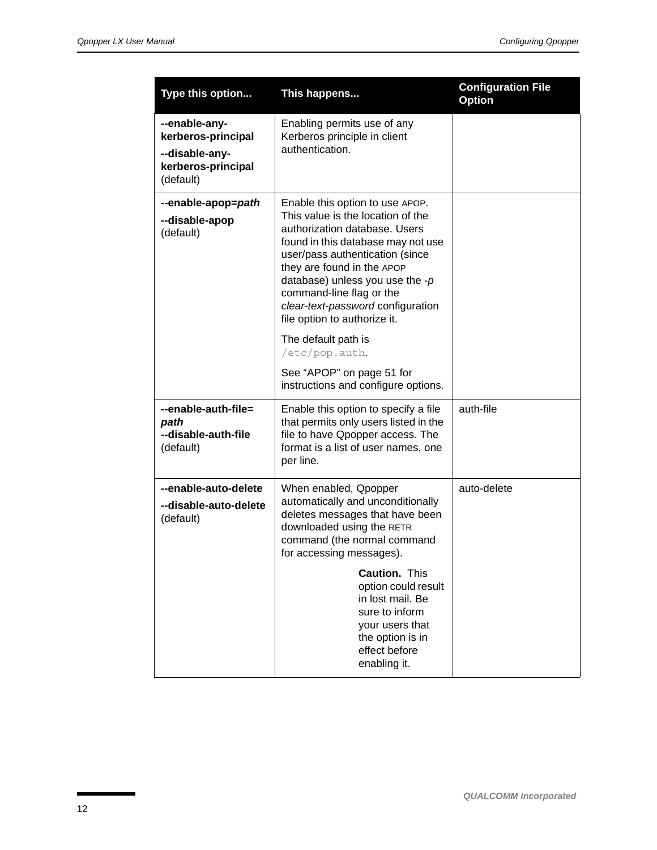| Type this option                                                                         | This happens                                                                                                                                                                                                                                                                                                                                                                                                                                                    | <b>Configuration File</b><br><b>Option</b> |
|------------------------------------------------------------------------------------------|-----------------------------------------------------------------------------------------------------------------------------------------------------------------------------------------------------------------------------------------------------------------------------------------------------------------------------------------------------------------------------------------------------------------------------------------------------------------|--------------------------------------------|
| --enable-any-<br>kerberos-principal<br>--disable-any-<br>kerberos-principal<br>(default) | Enabling permits use of any<br>Kerberos principle in client<br>authentication.                                                                                                                                                                                                                                                                                                                                                                                  |                                            |
| --enable-apop=path<br>--disable-apop<br>(default)                                        | Enable this option to use APOP.<br>This value is the location of the<br>authorization database. Users<br>found in this database may not use<br>user/pass authentication (since<br>they are found in the APOP<br>database) unless you use the $-p$<br>command-line flag or the<br>clear-text-password configuration<br>file option to authorize it.<br>The default path is<br>/etc/pop.auth.<br>See "APOP" on page 51 for<br>instructions and configure options. |                                            |
| --enable-auth-file=<br>path<br>--disable-auth-file<br>(default)                          | Enable this option to specify a file<br>that permits only users listed in the<br>file to have Qpopper access. The<br>format is a list of user names, one<br>per line.                                                                                                                                                                                                                                                                                           | auth-file                                  |
| --enable-auto-delete<br>--disable-auto-delete<br>(default)                               | When enabled, Qpopper<br>automatically and unconditionally<br>deletes messages that have been<br>downloaded using the RETR<br>command (the normal command<br>for accessing messages).                                                                                                                                                                                                                                                                           | auto-delete                                |
|                                                                                          | <b>Caution. This</b><br>option could result<br>in lost mail. Be<br>sure to inform<br>your users that<br>the option is in<br>effect before<br>enabling it.                                                                                                                                                                                                                                                                                                       |                                            |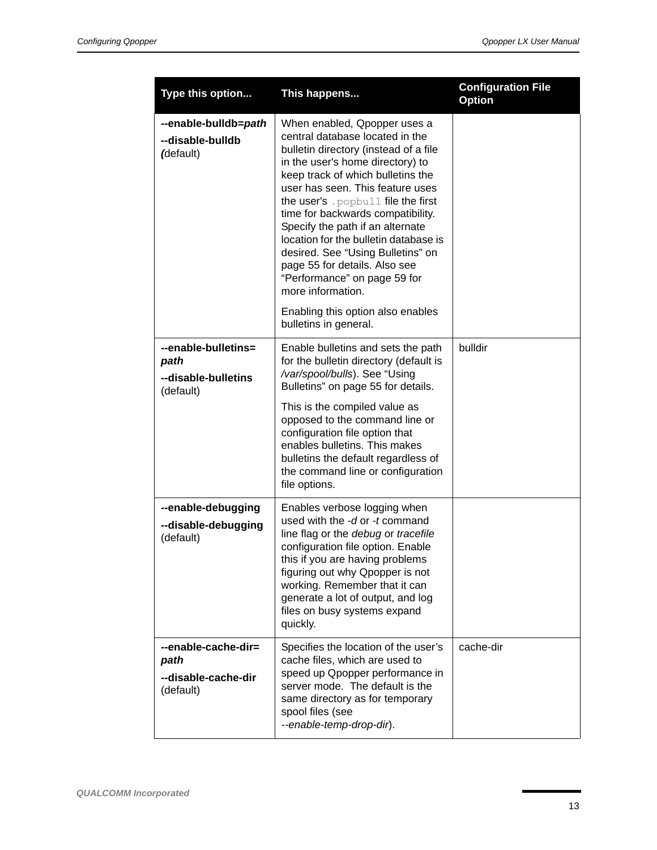| Type this option                                                | This happens                                                                                                                                                                                                                                                                                                                                                                                                                                                                                                                                   | <b>Configuration File</b><br><b>Option</b> |
|-----------------------------------------------------------------|------------------------------------------------------------------------------------------------------------------------------------------------------------------------------------------------------------------------------------------------------------------------------------------------------------------------------------------------------------------------------------------------------------------------------------------------------------------------------------------------------------------------------------------------|--------------------------------------------|
| --enable-bulldb=path<br>--disable-bulldb<br>(default)           | When enabled, Qpopper uses a<br>central database located in the<br>bulletin directory (instead of a file<br>in the user's home directory) to<br>keep track of which bulletins the<br>user has seen. This feature uses<br>the user's . popbull file the first<br>time for backwards compatibility.<br>Specify the path if an alternate<br>location for the bulletin database is<br>desired. See "Using Bulletins" on<br>page 55 for details. Also see<br>"Performance" on page 59 for<br>more information.<br>Enabling this option also enables |                                            |
|                                                                 | bulletins in general.                                                                                                                                                                                                                                                                                                                                                                                                                                                                                                                          |                                            |
| --enable-bulletins=<br>path<br>--disable-bulletins<br>(default) | Enable bulletins and sets the path<br>for the bulletin directory (default is<br>/var/spool/bulls). See "Using<br>Bulletins" on page 55 for details.                                                                                                                                                                                                                                                                                                                                                                                            | bulldir                                    |
|                                                                 | This is the compiled value as<br>opposed to the command line or<br>configuration file option that<br>enables bulletins. This makes<br>bulletins the default regardless of<br>the command line or configuration<br>file options.                                                                                                                                                                                                                                                                                                                |                                            |
| --enable-debugging<br>--disable-debugging<br>(default)          | Enables verbose logging when<br>used with the -d or -t command<br>line flag or the debug or tracefile<br>configuration file option. Enable<br>this if you are having problems<br>figuring out why Qpopper is not<br>working. Remember that it can<br>generate a lot of output, and log<br>files on busy systems expand<br>quickly.                                                                                                                                                                                                             |                                            |
| --enable-cache-dir=<br>path<br>--disable-cache-dir<br>(default) | Specifies the location of the user's<br>cache files, which are used to<br>speed up Qpopper performance in<br>server mode. The default is the<br>same directory as for temporary<br>spool files (see<br>--enable-temp-drop-dir).                                                                                                                                                                                                                                                                                                                | cache-dir                                  |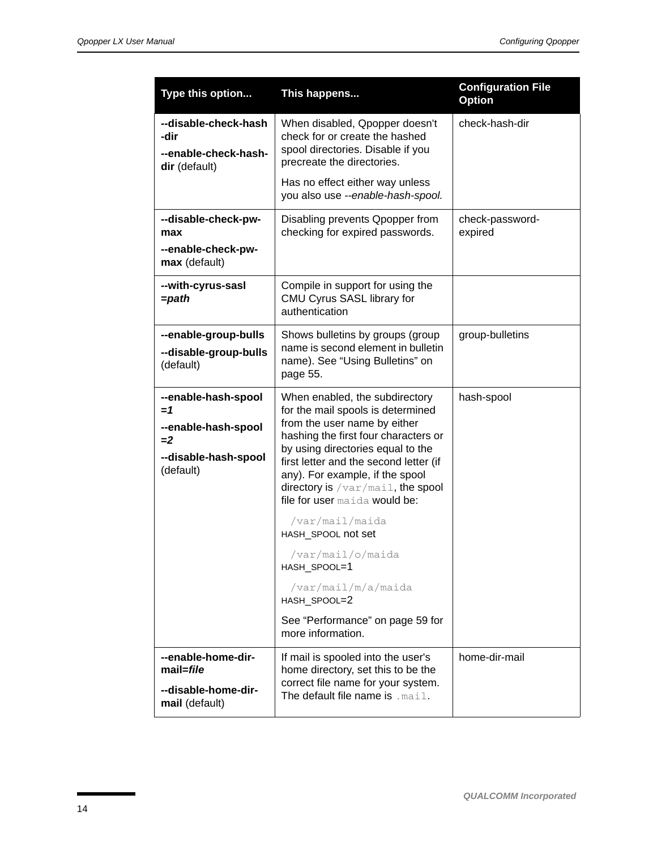| Type this option                                                                                 | This happens                                                                                                                                                                                                                                                                                                                                                                                                                                                                                                      | <b>Configuration File</b><br><b>Option</b> |
|--------------------------------------------------------------------------------------------------|-------------------------------------------------------------------------------------------------------------------------------------------------------------------------------------------------------------------------------------------------------------------------------------------------------------------------------------------------------------------------------------------------------------------------------------------------------------------------------------------------------------------|--------------------------------------------|
| --disable-check-hash<br>-dir<br>--enable-check-hash-<br>dir (default)                            | When disabled, Qpopper doesn't<br>check for or create the hashed<br>spool directories. Disable if you<br>precreate the directories.                                                                                                                                                                                                                                                                                                                                                                               | check-hash-dir                             |
|                                                                                                  | Has no effect either way unless<br>you also use --enable-hash-spool.                                                                                                                                                                                                                                                                                                                                                                                                                                              |                                            |
| --disable-check-pw-<br>max                                                                       | Disabling prevents Qpopper from<br>checking for expired passwords.                                                                                                                                                                                                                                                                                                                                                                                                                                                | check-password-<br>expired                 |
| --enable-check-pw-<br>max (default)                                                              |                                                                                                                                                                                                                                                                                                                                                                                                                                                                                                                   |                                            |
| --with-cyrus-sasl<br>$=$ path                                                                    | Compile in support for using the<br>CMU Cyrus SASL library for<br>authentication                                                                                                                                                                                                                                                                                                                                                                                                                                  |                                            |
| --enable-group-bulls<br>--disable-group-bulls<br>(default)                                       | Shows bulletins by groups (group<br>name is second element in bulletin<br>name). See "Using Bulletins" on<br>page 55.                                                                                                                                                                                                                                                                                                                                                                                             | group-bulletins                            |
| --enable-hash-spool<br>$=1$<br>--enable-hash-spool<br>$= 2$<br>--disable-hash-spool<br>(default) | When enabled, the subdirectory<br>for the mail spools is determined<br>from the user name by either<br>hashing the first four characters or<br>by using directories equal to the<br>first letter and the second letter (if<br>any). For example, if the spool<br>directory is /var/mail, the spool<br>file for user maida would be:<br>/var/mail/maida<br>HASH SPOOL not set<br>/var/mail/o/maida<br>HASH_SPOOL=1<br>/var/mail/m/a/maida<br>HASH SPOOL=2<br>See "Performance" on page 59 for<br>more information. | hash-spool                                 |
| --enable-home-dir-<br>mail=file<br>--disable-home-dir-<br>mail (default)                         | If mail is spooled into the user's<br>home directory, set this to be the<br>correct file name for your system.<br>The default file name is . mail.                                                                                                                                                                                                                                                                                                                                                                | home-dir-mail                              |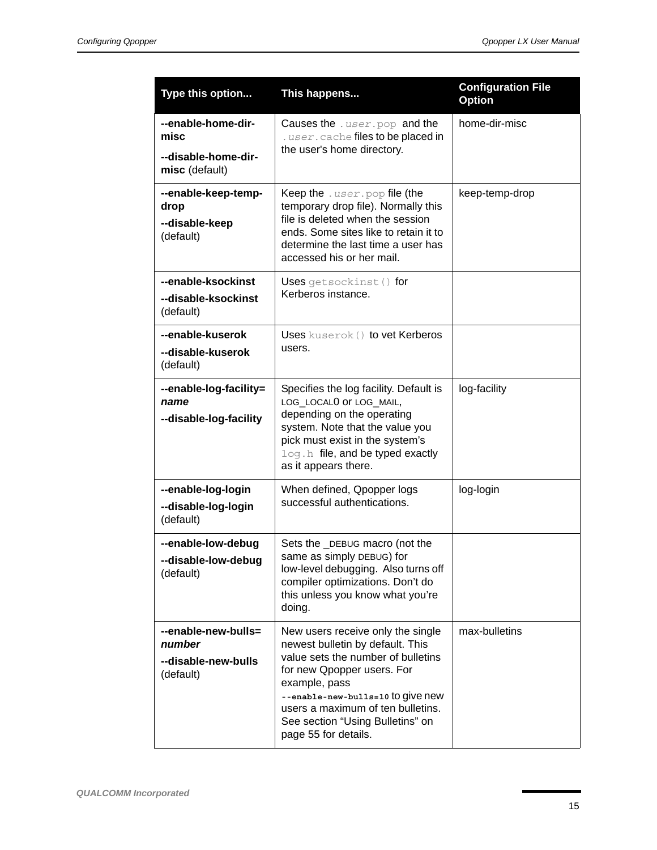| Type this option                                                    | This happens                                                                                                                                                                                                                                                                                     | <b>Configuration File</b><br><b>Option</b> |
|---------------------------------------------------------------------|--------------------------------------------------------------------------------------------------------------------------------------------------------------------------------------------------------------------------------------------------------------------------------------------------|--------------------------------------------|
| --enable-home-dir-<br>misc<br>--disable-home-dir-<br>misc (default) | Causes the . user. pop and the<br>. user. cache files to be placed in<br>the user's home directory.                                                                                                                                                                                              | home-dir-misc                              |
| --enable-keep-temp-<br>drop<br>--disable-keep<br>(default)          | Keep the $user.pop$ file (the<br>temporary drop file). Normally this<br>file is deleted when the session<br>ends. Some sites like to retain it to<br>determine the last time a user has<br>accessed his or her mail.                                                                             | keep-temp-drop                             |
| --enable-ksockinst<br>--disable-ksockinst<br>(default)              | Uses getsockinst () for<br>Kerberos instance.                                                                                                                                                                                                                                                    |                                            |
| --enable-kuserok<br>--disable-kuserok<br>(default)                  | Uses kuserok () to vet Kerberos<br>users.                                                                                                                                                                                                                                                        |                                            |
| --enable-log-facility=<br>name<br>--disable-log-facility            | Specifies the log facility. Default is<br>LOG_LOCALO Or LOG_MAIL,<br>depending on the operating<br>system. Note that the value you<br>pick must exist in the system's<br>log.h file, and be typed exactly<br>as it appears there.                                                                | log-facility                               |
| --enable-log-login<br>--disable-log-login<br>(default)              | When defined, Qpopper logs<br>successful authentications.                                                                                                                                                                                                                                        | log-login                                  |
| --enable-low-debug<br>--disable-low-debug<br>(default)              | Sets the _DEBUG macro (not the<br>same as simply DEBUG) for<br>low-level debugging. Also turns off<br>compiler optimizations. Don't do<br>this unless you know what you're<br>doing.                                                                                                             |                                            |
| --enable-new-bulls=<br>number<br>--disable-new-bulls<br>(default)   | New users receive only the single<br>newest bulletin by default. This<br>value sets the number of bulletins<br>for new Qpopper users. For<br>example, pass<br>--enable-new-bulls=10 to give new<br>users a maximum of ten bulletins.<br>See section "Using Bulletins" on<br>page 55 for details. | max-bulletins                              |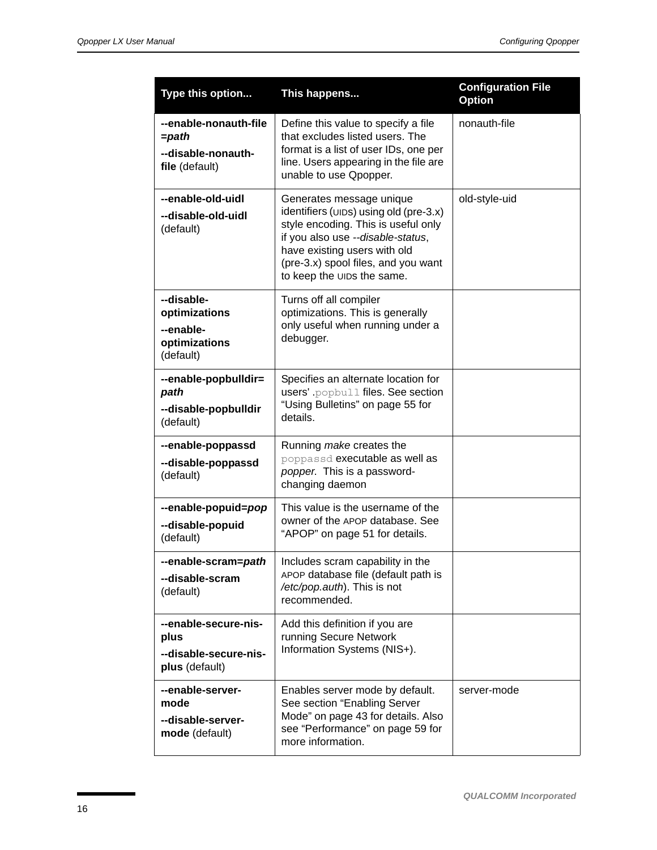| Type this option                                                          | This happens                                                                                                                                                                                                                                        | <b>Configuration File</b><br><b>Option</b> |
|---------------------------------------------------------------------------|-----------------------------------------------------------------------------------------------------------------------------------------------------------------------------------------------------------------------------------------------------|--------------------------------------------|
| --enable-nonauth-file<br>$=$ path<br>--disable-nonauth-<br>file (default) | Define this value to specify a file<br>that excludes listed users. The<br>format is a list of user IDs, one per<br>line. Users appearing in the file are<br>unable to use Qpopper.                                                                  | nonauth-file                               |
| --enable-old-uidl<br>--disable-old-uidl<br>(default)                      | Generates message unique<br>identifiers (UIDS) using old (pre-3.x)<br>style encoding. This is useful only<br>if you also use --disable-status,<br>have existing users with old<br>(pre-3.x) spool files, and you want<br>to keep the UIDs the same. | old-style-uid                              |
| --disable-<br>optimizations<br>--enable-<br>optimizations<br>(default)    | Turns off all compiler<br>optimizations. This is generally<br>only useful when running under a<br>debugger.                                                                                                                                         |                                            |
| --enable-popbulldir=<br>path<br>--disable-popbulldir<br>(default)         | Specifies an alternate location for<br>users' popbull files. See section<br>"Using Bulletins" on page 55 for<br>details.                                                                                                                            |                                            |
| --enable-poppassd<br>--disable-poppassd<br>(default)                      | Running make creates the<br>poppassd executable as well as<br>popper. This is a password-<br>changing daemon                                                                                                                                        |                                            |
| --enable-popuid=pop<br>--disable-popuid<br>(default)                      | This value is the username of the<br>owner of the APOP database. See<br>"APOP" on page 51 for details.                                                                                                                                              |                                            |
| --enable-scram=path<br>--disable-scram<br>(default)                       | Includes scram capability in the<br>APOP database file (default path is<br>/etc/pop.auth). This is not<br>recommended.                                                                                                                              |                                            |
| --enable-secure-nis-<br>plus<br>--disable-secure-nis-<br>plus (default)   | Add this definition if you are<br>running Secure Network<br>Information Systems (NIS+).                                                                                                                                                             |                                            |
| --enable-server-<br>mode<br>--disable-server-<br>mode (default)           | Enables server mode by default.<br>See section "Enabling Server<br>Mode" on page 43 for details. Also<br>see "Performance" on page 59 for<br>more information.                                                                                      | server-mode                                |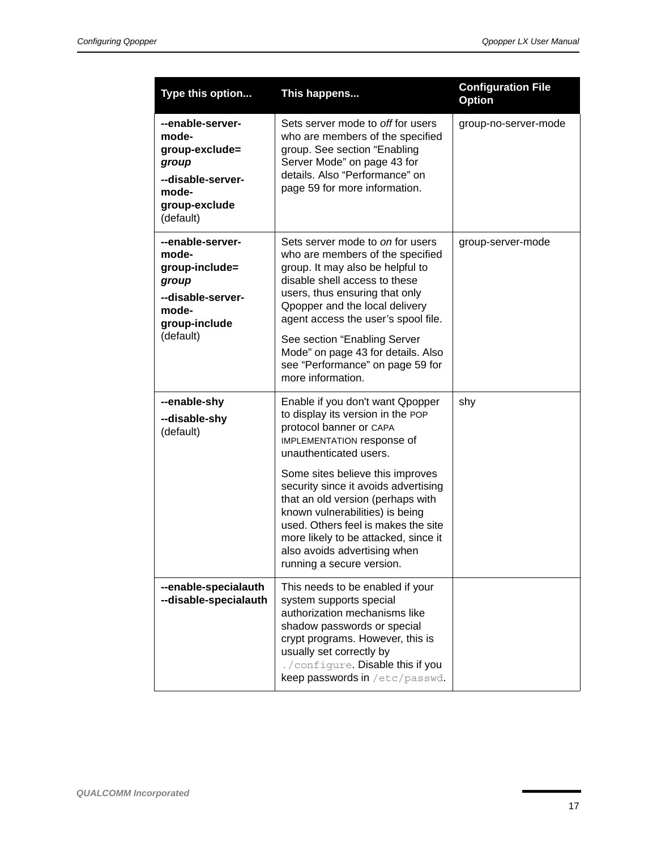| Type this option                                                                                                 | This happens                                                                                                                                                                                                                                                                                                                                                                                                                                             | <b>Configuration File</b><br><b>Option</b> |
|------------------------------------------------------------------------------------------------------------------|----------------------------------------------------------------------------------------------------------------------------------------------------------------------------------------------------------------------------------------------------------------------------------------------------------------------------------------------------------------------------------------------------------------------------------------------------------|--------------------------------------------|
| --enable-server-<br>mode-<br>group-exclude=<br>group<br>--disable-server-<br>mode-<br>group-exclude<br>(default) | Sets server mode to off for users<br>who are members of the specified<br>group. See section "Enabling<br>Server Mode" on page 43 for<br>details. Also "Performance" on<br>page 59 for more information.                                                                                                                                                                                                                                                  | group-no-server-mode                       |
| --enable-server-<br>mode-<br>group-include=<br>group<br>--disable-server-<br>mode-<br>group-include<br>(default) | Sets server mode to on for users<br>who are members of the specified<br>group. It may also be helpful to<br>disable shell access to these<br>users, thus ensuring that only<br>Opopper and the local delivery<br>agent access the user's spool file.<br>See section "Enabling Server<br>Mode" on page 43 for details. Also<br>see "Performance" on page 59 for<br>more information.                                                                      | group-server-mode                          |
| --enable-shy<br>--disable-shy<br>(default)                                                                       | Enable if you don't want Qpopper<br>to display its version in the POP<br>protocol banner or CAPA<br>IMPLEMENTATION response of<br>unauthenticated users.<br>Some sites believe this improves<br>security since it avoids advertising<br>that an old version (perhaps with<br>known vulnerabilities) is being<br>used. Others feel is makes the site<br>more likely to be attacked, since it<br>also avoids advertising when<br>running a secure version. | shy                                        |
| --enable-specialauth<br>--disable-specialauth                                                                    | This needs to be enabled if your<br>system supports special<br>authorization mechanisms like<br>shadow passwords or special<br>crypt programs. However, this is<br>usually set correctly by<br>./configure. Disable this if you<br>keep passwords in /etc/passwd.                                                                                                                                                                                        |                                            |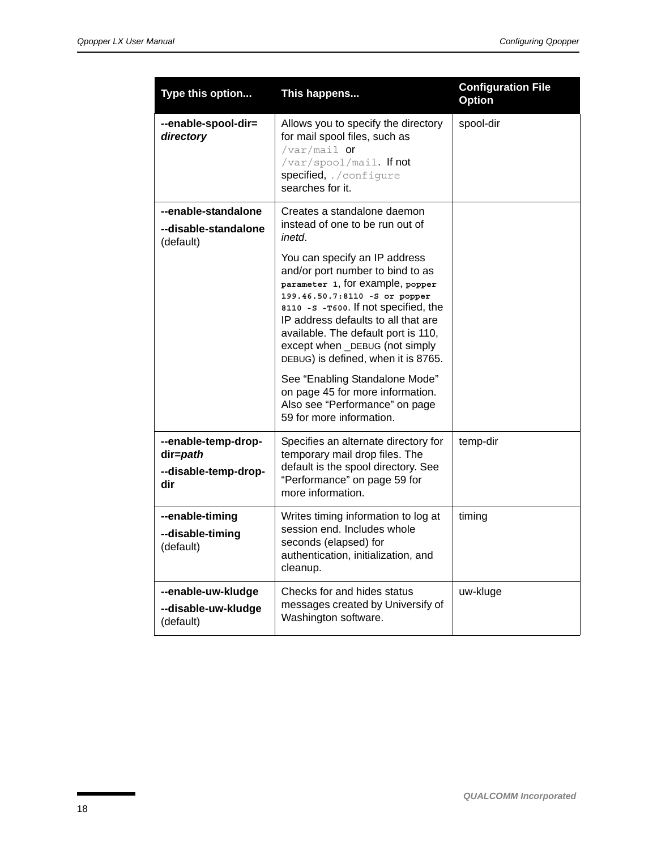| Type this option                                               | This happens                                                                                                                                                                                                                                                                                                                                                                                                                                                                                                                                            | <b>Configuration File</b><br><b>Option</b> |
|----------------------------------------------------------------|---------------------------------------------------------------------------------------------------------------------------------------------------------------------------------------------------------------------------------------------------------------------------------------------------------------------------------------------------------------------------------------------------------------------------------------------------------------------------------------------------------------------------------------------------------|--------------------------------------------|
| --enable-spool-dir=<br>directory                               | Allows you to specify the directory<br>for mail spool files, such as<br>/var/mail $or$<br>/var/spool/mail. If not<br>specified, ./configure<br>searches for it.                                                                                                                                                                                                                                                                                                                                                                                         | spool-dir                                  |
| --enable-standalone<br>--disable-standalone<br>(default)       | Creates a standalone daemon<br>instead of one to be run out of<br>inetd.<br>You can specify an IP address<br>and/or port number to bind to as<br>parameter 1, for example, popper<br>199.46.50.7:8110 -S or popper<br>8110 - s - T600. If not specified, the<br>IP address defaults to all that are<br>available. The default port is 110,<br>except when _DEBUG (not simply<br>DEBUG) is defined, when it is 8765.<br>See "Enabling Standalone Mode"<br>on page 45 for more information.<br>Also see "Performance" on page<br>59 for more information. |                                            |
| --enable-temp-drop-<br>dir=path<br>--disable-temp-drop-<br>dir | Specifies an alternate directory for<br>temporary mail drop files. The<br>default is the spool directory. See<br>"Performance" on page 59 for<br>more information.                                                                                                                                                                                                                                                                                                                                                                                      | temp-dir                                   |
| --enable-timing<br>--disable-timing<br>(default)               | Writes timing information to log at<br>session end. Includes whole<br>seconds (elapsed) for<br>authentication, initialization, and<br>cleanup.                                                                                                                                                                                                                                                                                                                                                                                                          | timing                                     |
| --enable-uw-kludge<br>--disable-uw-kludge<br>(default)         | Checks for and hides status<br>messages created by Universify of<br>Washington software.                                                                                                                                                                                                                                                                                                                                                                                                                                                                | uw-kluge                                   |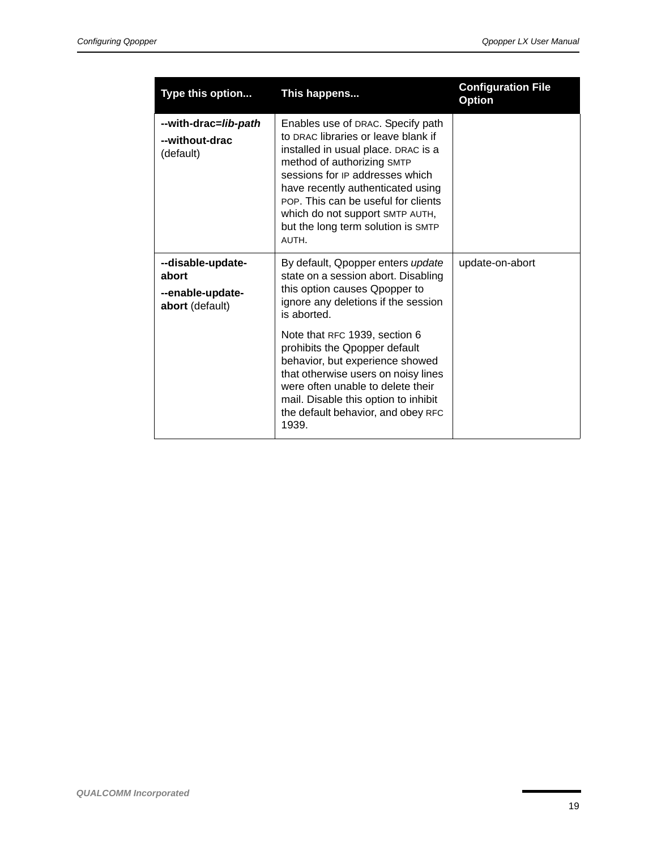| Type this option                                                  | This happens                                                                                                                                                                                                                                                                                                                                   | <b>Configuration File</b><br><b>Option</b> |
|-------------------------------------------------------------------|------------------------------------------------------------------------------------------------------------------------------------------------------------------------------------------------------------------------------------------------------------------------------------------------------------------------------------------------|--------------------------------------------|
| --with-drac=lib-path<br>--without-drac<br>(default)               | Enables use of DRAC. Specify path<br>to DRAC libraries or leave blank if<br>installed in usual place. DRAC is a<br>method of authorizing SMTP<br>sessions for IP addresses which<br>have recently authenticated using<br>POP. This can be useful for clients<br>which do not support SMTP AUTH,<br>but the long term solution is SMTP<br>AUTH. |                                            |
| --disable-update-<br>abort<br>--enable-update-<br>abort (default) | By default, Opopper enters update<br>state on a session abort. Disabling<br>this option causes Qpopper to<br>ignore any deletions if the session<br>is aborted.                                                                                                                                                                                | update-on-abort                            |
|                                                                   | Note that RFC 1939, section 6<br>prohibits the Qpopper default<br>behavior, but experience showed<br>that otherwise users on noisy lines<br>were often unable to delete their<br>mail. Disable this option to inhibit<br>the default behavior, and obey RFC<br>1939.                                                                           |                                            |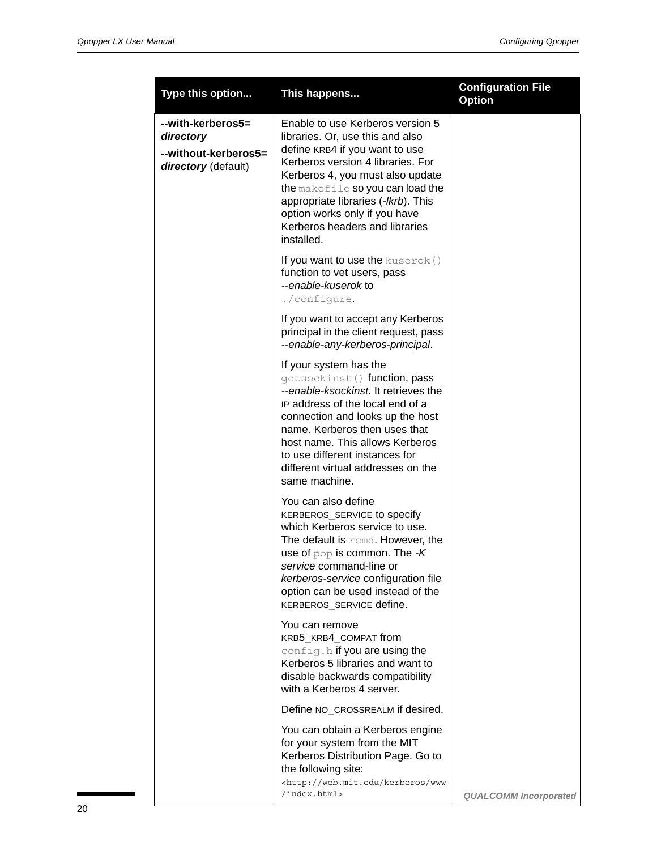| Type this option                                                              | This happens                                                                                                                                                                                                                                                                                                                                | <b>Configuration File</b><br><b>Option</b> |
|-------------------------------------------------------------------------------|---------------------------------------------------------------------------------------------------------------------------------------------------------------------------------------------------------------------------------------------------------------------------------------------------------------------------------------------|--------------------------------------------|
| --with-kerberos5=<br>directory<br>--without-kerberos5=<br>directory (default) | Enable to use Kerberos version 5<br>libraries. Or, use this and also<br>define KRB4 if you want to use<br>Kerberos version 4 libraries. For<br>Kerberos 4, you must also update<br>the makefile so you can load the<br>appropriate libraries (-lkrb). This<br>option works only if you have<br>Kerberos headers and libraries<br>installed. |                                            |
|                                                                               | If you want to use the kuserok ()<br>function to vet users, pass<br>--enable-kuserok to<br>./configure.                                                                                                                                                                                                                                     |                                            |
|                                                                               | If you want to accept any Kerberos<br>principal in the client request, pass<br>--enable-any-kerberos-principal.                                                                                                                                                                                                                             |                                            |
|                                                                               | If your system has the<br>getsockinst () function, pass<br>--enable-ksockinst. It retrieves the<br>IP address of the local end of a<br>connection and looks up the host<br>name. Kerberos then uses that<br>host name. This allows Kerberos<br>to use different instances for<br>different virtual addresses on the<br>same machine.        |                                            |
|                                                                               | You can also define<br>KERBEROS_SERVICE to specify<br>which Kerberos service to use.<br>The default is $r$ cmd. However, the<br>use of $pop$ is common. The $-K$<br>service command-line or<br>kerberos-service configuration file<br>option can be used instead of the<br>KERBEROS_SERVICE define.                                         |                                            |
|                                                                               | You can remove<br>KRB5_KRB4_COMPAT from<br>config.h if you are using the<br>Kerberos 5 libraries and want to<br>disable backwards compatibility<br>with a Kerberos 4 server.                                                                                                                                                                |                                            |
|                                                                               | Define NO_CROSSREALM if desired.                                                                                                                                                                                                                                                                                                            |                                            |
|                                                                               | You can obtain a Kerberos engine<br>for your system from the MIT<br>Kerberos Distribution Page. Go to<br>the following site:<br><http: kerberos="" web.mit.edu="" www<br="">/index.html&gt;</http:>                                                                                                                                         | <b>QUALCOMM Incorporated</b>               |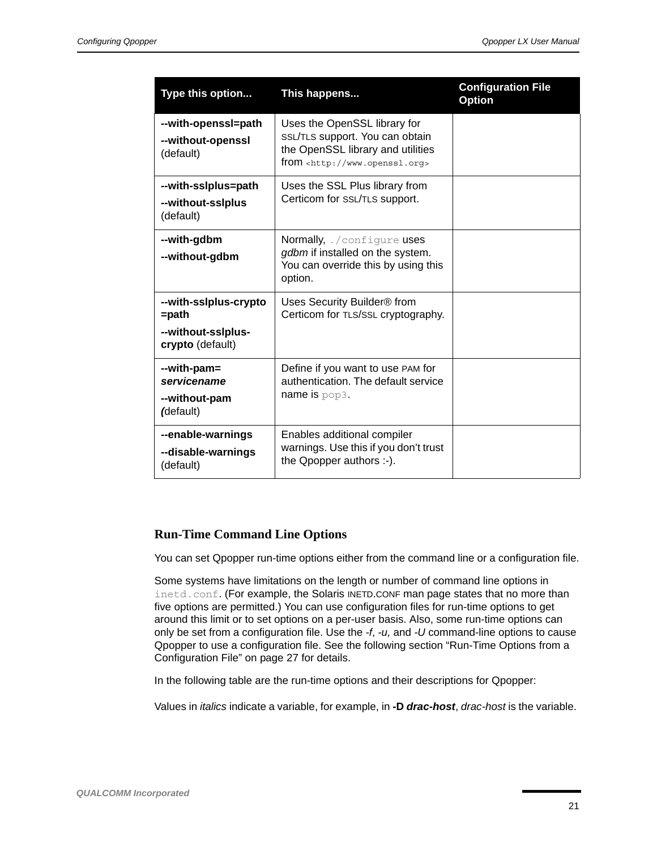| Type this option                                                            | This happens                                                                                                                               | <b>Configuration File</b><br><b>Option</b> |
|-----------------------------------------------------------------------------|--------------------------------------------------------------------------------------------------------------------------------------------|--------------------------------------------|
| --with-openssl=path<br>--without-openssl<br>(default)                       | Uses the OpenSSL library for<br>SSL/TLS support. You can obtain<br>the OpenSSL library and utilities<br>$from$ $&$ http://www.openssl.org> |                                            |
| --with-sslplus=path<br>--without-ssiplus<br>(default)                       | Uses the SSL Plus library from<br>Certicom for SSL/TLS support.                                                                            |                                            |
| --with-gdbm<br>--without-gdbm                                               | Normally, . / configure uses<br>gdbm if installed on the system.<br>You can override this by using this<br>option.                         |                                            |
| --with-sslplus-crypto<br>$=$ path<br>--without-sslplus-<br>crypto (default) | Uses Security Builder <sup>®</sup> from<br>Certicom for TLS/SSL cryptography.                                                              |                                            |
| --with-pam=<br>servicename<br>--without-pam<br>(default)                    | Define if you want to use PAM for<br>authentication. The default service<br>name is $pop3$ .                                               |                                            |
| --enable-warnings<br>--disable-warnings<br>(default)                        | Enables additional compiler<br>warnings. Use this if you don't trust<br>the Qpopper authors :-).                                           |                                            |

#### **Run-Time Command Line Options**

You can set Qpopper run-time options either from the command line or a configuration file.

Some systems have limitations on the length or number of command line options in inetd.conf. (For example, the Solaris INETD.CONF man page states that no more than five options are permitted.) You can use configuration files for run-time options to get around this limit or to set options on a per-user basis. Also, some run-time options can only be set from a configuration file. Use the *-f*, *-u,* and *-U* command-line options to cause Qpopper to use a configuration file. See the following section ["Run-Time Options from a](#page-26-0)  [Configuration File" on page 27](#page-26-0) for details.

In the following table are the run-time options and their descriptions for Qpopper:

Values in *italics* indicate a variable, for example, in **-D** *drac-host*, *drac-host* is the variable.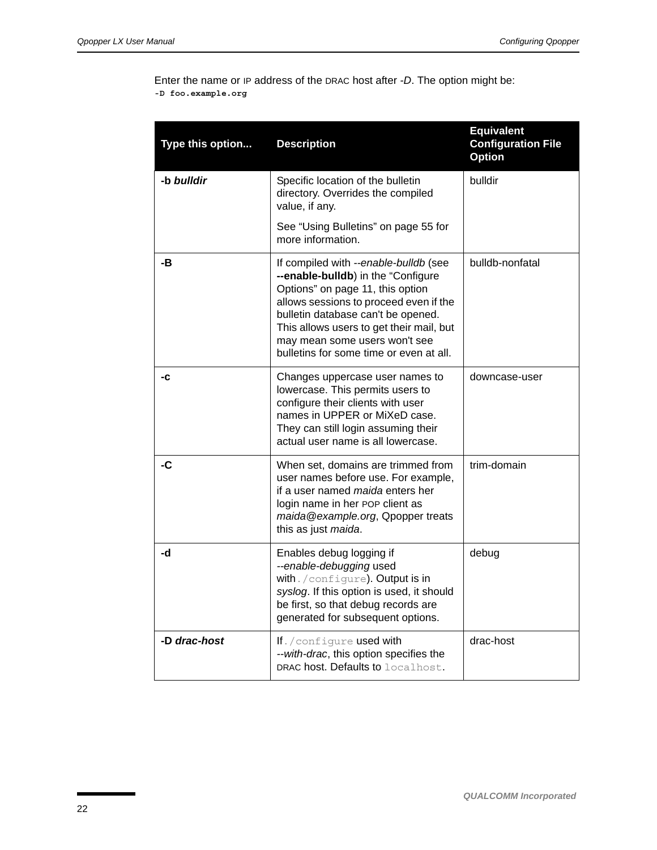Enter the name or IP address of the DRAC host after *-D*. The option might be: **-D foo.example.org**

| Type this option | <b>Description</b>                                                                                                                                                                                                                                                                                                      | <b>Equivalent</b><br><b>Configuration File</b><br><b>Option</b> |
|------------------|-------------------------------------------------------------------------------------------------------------------------------------------------------------------------------------------------------------------------------------------------------------------------------------------------------------------------|-----------------------------------------------------------------|
| -b bulldir       | Specific location of the bulletin<br>directory. Overrides the compiled<br>value, if any.                                                                                                                                                                                                                                | bulldir                                                         |
|                  | See "Using Bulletins" on page 55 for<br>more information.                                                                                                                                                                                                                                                               |                                                                 |
| -В               | If compiled with --enable-bulldb (see<br>--enable-bulldb) in the "Configure<br>Options" on page 11, this option<br>allows sessions to proceed even if the<br>bulletin database can't be opened.<br>This allows users to get their mail, but<br>may mean some users won't see<br>bulletins for some time or even at all. | bulldb-nonfatal                                                 |
| -C               | Changes uppercase user names to<br>lowercase. This permits users to<br>configure their clients with user<br>names in UPPER or MiXeD case.<br>They can still login assuming their<br>actual user name is all lowercase.                                                                                                  | downcase-user                                                   |
| -C               | When set, domains are trimmed from<br>user names before use. For example,<br>if a user named maida enters her<br>login name in her POP client as<br>maida@example.org, Qpopper treats<br>this as just maida.                                                                                                            | trim-domain                                                     |
| -d               | Enables debug logging if<br>--enable-debugging used<br>with. / configure). Output is in<br>syslog. If this option is used, it should<br>be first, so that debug records are<br>generated for subsequent options.                                                                                                        | debug                                                           |
| -D drac-host     | If. / configure used with<br>--with-drac, this option specifies the<br><b>DRAC host. Defaults to localhost.</b>                                                                                                                                                                                                         | drac-host                                                       |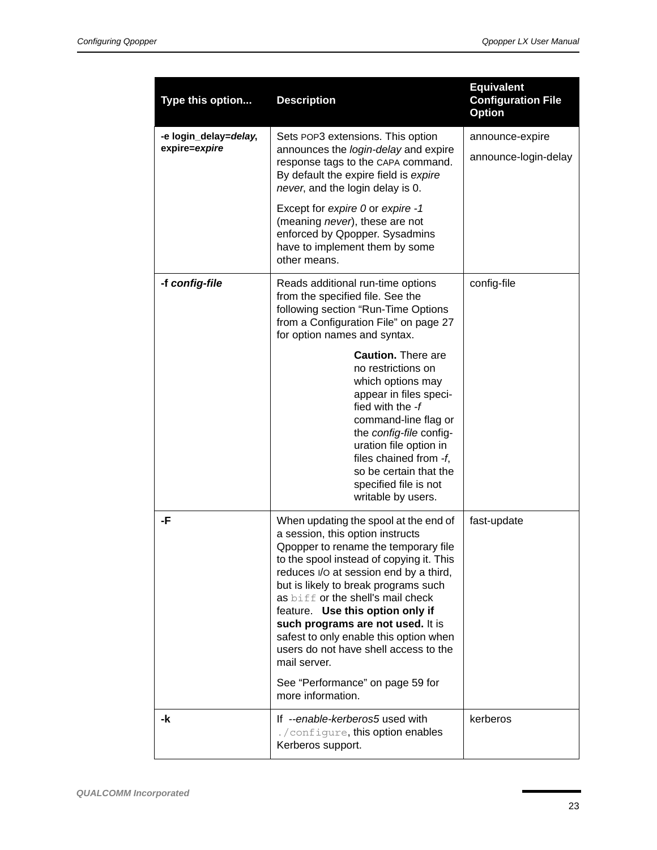| Type this option                       | <b>Description</b>                                                                                                                                                                                                                                                                                                                                                                                                                                                                                                        | <b>Equivalent</b><br><b>Configuration File</b><br><b>Option</b> |
|----------------------------------------|---------------------------------------------------------------------------------------------------------------------------------------------------------------------------------------------------------------------------------------------------------------------------------------------------------------------------------------------------------------------------------------------------------------------------------------------------------------------------------------------------------------------------|-----------------------------------------------------------------|
| -e login_delay=delay,<br>expire=expire | Sets POP3 extensions. This option<br>announces the login-delay and expire<br>response tags to the CAPA command.<br>By default the expire field is expire<br>never, and the login delay is 0.<br>Except for expire 0 or expire -1<br>(meaning never), these are not<br>enforced by Qpopper. Sysadmins<br>have to implement them by some<br>other means.                                                                                                                                                                    | announce-expire<br>announce-login-delay                         |
| -f config-file                         | Reads additional run-time options<br>from the specified file. See the<br>following section "Run-Time Options"<br>from a Configuration File" on page 27<br>for option names and syntax.<br><b>Caution.</b> There are<br>no restrictions on<br>which options may<br>appear in files speci-<br>fied with the -f<br>command-line flag or<br>the config-file config-<br>uration file option in<br>files chained from -f,<br>so be certain that the<br>specified file is not<br>writable by users.                              | config-file                                                     |
| -F                                     | When updating the spool at the end of<br>a session, this option instructs<br>Opopper to rename the temporary file<br>to the spool instead of copying it. This<br>reduces I/O at session end by a third,<br>but is likely to break programs such<br>as biff or the shell's mail check<br>feature. Use this option only if<br>such programs are not used. It is<br>safest to only enable this option when<br>users do not have shell access to the<br>mail server.<br>See "Performance" on page 59 for<br>more information. | fast-update                                                     |
| -k                                     | If --enable-kerberos5 used with<br>./configure, this option enables<br>Kerberos support.                                                                                                                                                                                                                                                                                                                                                                                                                                  | kerberos                                                        |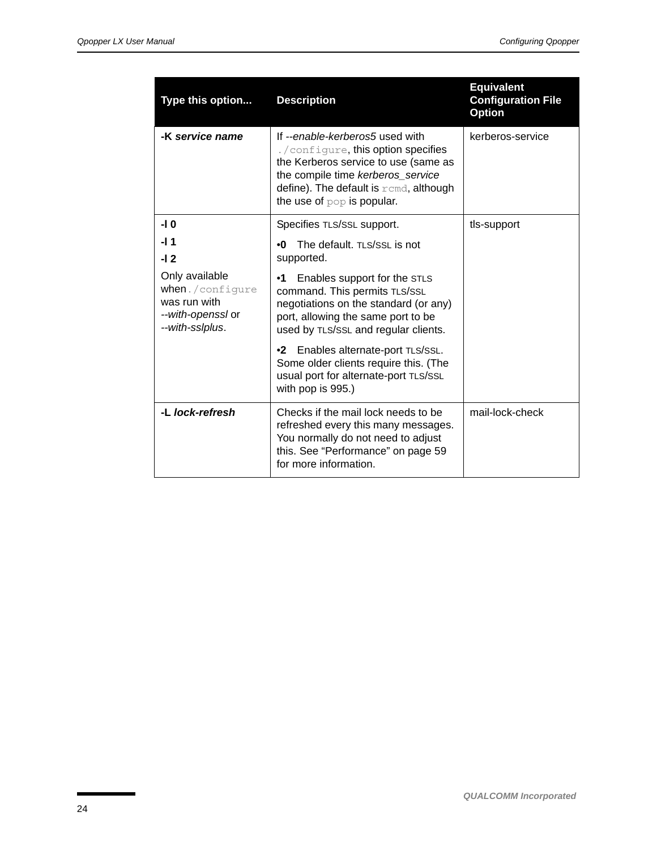| Type this option                                                                          | <b>Description</b>                                                                                                                                                                                                              | <b>Equivalent</b><br><b>Configuration File</b><br><b>Option</b> |
|-------------------------------------------------------------------------------------------|---------------------------------------------------------------------------------------------------------------------------------------------------------------------------------------------------------------------------------|-----------------------------------------------------------------|
| -K service name                                                                           | If --enable-kerberos5 used with<br>./configure, this option specifies<br>the Kerberos service to use (same as<br>the compile time kerberos_service<br>define). The default is $r$ cmd, although<br>the use of $pop$ is popular. | kerberos-service                                                |
| -I 0                                                                                      | Specifies TLS/SSL support.                                                                                                                                                                                                      | tls-support                                                     |
| -l 1                                                                                      | The default. TLS/SSL is not<br>۰ŋ                                                                                                                                                                                               |                                                                 |
| $-12$                                                                                     | supported.                                                                                                                                                                                                                      |                                                                 |
| Only available<br>when./configure<br>was run with<br>--with-openssl or<br>--with-sslplus. | Enables support for the STLS<br>•1<br>command. This permits TLS/SSL<br>negotiations on the standard (or any)<br>port, allowing the same port to be<br>used by TLS/SSL and regular clients.                                      |                                                                 |
|                                                                                           | •2 Enables alternate-port TLS/SSL.<br>Some older clients require this. (The<br>usual port for alternate-port TLS/SSL<br>with pop is 995.)                                                                                       |                                                                 |
| -L lock-refresh                                                                           | Checks if the mail lock needs to be<br>refreshed every this many messages.<br>You normally do not need to adjust<br>this. See "Performance" on page 59<br>for more information.                                                 | mail-lock-check                                                 |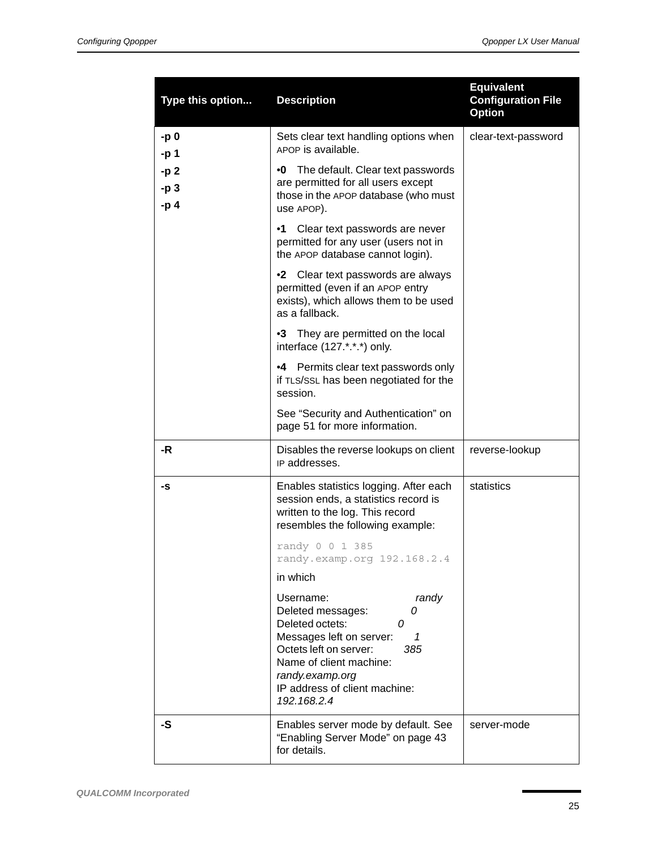| Type this option      | <b>Description</b>                                                                                                                                                                                                                   | <b>Equivalent</b><br><b>Configuration File</b><br><b>Option</b> |
|-----------------------|--------------------------------------------------------------------------------------------------------------------------------------------------------------------------------------------------------------------------------------|-----------------------------------------------------------------|
| -p 0<br>-p 1          | Sets clear text handling options when<br>APOP is available.                                                                                                                                                                          | clear-text-password                                             |
| -p 2<br>-p 3<br>$-p4$ | •0 The default. Clear text passwords<br>are permitted for all users except<br>those in the APOP database (who must<br>use APOP).                                                                                                     |                                                                 |
|                       | $\cdot$ 1<br>Clear text passwords are never<br>permitted for any user (users not in<br>the APOP database cannot login).                                                                                                              |                                                                 |
|                       | •2 Clear text passwords are always<br>permitted (even if an APOP entry<br>exists), which allows them to be used<br>as a fallback.                                                                                                    |                                                                 |
|                       | •3 They are permitted on the local<br>interface (127.*.*.*) only.                                                                                                                                                                    |                                                                 |
|                       | •4 Permits clear text passwords only<br>if TLS/SSL has been negotiated for the<br>session.                                                                                                                                           |                                                                 |
|                       | See "Security and Authentication" on<br>page 51 for more information.                                                                                                                                                                |                                                                 |
| -R                    | Disables the reverse lookups on client<br>IP addresses.                                                                                                                                                                              | reverse-lookup                                                  |
| -S                    | Enables statistics logging. After each<br>session ends, a statistics record is<br>written to the log. This record<br>resembles the following example:                                                                                | statistics                                                      |
|                       | randy 0 0 1 385<br>randy.examp.org 192.168.2.4                                                                                                                                                                                       |                                                                 |
|                       | in which                                                                                                                                                                                                                             |                                                                 |
|                       | Username:<br>randy<br>Deleted messages:<br>0<br>Deleted octets:<br>0<br>Messages left on server:<br>1<br>Octets left on server:<br>385<br>Name of client machine:<br>randy.examp.org<br>IP address of client machine:<br>192.168.2.4 |                                                                 |
| -S                    | Enables server mode by default. See<br>"Enabling Server Mode" on page 43<br>for details.                                                                                                                                             | server-mode                                                     |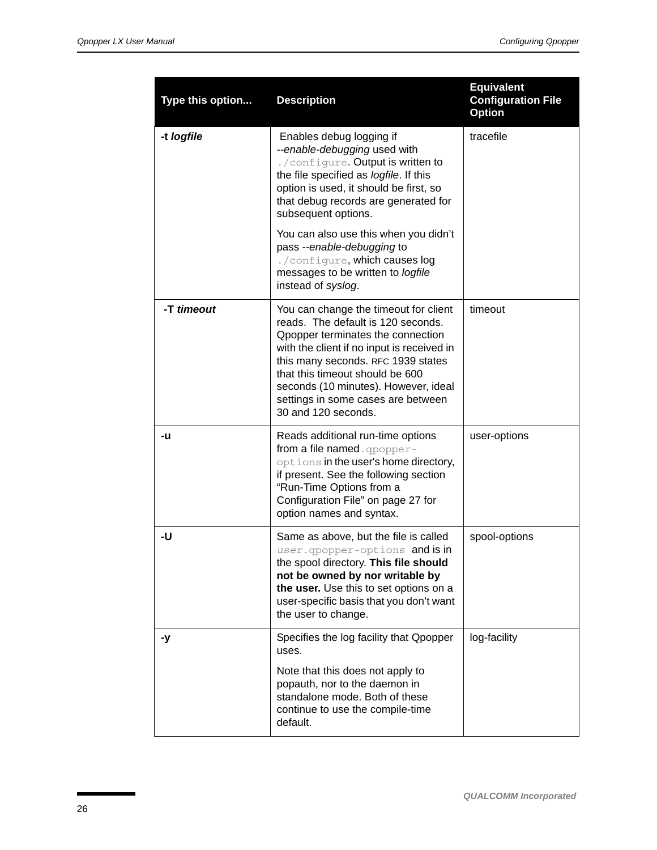| Type this option | <b>Description</b>                                                                                                                                                                                                                                                                                                                           | <b>Equivalent</b><br><b>Configuration File</b><br><b>Option</b> |
|------------------|----------------------------------------------------------------------------------------------------------------------------------------------------------------------------------------------------------------------------------------------------------------------------------------------------------------------------------------------|-----------------------------------------------------------------|
| -t logfile       | Enables debug logging if<br>--enable-debugging used with<br>./configure. Output is written to<br>the file specified as logfile. If this<br>option is used, it should be first, so<br>that debug records are generated for<br>subsequent options.                                                                                             | tracefile                                                       |
|                  | You can also use this when you didn't<br>pass --enable-debugging to<br>./configure, which causes log<br>messages to be written to logfile<br>instead of syslog.                                                                                                                                                                              |                                                                 |
| -T timeout       | You can change the timeout for client<br>reads. The default is 120 seconds.<br>Opopper terminates the connection<br>with the client if no input is received in<br>this many seconds. RFC 1939 states<br>that this timeout should be 600<br>seconds (10 minutes). However, ideal<br>settings in some cases are between<br>30 and 120 seconds. | timeout                                                         |
| -u               | Reads additional run-time options<br>from a file named. qpopper-<br>options in the user's home directory,<br>if present. See the following section<br>"Run-Time Options from a<br>Configuration File" on page 27 for<br>option names and syntax.                                                                                             | user-options                                                    |
| -U               | Same as above, but the file is called<br>user.gpopper-options and is in<br>the spool directory. This file should<br>not be owned by nor writable by<br>the user. Use this to set options on a<br>user-specific basis that you don't want<br>the user to change.                                                                              | spool-options                                                   |
| -y               | Specifies the log facility that Qpopper<br>uses.<br>Note that this does not apply to<br>popauth, nor to the daemon in<br>standalone mode. Both of these<br>continue to use the compile-time<br>default.                                                                                                                                      | log-facility                                                    |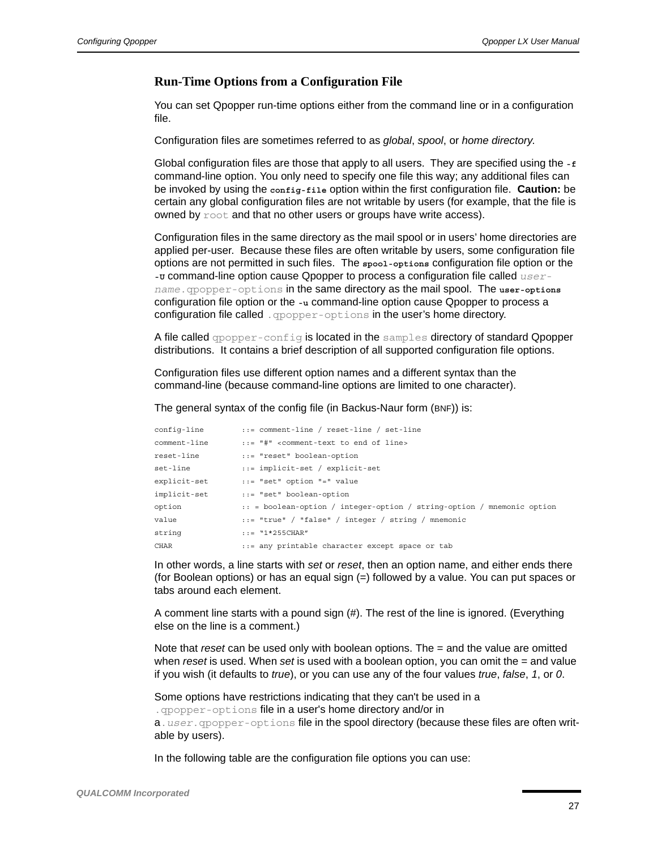#### <span id="page-26-0"></span>**Run-Time Options from a Configuration File**

You can set Qpopper run-time options either from the command line or in a configuration file.

Configuration files are sometimes referred to as *global*, *spool*, or *home directory*.

Global configuration files are those that apply to all users. They are specified using the **-f** command-line option. You only need to specify one file this way; any additional files can be invoked by using the **config-file** option within the first configuration file. **Caution:** be certain any global configuration files are not writable by users (for example, that the file is owned by root and that no other users or groups have write access).

Configuration files in the same directory as the mail spool or in users' home directories are applied per-user. Because these files are often writable by users, some configuration file options are not permitted in such files. The **spool-options** configuration file option or the -v command-line option cause Qpopper to process a configuration file called *username*.qpopper-options in the same directory as the mail spool. The **user-options** configuration file option or the **-u** command-line option cause Qpopper to process a configuration file called .  $q$ popper-options in the user's home directory.

A file called *qpopper-config* is located in the samples directory of standard Qpopper distributions. It contains a brief description of all supported configuration file options.

Configuration files use different option names and a different syntax than the command-line (because command-line options are limited to one character).

The general syntax of the config file (in Backus-Naur form (BNF)) is:

| config-line  | $::=$ comment-line / reset-line / set-line                                   |
|--------------|------------------------------------------------------------------------------|
| comment-line | $::=$ "#" <comment-text end="" line="" of="" to=""></comment-text>           |
| reset-line   | ::= "reset" boolean-option                                                   |
| set-line     | $::=$ implicit-set / explicit-set                                            |
| explicit-set | ::= "set" option "=" value                                                   |
| implicit-set | ::= "set" boolean-option                                                     |
| option       | $\ldots$ = boolean-option / integer-option / string-option / mnemonic option |
| value        | $::="r = "true" / "false" / interger / string / mnemonic"$                   |
| string       | $: := "1*255CHAR"$                                                           |
| <b>CHAR</b>  | ::= any printable character except space or tab                              |

In other words, a line starts with *set* or *reset*, then an option name, and either ends there (for Boolean options) or has an equal sign (=) followed by a value. You can put spaces or tabs around each element.

A comment line starts with a pound sign (#). The rest of the line is ignored. (Everything else on the line is a comment.)

Note that *reset* can be used only with boolean options. The = and the value are omitted when *reset* is used. When *set* is used with a boolean option, you can omit the = and value if you wish (it defaults to *true*), or you can use any of the four values *true*, *false*, *1*, or *0*.

Some options have restrictions indicating that they can't be used in a .qpopper-options file in a user's home directory and/or in

a.*user*.qpopper-options file in the spool directory (because these files are often writable by users).

In the following table are the configuration file options you can use: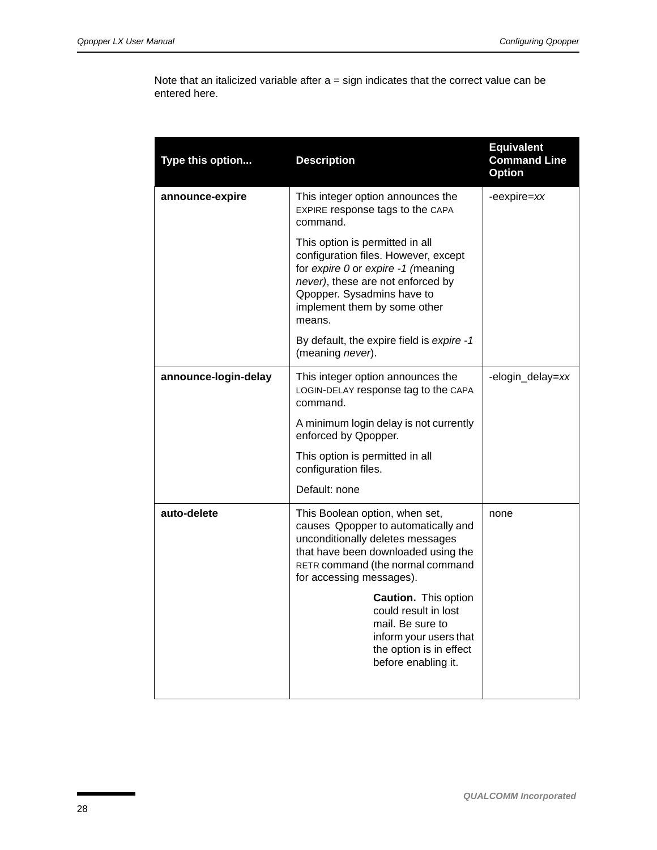Note that an italicized variable after  $a =$  sign indicates that the correct value can be entered here.

| Type this option     | <b>Description</b>                                                                                                                                                                                                         | <b>Equivalent</b><br><b>Command Line</b><br><b>Option</b> |
|----------------------|----------------------------------------------------------------------------------------------------------------------------------------------------------------------------------------------------------------------------|-----------------------------------------------------------|
| announce-expire      | This integer option announces the<br>EXPIRE response tags to the CAPA<br>command.                                                                                                                                          | -eexpire=xx                                               |
|                      | This option is permitted in all<br>configuration files. However, except<br>for expire 0 or expire -1 (meaning<br>never), these are not enforced by<br>Qpopper. Sysadmins have to<br>implement them by some other<br>means. |                                                           |
|                      | By default, the expire field is expire -1<br>(meaning never).                                                                                                                                                              |                                                           |
| announce-login-delay | This integer option announces the<br>LOGIN-DELAY response tag to the CAPA<br>command.                                                                                                                                      | -elogin_delay=xx                                          |
|                      | A minimum login delay is not currently<br>enforced by Qpopper.                                                                                                                                                             |                                                           |
|                      | This option is permitted in all<br>configuration files.                                                                                                                                                                    |                                                           |
|                      | Default: none                                                                                                                                                                                                              |                                                           |
| auto-delete          | This Boolean option, when set,<br>causes Qpopper to automatically and<br>unconditionally deletes messages<br>that have been downloaded using the<br>RETR command (the normal command<br>for accessing messages).           | none                                                      |
|                      | <b>Caution.</b> This option<br>could result in lost<br>mail. Be sure to<br>inform your users that<br>the option is in effect<br>before enabling it.                                                                        |                                                           |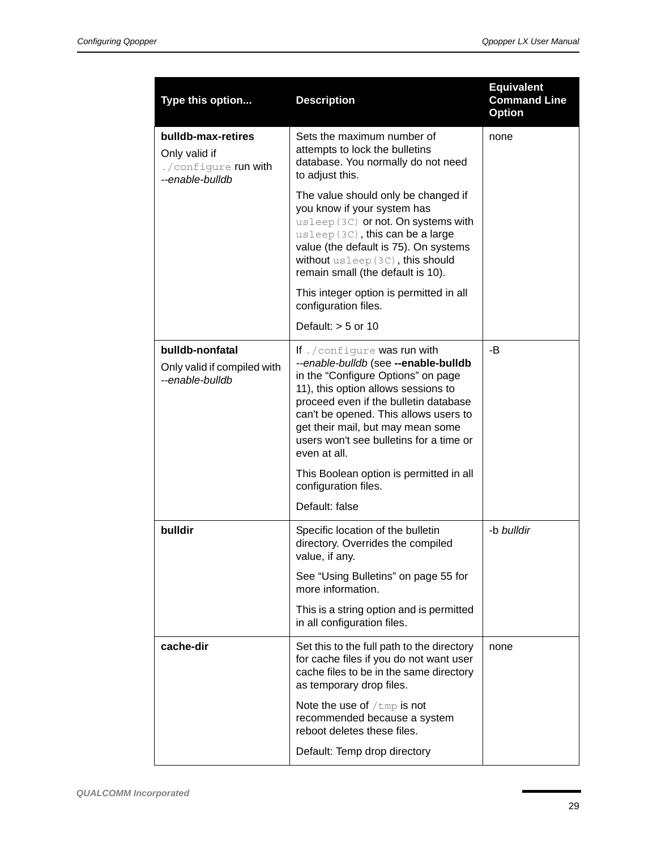| Type this option                                                               | <b>Description</b>                                                                                                                                                                                                                                                                                                                   | <b>Equivalent</b><br><b>Command Line</b><br><b>Option</b> |
|--------------------------------------------------------------------------------|--------------------------------------------------------------------------------------------------------------------------------------------------------------------------------------------------------------------------------------------------------------------------------------------------------------------------------------|-----------------------------------------------------------|
| bulldb-max-retires<br>Only valid if<br>./configure run with<br>--enable-bulldb | Sets the maximum number of<br>attempts to lock the bulletins<br>database. You normally do not need<br>to adjust this.                                                                                                                                                                                                                | none                                                      |
|                                                                                | The value should only be changed if<br>you know if your system has<br>usleep (3C) or not. On systems with<br>usleep (3C), this can be a large<br>value (the default is 75). On systems<br>without usleep (3C), this should<br>remain small (the default is 10).                                                                      |                                                           |
|                                                                                | This integer option is permitted in all<br>configuration files.                                                                                                                                                                                                                                                                      |                                                           |
|                                                                                | Default: $> 5$ or 10                                                                                                                                                                                                                                                                                                                 |                                                           |
| bulldb-nonfatal<br>Only valid if compiled with<br>--enable-bulldb              | If . / configure was run with<br>--enable-bulldb (see --enable-bulldb<br>in the "Configure Options" on page<br>11), this option allows sessions to<br>proceed even if the bulletin database<br>can't be opened. This allows users to<br>get their mail, but may mean some<br>users won't see bulletins for a time or<br>even at all. | -B                                                        |
|                                                                                | This Boolean option is permitted in all<br>configuration files.                                                                                                                                                                                                                                                                      |                                                           |
|                                                                                | Default: false                                                                                                                                                                                                                                                                                                                       |                                                           |
| bulldir                                                                        | Specific location of the bulletin<br>directory. Overrides the compiled<br>value, if any.                                                                                                                                                                                                                                             | -b bulldir                                                |
|                                                                                | See "Using Bulletins" on page 55 for<br>more information.                                                                                                                                                                                                                                                                            |                                                           |
|                                                                                | This is a string option and is permitted<br>in all configuration files.                                                                                                                                                                                                                                                              |                                                           |
| cache-dir                                                                      | Set this to the full path to the directory<br>for cache files if you do not want user<br>cache files to be in the same directory<br>as temporary drop files.                                                                                                                                                                         | none                                                      |
|                                                                                | Note the use of $/\text{tmp}$ is not<br>recommended because a system<br>reboot deletes these files.                                                                                                                                                                                                                                  |                                                           |
|                                                                                | Default: Temp drop directory                                                                                                                                                                                                                                                                                                         |                                                           |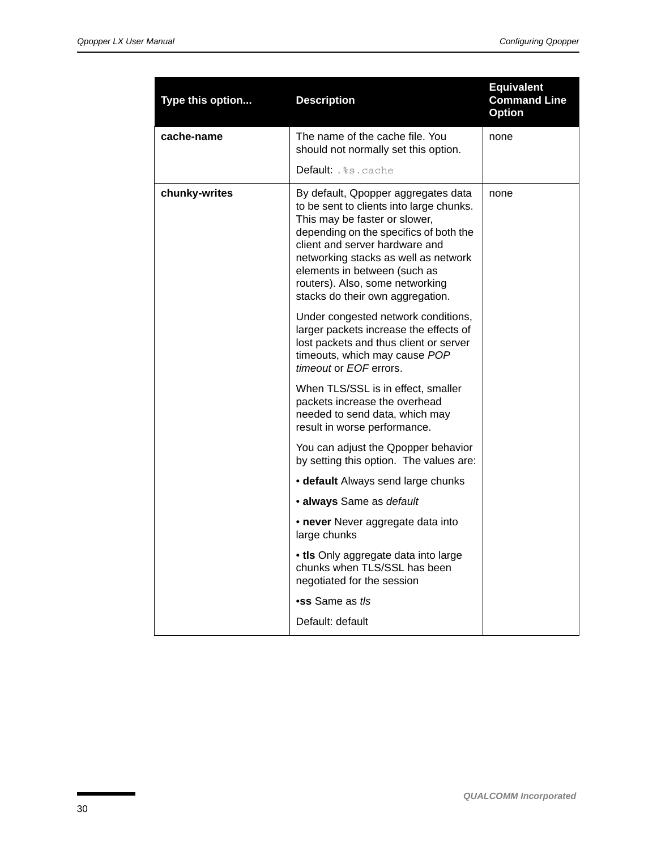<span id="page-29-0"></span>

| Type this option | <b>Description</b>                                                                                                                                                                                                                                                                                                                          | <b>Equivalent</b><br><b>Command Line</b><br><b>Option</b> |
|------------------|---------------------------------------------------------------------------------------------------------------------------------------------------------------------------------------------------------------------------------------------------------------------------------------------------------------------------------------------|-----------------------------------------------------------|
| cache-name       | The name of the cache file. You<br>should not normally set this option.                                                                                                                                                                                                                                                                     | none                                                      |
|                  | <b>Default:</b> . %s . cache                                                                                                                                                                                                                                                                                                                |                                                           |
| chunky-writes    | By default, Qpopper aggregates data<br>to be sent to clients into large chunks.<br>This may be faster or slower,<br>depending on the specifics of both the<br>client and server hardware and<br>networking stacks as well as network<br>elements in between (such as<br>routers). Also, some networking<br>stacks do their own aggregation. | none                                                      |
|                  | Under congested network conditions,<br>larger packets increase the effects of<br>lost packets and thus client or server<br>timeouts, which may cause POP<br>timeout or EOF errors.                                                                                                                                                          |                                                           |
|                  | When TLS/SSL is in effect, smaller<br>packets increase the overhead<br>needed to send data, which may<br>result in worse performance.                                                                                                                                                                                                       |                                                           |
|                  | You can adjust the Qpopper behavior<br>by setting this option. The values are:                                                                                                                                                                                                                                                              |                                                           |
|                  | • default Always send large chunks                                                                                                                                                                                                                                                                                                          |                                                           |
|                  | • always Same as default                                                                                                                                                                                                                                                                                                                    |                                                           |
|                  | • never Never aggregate data into<br>large chunks                                                                                                                                                                                                                                                                                           |                                                           |
|                  | • tls Only aggregate data into large<br>chunks when TLS/SSL has been<br>negotiated for the session                                                                                                                                                                                                                                          |                                                           |
|                  | •ss Same as tls                                                                                                                                                                                                                                                                                                                             |                                                           |
|                  | Default: default                                                                                                                                                                                                                                                                                                                            |                                                           |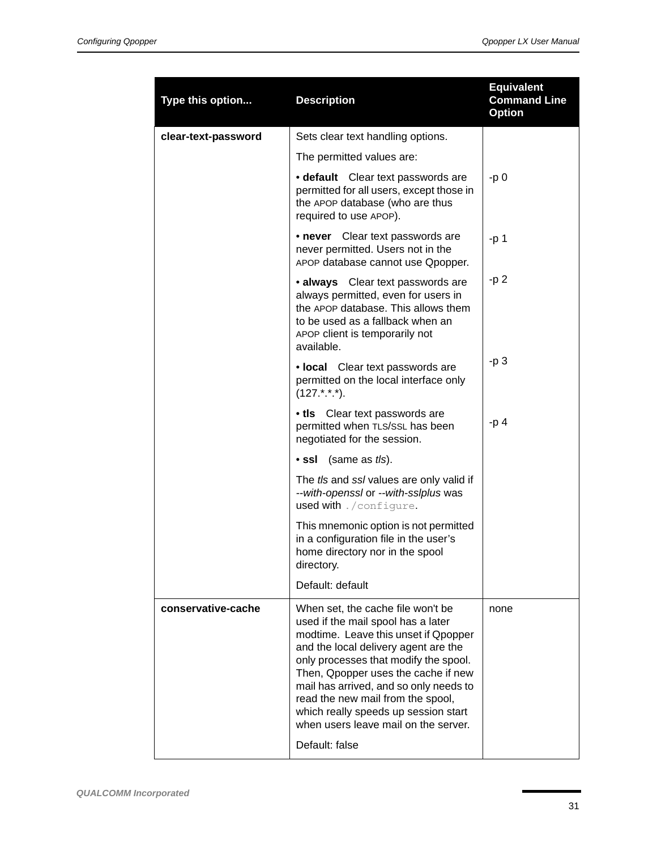| Type this option    | <b>Description</b>                                                                                                                                                                                                                                                                                                                                                                                     | <b>Equivalent</b><br><b>Command Line</b><br><b>Option</b> |
|---------------------|--------------------------------------------------------------------------------------------------------------------------------------------------------------------------------------------------------------------------------------------------------------------------------------------------------------------------------------------------------------------------------------------------------|-----------------------------------------------------------|
| clear-text-password | Sets clear text handling options.                                                                                                                                                                                                                                                                                                                                                                      |                                                           |
|                     | The permitted values are:                                                                                                                                                                                                                                                                                                                                                                              |                                                           |
|                     | • default Clear text passwords are<br>permitted for all users, except those in<br>the APOP database (who are thus<br>required to use APOP).                                                                                                                                                                                                                                                            | -p 0                                                      |
|                     | • never Clear text passwords are<br>never permitted. Users not in the<br>APOP database cannot use Qpopper.                                                                                                                                                                                                                                                                                             | $-p1$                                                     |
|                     | • always Clear text passwords are<br>always permitted, even for users in<br>the APOP database. This allows them<br>to be used as a fallback when an<br>APOP client is temporarily not<br>available.                                                                                                                                                                                                    | $-p2$                                                     |
|                     | • local Clear text passwords are<br>permitted on the local interface only<br>$(127.*.**)$ .                                                                                                                                                                                                                                                                                                            | -p 3                                                      |
|                     | • tls Clear text passwords are<br>permitted when TLS/SSL has been<br>negotiated for the session.                                                                                                                                                                                                                                                                                                       | $-p4$                                                     |
|                     | ∙ ssl<br>(same as <i>tls</i> ).                                                                                                                                                                                                                                                                                                                                                                        |                                                           |
|                     | The tls and ssl values are only valid if<br>--with-openssl or --with-sslplus was<br>used with ./configure.                                                                                                                                                                                                                                                                                             |                                                           |
|                     | This mnemonic option is not permitted<br>in a configuration file in the user's<br>home directory nor in the spool<br>directory.                                                                                                                                                                                                                                                                        |                                                           |
|                     | Default: default                                                                                                                                                                                                                                                                                                                                                                                       |                                                           |
| conservative-cache  | When set, the cache file won't be<br>used if the mail spool has a later<br>modtime. Leave this unset if Qpopper<br>and the local delivery agent are the<br>only processes that modify the spool.<br>Then, Qpopper uses the cache if new<br>mail has arrived, and so only needs to<br>read the new mail from the spool,<br>which really speeds up session start<br>when users leave mail on the server. | none                                                      |
|                     | Default: false                                                                                                                                                                                                                                                                                                                                                                                         |                                                           |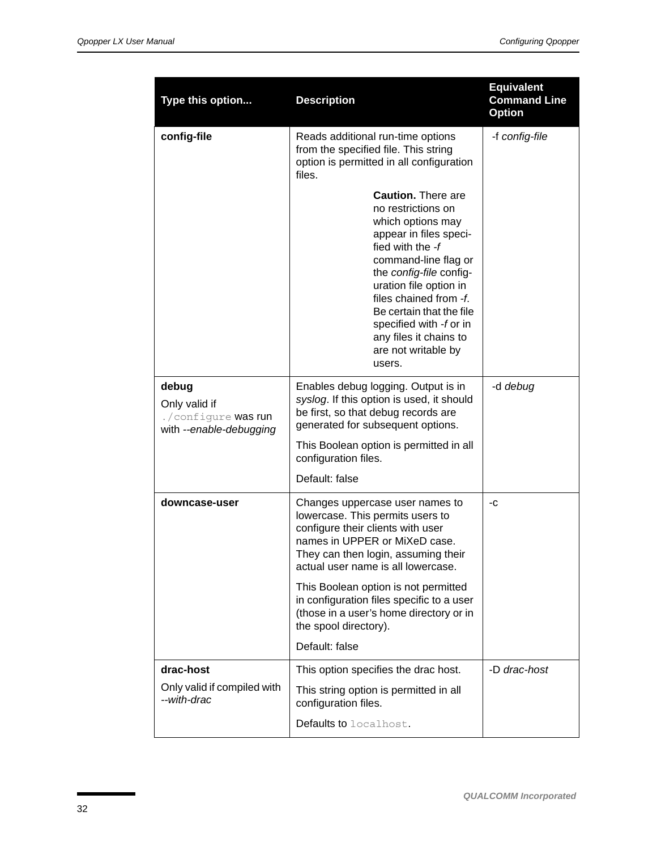| Type this option                                                         | <b>Description</b>                                                                                                                                                                                                                                                                                                                          | <b>Equivalent</b><br><b>Command Line</b><br><b>Option</b> |
|--------------------------------------------------------------------------|---------------------------------------------------------------------------------------------------------------------------------------------------------------------------------------------------------------------------------------------------------------------------------------------------------------------------------------------|-----------------------------------------------------------|
| config-file                                                              | Reads additional run-time options<br>from the specified file. This string<br>option is permitted in all configuration<br>files.                                                                                                                                                                                                             | -f config-file                                            |
|                                                                          | <b>Caution.</b> There are<br>no restrictions on<br>which options may<br>appear in files speci-<br>fied with the -f<br>command-line flag or<br>the config-file config-<br>uration file option in<br>files chained from -f.<br>Be certain that the file<br>specified with -f or in<br>any files it chains to<br>are not writable by<br>users. |                                                           |
| debug<br>Only valid if<br>./configure was run<br>with --enable-debugging | Enables debug logging. Output is in<br>syslog. If this option is used, it should<br>be first, so that debug records are<br>generated for subsequent options.                                                                                                                                                                                | -d debug                                                  |
|                                                                          | This Boolean option is permitted in all<br>configuration files.                                                                                                                                                                                                                                                                             |                                                           |
|                                                                          | Default: false                                                                                                                                                                                                                                                                                                                              |                                                           |
| downcase-user                                                            | Changes uppercase user names to<br>lowercase. This permits users to<br>configure their clients with user<br>names in UPPER or MiXeD case.<br>They can then login, assuming their<br>actual user name is all lowercase.                                                                                                                      | -C                                                        |
|                                                                          | This Boolean option is not permitted<br>in configuration files specific to a user<br>(those in a user's home directory or in<br>the spool directory).                                                                                                                                                                                       |                                                           |
|                                                                          | Default: false                                                                                                                                                                                                                                                                                                                              |                                                           |
| drac-host<br>Only valid if compiled with                                 | This option specifies the drac host.                                                                                                                                                                                                                                                                                                        | -D drac-host                                              |
| --with-drac                                                              | This string option is permitted in all<br>configuration files.                                                                                                                                                                                                                                                                              |                                                           |
|                                                                          | Defaults to localhost.                                                                                                                                                                                                                                                                                                                      |                                                           |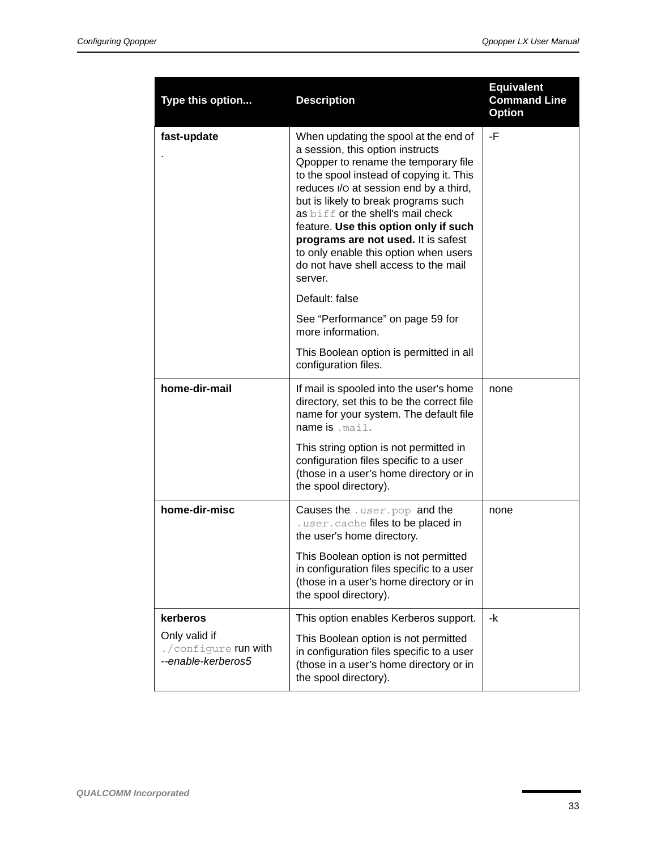| Type this option                                                        | <b>Description</b>                                                                                                                                                                                                                                                                                                                                                                                                                                               | <b>Equivalent</b><br><b>Command Line</b><br><b>Option</b> |
|-------------------------------------------------------------------------|------------------------------------------------------------------------------------------------------------------------------------------------------------------------------------------------------------------------------------------------------------------------------------------------------------------------------------------------------------------------------------------------------------------------------------------------------------------|-----------------------------------------------------------|
| fast-update                                                             | When updating the spool at the end of<br>a session, this option instructs<br>Opopper to rename the temporary file<br>to the spool instead of copying it. This<br>reduces I/O at session end by a third,<br>but is likely to break programs such<br>as biff or the shell's mail check<br>feature. Use this option only if such<br>programs are not used. It is safest<br>to only enable this option when users<br>do not have shell access to the mail<br>server. | -F                                                        |
|                                                                         | Default: false                                                                                                                                                                                                                                                                                                                                                                                                                                                   |                                                           |
|                                                                         | See "Performance" on page 59 for<br>more information.                                                                                                                                                                                                                                                                                                                                                                                                            |                                                           |
|                                                                         | This Boolean option is permitted in all<br>configuration files.                                                                                                                                                                                                                                                                                                                                                                                                  |                                                           |
| home-dir-mail                                                           | If mail is spooled into the user's home<br>directory, set this to be the correct file<br>name for your system. The default file<br>name is . mail.                                                                                                                                                                                                                                                                                                               | none                                                      |
|                                                                         | This string option is not permitted in<br>configuration files specific to a user<br>(those in a user's home directory or in<br>the spool directory).                                                                                                                                                                                                                                                                                                             |                                                           |
| home-dir-misc                                                           | Causes the . user.pop and the<br>. user. cache files to be placed in<br>the user's home directory.                                                                                                                                                                                                                                                                                                                                                               | none                                                      |
|                                                                         | This Boolean option is not permitted<br>in configuration files specific to a user<br>(those in a user's home directory or in<br>the spool directory).                                                                                                                                                                                                                                                                                                            |                                                           |
| kerberos<br>Only valid if<br>./configure run with<br>--enable-kerberos5 | This option enables Kerberos support.<br>This Boolean option is not permitted<br>in configuration files specific to a user<br>(those in a user's home directory or in<br>the spool directory).                                                                                                                                                                                                                                                                   | -k                                                        |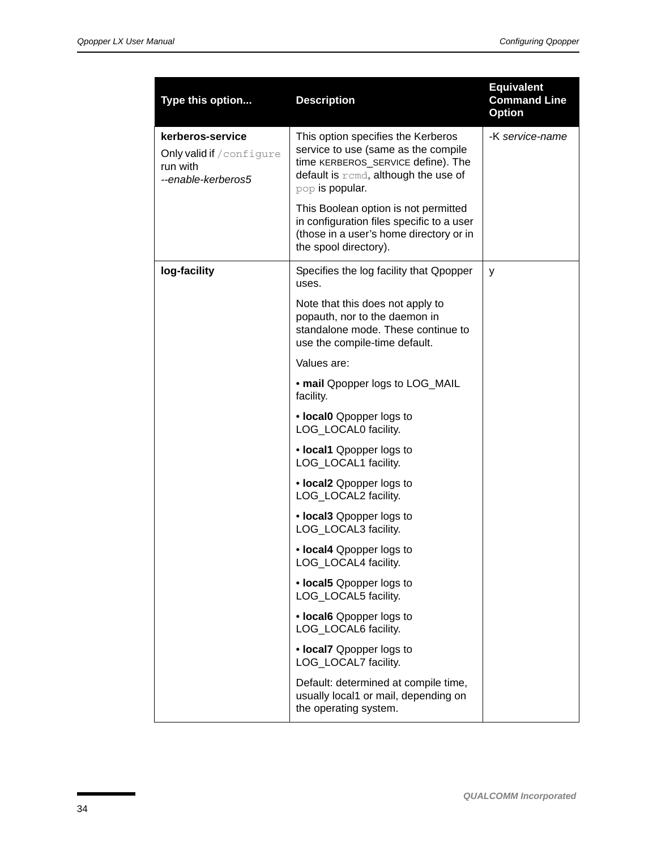| Type this option                                                                | <b>Description</b>                                                                                                                                                         | <b>Equivalent</b><br><b>Command Line</b><br><b>Option</b> |
|---------------------------------------------------------------------------------|----------------------------------------------------------------------------------------------------------------------------------------------------------------------------|-----------------------------------------------------------|
| kerberos-service<br>Only valid if / configure<br>run with<br>--enable-kerberos5 | This option specifies the Kerberos<br>service to use (same as the compile<br>time KERBEROS_SERVICE define). The<br>default is remd, although the use of<br>pop is popular. | -K service-name                                           |
|                                                                                 | This Boolean option is not permitted<br>in configuration files specific to a user<br>(those in a user's home directory or in<br>the spool directory).                      |                                                           |
| log-facility                                                                    | Specifies the log facility that Qpopper<br>uses.                                                                                                                           | у                                                         |
|                                                                                 | Note that this does not apply to<br>popauth, nor to the daemon in<br>standalone mode. These continue to<br>use the compile-time default.                                   |                                                           |
|                                                                                 | Values are:                                                                                                                                                                |                                                           |
|                                                                                 | • mail Qpopper logs to LOG_MAIL<br>facility.                                                                                                                               |                                                           |
|                                                                                 | • local0 Qpopper logs to<br>LOG_LOCAL0 facility.                                                                                                                           |                                                           |
|                                                                                 | • local1 Qpopper logs to<br>LOG_LOCAL1 facility.                                                                                                                           |                                                           |
|                                                                                 | • local2 Qpopper logs to<br>LOG_LOCAL2 facility.                                                                                                                           |                                                           |
|                                                                                 | • local3 Opopper logs to<br>LOG_LOCAL3 facility.                                                                                                                           |                                                           |
|                                                                                 | • local4 Qpopper logs to<br>LOG_LOCAL4 facility.                                                                                                                           |                                                           |
|                                                                                 | • local5 Qpopper logs to<br>LOG_LOCAL5 facility.                                                                                                                           |                                                           |
|                                                                                 | • local6 Opopper logs to<br>LOG_LOCAL6 facility.                                                                                                                           |                                                           |
|                                                                                 | • local7 Opopper logs to<br>LOG_LOCAL7 facility.                                                                                                                           |                                                           |
|                                                                                 | Default: determined at compile time,<br>usually local1 or mail, depending on<br>the operating system.                                                                      |                                                           |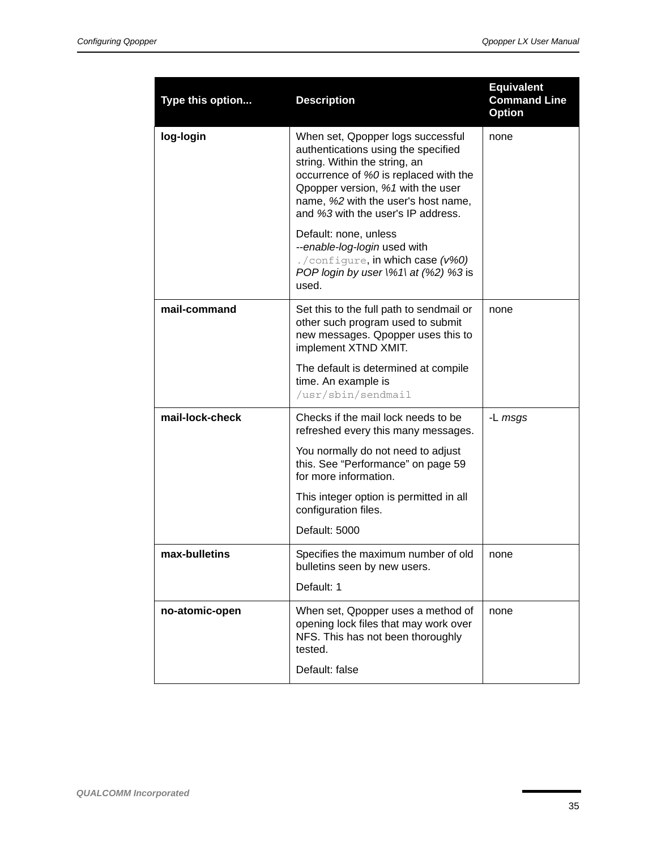<span id="page-34-0"></span>

| Type this option | <b>Description</b>                                                                                                                                                                                                                                                   | <b>Equivalent</b><br><b>Command Line</b><br><b>Option</b> |
|------------------|----------------------------------------------------------------------------------------------------------------------------------------------------------------------------------------------------------------------------------------------------------------------|-----------------------------------------------------------|
| log-login        | When set, Qpopper logs successful<br>authentications using the specified<br>string. Within the string, an<br>occurrence of %0 is replaced with the<br>Opopper version, %1 with the user<br>name, %2 with the user's host name,<br>and %3 with the user's IP address. | none                                                      |
|                  | Default: none, unless<br>--enable-log-login used with<br>./configure, in which case (v%0)<br>POP login by user \%1\ at (%2) %3 is<br>used.                                                                                                                           |                                                           |
| mail-command     | Set this to the full path to sendmail or<br>other such program used to submit<br>new messages. Qpopper uses this to<br>implement XTND XMIT.                                                                                                                          | none                                                      |
|                  | The default is determined at compile<br>time. An example is<br>/usr/sbin/sendmail                                                                                                                                                                                    |                                                           |
| mail-lock-check  | Checks if the mail lock needs to be<br>refreshed every this many messages.                                                                                                                                                                                           | -L msgs                                                   |
|                  | You normally do not need to adjust<br>this. See "Performance" on page 59<br>for more information.                                                                                                                                                                    |                                                           |
|                  | This integer option is permitted in all<br>configuration files.                                                                                                                                                                                                      |                                                           |
|                  | Default: 5000                                                                                                                                                                                                                                                        |                                                           |
| max-bulletins    | Specifies the maximum number of old<br>bulletins seen by new users.                                                                                                                                                                                                  | none                                                      |
|                  | Default: 1                                                                                                                                                                                                                                                           |                                                           |
| no-atomic-open   | When set, Qpopper uses a method of<br>opening lock files that may work over<br>NFS. This has not been thoroughly<br>tested.                                                                                                                                          | none                                                      |
|                  | Default: false                                                                                                                                                                                                                                                       |                                                           |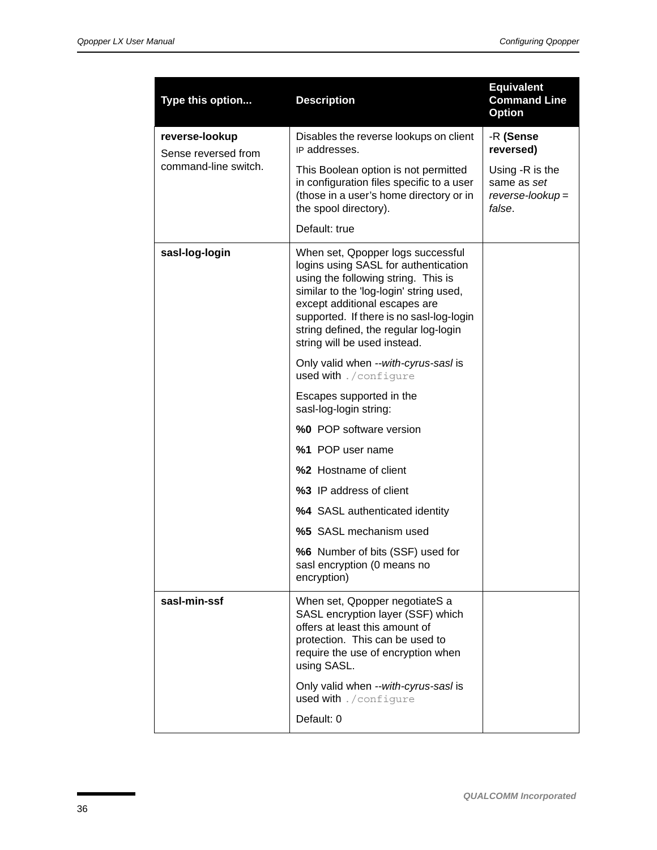| Type this option                      | <b>Description</b>                                                                                                                                                                                                                                                                                                | <b>Equivalent</b><br><b>Command Line</b><br><b>Option</b>      |
|---------------------------------------|-------------------------------------------------------------------------------------------------------------------------------------------------------------------------------------------------------------------------------------------------------------------------------------------------------------------|----------------------------------------------------------------|
| reverse-lookup<br>Sense reversed from | Disables the reverse lookups on client<br>IP addresses.                                                                                                                                                                                                                                                           | -R (Sense<br>reversed)                                         |
| command-line switch.                  | This Boolean option is not permitted<br>in configuration files specific to a user<br>(those in a user's home directory or in<br>the spool directory).                                                                                                                                                             | Using -R is the<br>same as set<br>$reverse-lookup =$<br>false. |
|                                       | Default: true                                                                                                                                                                                                                                                                                                     |                                                                |
| sasl-log-login                        | When set, Qpopper logs successful<br>logins using SASL for authentication<br>using the following string. This is<br>similar to the 'log-login' string used,<br>except additional escapes are<br>supported. If there is no sasl-log-login<br>string defined, the regular log-login<br>string will be used instead. |                                                                |
|                                       | Only valid when --with-cyrus-sasl is<br>used with . / configure                                                                                                                                                                                                                                                   |                                                                |
|                                       | Escapes supported in the<br>sasl-log-login string:                                                                                                                                                                                                                                                                |                                                                |
|                                       | %0 POP software version                                                                                                                                                                                                                                                                                           |                                                                |
|                                       | %1 POP user name                                                                                                                                                                                                                                                                                                  |                                                                |
|                                       | %2 Hostname of client                                                                                                                                                                                                                                                                                             |                                                                |
|                                       | %3 IP address of client                                                                                                                                                                                                                                                                                           |                                                                |
|                                       | %4 SASL authenticated identity                                                                                                                                                                                                                                                                                    |                                                                |
|                                       | %5 SASL mechanism used                                                                                                                                                                                                                                                                                            |                                                                |
|                                       | %6 Number of bits (SSF) used for<br>sasl encryption (0 means no<br>encryption)                                                                                                                                                                                                                                    |                                                                |
| sasl-min-ssf                          | When set, Qpopper negotiateS a<br>SASL encryption layer (SSF) which<br>offers at least this amount of<br>protection. This can be used to<br>require the use of encryption when<br>using SASL.                                                                                                                     |                                                                |
|                                       | Only valid when --with-cyrus-sasl is<br>used with . / configure                                                                                                                                                                                                                                                   |                                                                |
|                                       | Default: 0                                                                                                                                                                                                                                                                                                        |                                                                |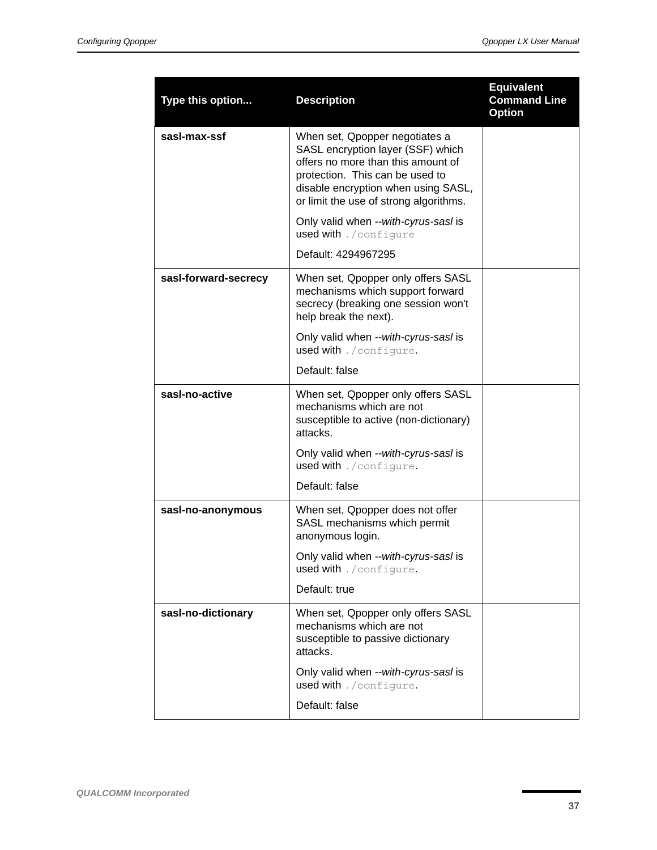| Type this option     | <b>Description</b>                                                                                                                                                                                                            | <b>Equivalent</b><br><b>Command Line</b><br><b>Option</b> |
|----------------------|-------------------------------------------------------------------------------------------------------------------------------------------------------------------------------------------------------------------------------|-----------------------------------------------------------|
| sasl-max-ssf         | When set, Qpopper negotiates a<br>SASL encryption layer (SSF) which<br>offers no more than this amount of<br>protection. This can be used to<br>disable encryption when using SASL,<br>or limit the use of strong algorithms. |                                                           |
|                      | Only valid when --with-cyrus-sasl is<br>used with . / configure                                                                                                                                                               |                                                           |
|                      | Default: 4294967295                                                                                                                                                                                                           |                                                           |
| sasl-forward-secrecy | When set, Qpopper only offers SASL<br>mechanisms which support forward<br>secrecy (breaking one session won't<br>help break the next).                                                                                        |                                                           |
|                      | Only valid when --with-cyrus-sasl is<br>used with ./configure.                                                                                                                                                                |                                                           |
|                      | Default: false                                                                                                                                                                                                                |                                                           |
| sasl-no-active       | When set, Qpopper only offers SASL<br>mechanisms which are not<br>susceptible to active (non-dictionary)<br>attacks.                                                                                                          |                                                           |
|                      | Only valid when --with-cyrus-sasl is<br>used with ./configure.                                                                                                                                                                |                                                           |
|                      | Default: false                                                                                                                                                                                                                |                                                           |
| sasl-no-anonymous    | When set, Qpopper does not offer<br>SASL mechanisms which permit<br>anonymous login.                                                                                                                                          |                                                           |
|                      | Only valid when --with-cyrus-sasl is<br>used with ./configure.                                                                                                                                                                |                                                           |
|                      | Default: true                                                                                                                                                                                                                 |                                                           |
| sasl-no-dictionary   | When set, Qpopper only offers SASL<br>mechanisms which are not<br>susceptible to passive dictionary<br>attacks.                                                                                                               |                                                           |
|                      | Only valid when --with-cyrus-sasl is<br>used with ./configure.                                                                                                                                                                |                                                           |
|                      | Default: false                                                                                                                                                                                                                |                                                           |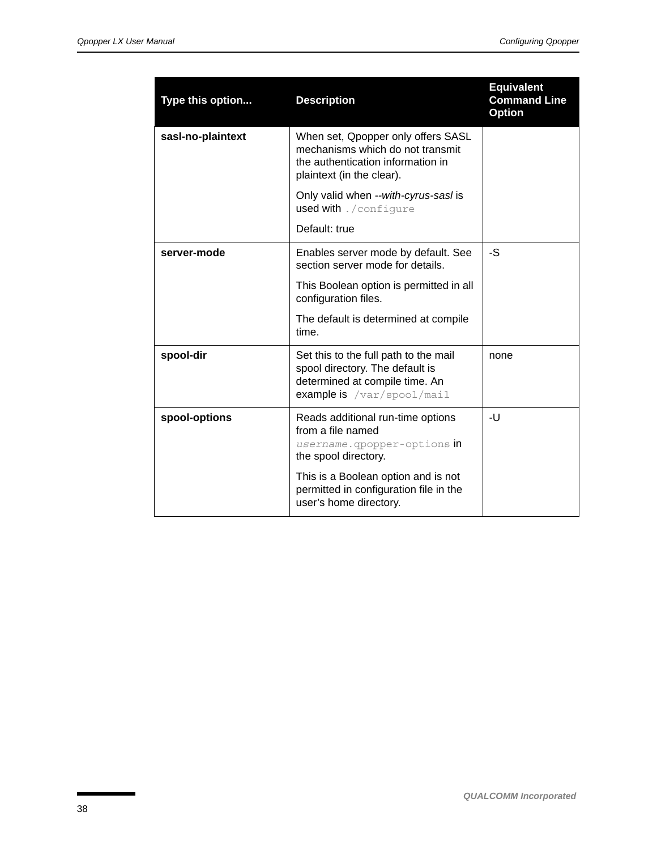| Type this option  | <b>Description</b>                                                                                                                       | <b>Equivalent</b><br><b>Command Line</b><br><b>Option</b> |
|-------------------|------------------------------------------------------------------------------------------------------------------------------------------|-----------------------------------------------------------|
| sasl-no-plaintext | When set, Qpopper only offers SASL<br>mechanisms which do not transmit<br>the authentication information in<br>plaintext (in the clear). |                                                           |
|                   | Only valid when --with-cyrus-sasl is<br>used with . / configure                                                                          |                                                           |
|                   | Default: true                                                                                                                            |                                                           |
| server-mode       | Enables server mode by default. See<br>section server mode for details.                                                                  | -S                                                        |
|                   | This Boolean option is permitted in all<br>configuration files.                                                                          |                                                           |
|                   | The default is determined at compile<br>time.                                                                                            |                                                           |
| spool-dir         | Set this to the full path to the mail<br>spool directory. The default is<br>determined at compile time. An<br>example is /var/spool/mail | none                                                      |
| spool-options     | Reads additional run-time options<br>from a file named<br>username.gpopper-options in<br>the spool directory.                            | -U                                                        |
|                   | This is a Boolean option and is not<br>permitted in configuration file in the<br>user's home directory.                                  |                                                           |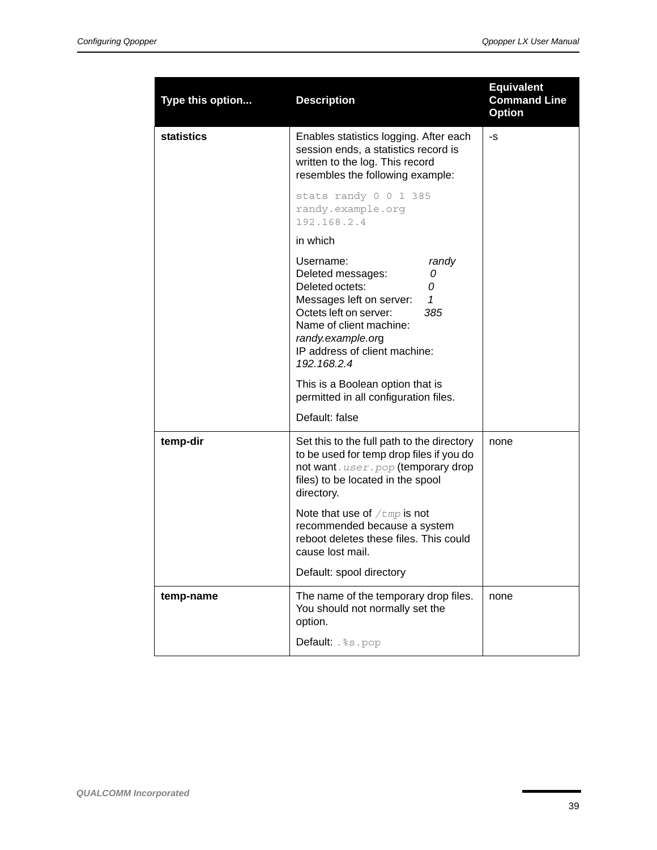| Type this option  | <b>Description</b>                                                                                                                                                                                                                                                                                                                    | <b>Equivalent</b><br><b>Command Line</b><br><b>Option</b> |
|-------------------|---------------------------------------------------------------------------------------------------------------------------------------------------------------------------------------------------------------------------------------------------------------------------------------------------------------------------------------|-----------------------------------------------------------|
| <b>statistics</b> | Enables statistics logging. After each<br>session ends, a statistics record is<br>written to the log. This record<br>resembles the following example:                                                                                                                                                                                 | -S                                                        |
|                   | stats randy 0 0 1 385<br>randy.example.org<br>192.168.2.4                                                                                                                                                                                                                                                                             |                                                           |
|                   | in which                                                                                                                                                                                                                                                                                                                              |                                                           |
|                   | Username:<br>randy<br>Deleted messages:<br>0<br>Deleted octets:<br>0<br>1<br>Messages left on server:<br>Octets left on server:<br>385<br>Name of client machine:<br>randy.example.org<br>IP address of client machine:<br>192.168.2.4<br>This is a Boolean option that is<br>permitted in all configuration files.<br>Default: false |                                                           |
| temp-dir          | Set this to the full path to the directory<br>to be used for temp drop files if you do<br>not want. user. pop (temporary drop<br>files) to be located in the spool<br>directory.                                                                                                                                                      | none                                                      |
|                   | Note that use of $/\text{tmp}$ is not<br>recommended because a system<br>reboot deletes these files. This could<br>cause lost mail.                                                                                                                                                                                                   |                                                           |
|                   | Default: spool directory                                                                                                                                                                                                                                                                                                              |                                                           |
| temp-name         | The name of the temporary drop files.<br>You should not normally set the<br>option.                                                                                                                                                                                                                                                   | none                                                      |
|                   | Default: . %s. pop                                                                                                                                                                                                                                                                                                                    |                                                           |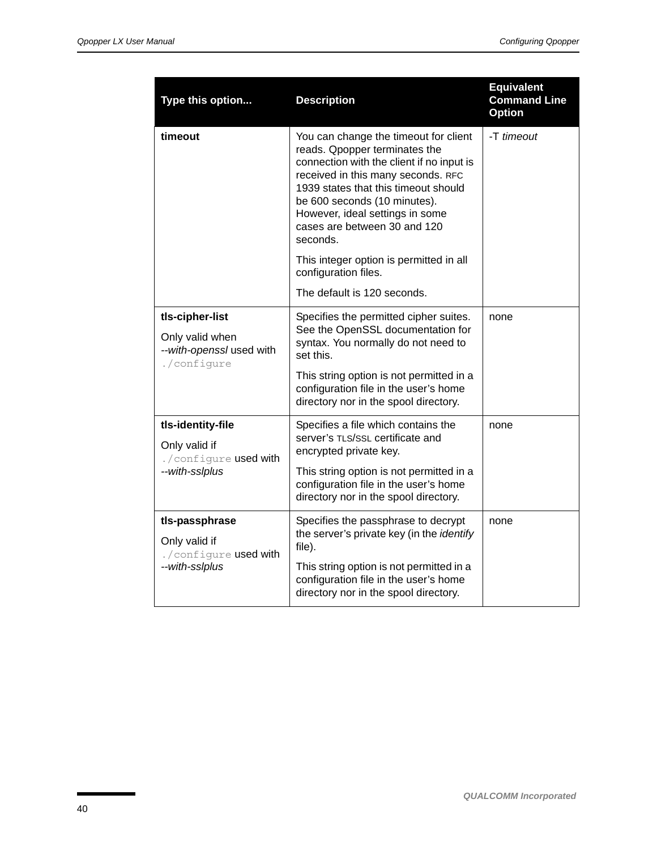| Type this option                                                              | <b>Description</b>                                                                                                                                                                                                                                                                                               | <b>Equivalent</b><br><b>Command Line</b><br><b>Option</b> |
|-------------------------------------------------------------------------------|------------------------------------------------------------------------------------------------------------------------------------------------------------------------------------------------------------------------------------------------------------------------------------------------------------------|-----------------------------------------------------------|
| timeout                                                                       | You can change the timeout for client<br>reads. Qpopper terminates the<br>connection with the client if no input is<br>received in this many seconds. RFC<br>1939 states that this timeout should<br>be 600 seconds (10 minutes).<br>However, ideal settings in some<br>cases are between 30 and 120<br>seconds. | -T timeout                                                |
|                                                                               | This integer option is permitted in all<br>configuration files.                                                                                                                                                                                                                                                  |                                                           |
|                                                                               | The default is 120 seconds.                                                                                                                                                                                                                                                                                      |                                                           |
| tls-cipher-list<br>Only valid when<br>--with-openssl used with<br>./configure | Specifies the permitted cipher suites.<br>See the OpenSSL documentation for<br>syntax. You normally do not need to<br>set this.<br>This string option is not permitted in a<br>configuration file in the user's home                                                                                             | none                                                      |
|                                                                               | directory nor in the spool directory.                                                                                                                                                                                                                                                                            |                                                           |
| tls-identity-file<br>Only valid if<br>./configure used with<br>--with-sslplus | Specifies a file which contains the<br>server's TLS/SSL certificate and<br>encrypted private key.<br>This string option is not permitted in a<br>configuration file in the user's home<br>directory nor in the spool directory.                                                                                  | none                                                      |
| tls-passphrase<br>Only valid if<br>./configure used with                      | Specifies the passphrase to decrypt<br>the server's private key (in the identify<br>file).                                                                                                                                                                                                                       | none                                                      |
| --with-sslplus                                                                | This string option is not permitted in a<br>configuration file in the user's home<br>directory nor in the spool directory.                                                                                                                                                                                       |                                                           |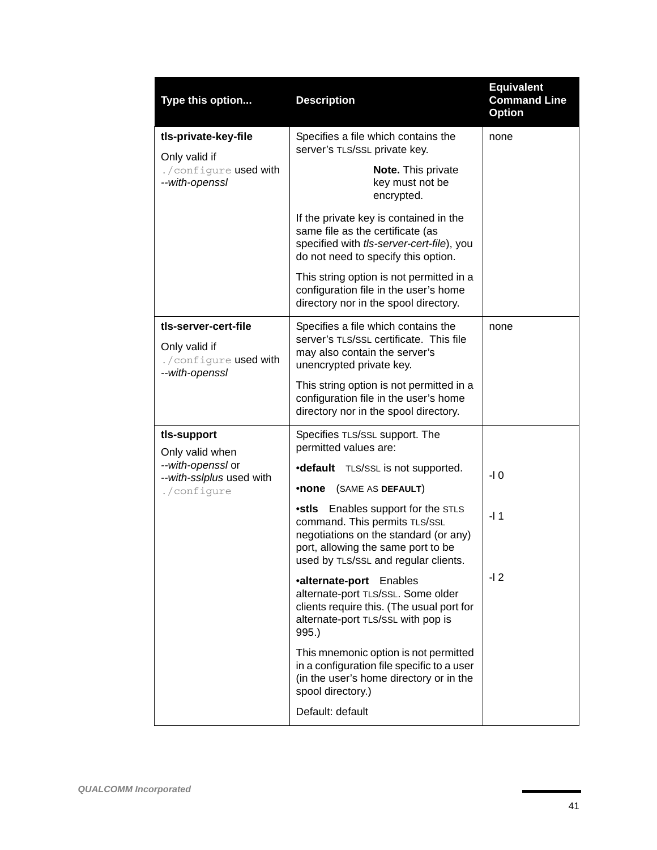| Type this option                                                                 | <b>Description</b>                                                                                                                                                                                | <b>Equivalent</b><br><b>Command Line</b><br><b>Option</b> |
|----------------------------------------------------------------------------------|---------------------------------------------------------------------------------------------------------------------------------------------------------------------------------------------------|-----------------------------------------------------------|
| tls-private-key-file<br>Only valid if                                            | Specifies a file which contains the<br>server's TLS/SSL private key.                                                                                                                              | none                                                      |
| ./configure used with<br>--with-openssl                                          | Note. This private<br>key must not be<br>encrypted.                                                                                                                                               |                                                           |
|                                                                                  | If the private key is contained in the<br>same file as the certificate (as<br>specified with tls-server-cert-file), you<br>do not need to specify this option.                                    |                                                           |
|                                                                                  | This string option is not permitted in a<br>configuration file in the user's home<br>directory nor in the spool directory.                                                                        |                                                           |
| tls-server-cert-file<br>Only valid if<br>./configure used with<br>--with-openssl | Specifies a file which contains the<br>server's TLS/SSL certificate. This file<br>may also contain the server's<br>unencrypted private key.                                                       | none                                                      |
|                                                                                  | This string option is not permitted in a<br>configuration file in the user's home<br>directory nor in the spool directory.                                                                        |                                                           |
| tls-support<br>Only valid when                                                   | Specifies TLS/SSL support. The<br>permitted values are:                                                                                                                                           |                                                           |
| --with-openssl or<br>--with-sslplus used with<br>./configure                     | •default TLS/SSL is not supported.<br>(SAME AS DEFAULT)<br>•none                                                                                                                                  | $-10$                                                     |
|                                                                                  | <b>•stls</b> Enables support for the STLS<br>command. This permits TLS/SSL<br>negotiations on the standard (or any)<br>port, allowing the same port to be<br>used by TLS/SSL and regular clients. | $-11$                                                     |
|                                                                                  | •alternate-port Enables<br>alternate-port TLS/SSL. Some older<br>clients require this. (The usual port for<br>alternate-port TLS/SSL with pop is<br>995.                                          | $-12$                                                     |
|                                                                                  | This mnemonic option is not permitted<br>in a configuration file specific to a user<br>(in the user's home directory or in the<br>spool directory.)                                               |                                                           |
|                                                                                  | Default: default                                                                                                                                                                                  |                                                           |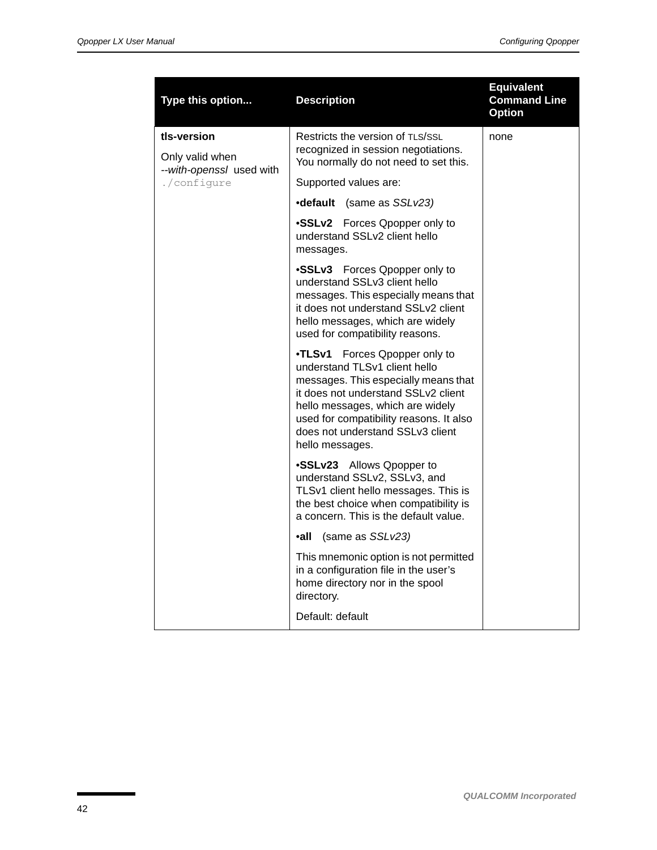| Type this option               | <b>Description</b>                                                                                                                                                                                                                                                                     | <b>Equivalent</b><br><b>Command Line</b><br><b>Option</b> |
|--------------------------------|----------------------------------------------------------------------------------------------------------------------------------------------------------------------------------------------------------------------------------------------------------------------------------------|-----------------------------------------------------------|
| tls-version<br>Only valid when | Restricts the version of TLS/SSL<br>recognized in session negotiations.                                                                                                                                                                                                                | none                                                      |
| --with-openssl used with       | You normally do not need to set this.                                                                                                                                                                                                                                                  |                                                           |
| ./configure                    | Supported values are:                                                                                                                                                                                                                                                                  |                                                           |
|                                | <b>•default</b> (same as SSLv23)                                                                                                                                                                                                                                                       |                                                           |
|                                | •SSLv2 Forces Qpopper only to<br>understand SSLv2 client hello<br>messages.                                                                                                                                                                                                            |                                                           |
|                                | •SSLv3 Forces Qpopper only to<br>understand SSLv3 client hello<br>messages. This especially means that<br>it does not understand SSLv2 client<br>hello messages, which are widely<br>used for compatibility reasons.                                                                   |                                                           |
|                                | •TLSv1<br>Forces Qpopper only to<br>understand TLSv1 client hello<br>messages. This especially means that<br>it does not understand SSLv2 client<br>hello messages, which are widely<br>used for compatibility reasons. It also<br>does not understand SSLv3 client<br>hello messages. |                                                           |
|                                | •SSLv23 Allows Qpopper to<br>understand SSLv2, SSLv3, and<br>TLSv1 client hello messages. This is<br>the best choice when compatibility is<br>a concern. This is the default value.                                                                                                    |                                                           |
|                                | ∙all<br>(same as SSLv23)                                                                                                                                                                                                                                                               |                                                           |
|                                | This mnemonic option is not permitted<br>in a configuration file in the user's<br>home directory nor in the spool<br>directory.                                                                                                                                                        |                                                           |
|                                | Default: default                                                                                                                                                                                                                                                                       |                                                           |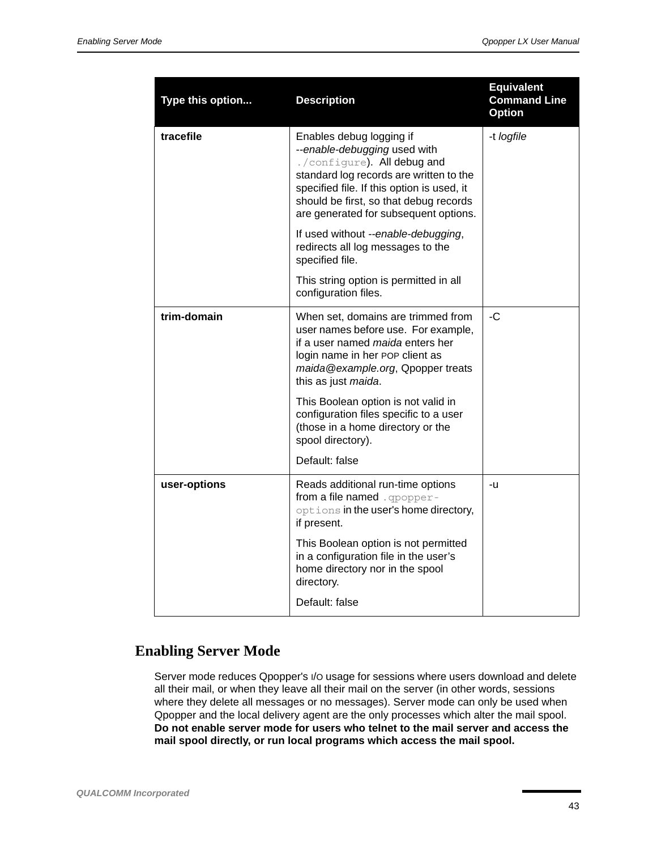| Type this option | <b>Description</b>                                                                                                                                                                                                                                                  | <b>Equivalent</b><br><b>Command Line</b><br><b>Option</b> |
|------------------|---------------------------------------------------------------------------------------------------------------------------------------------------------------------------------------------------------------------------------------------------------------------|-----------------------------------------------------------|
| tracefile        | Enables debug logging if<br>--enable-debugging used with<br>./configure). All debug and<br>standard log records are written to the<br>specified file. If this option is used, it<br>should be first, so that debug records<br>are generated for subsequent options. | -t logfile                                                |
|                  | If used without --enable-debugging,<br>redirects all log messages to the<br>specified file.                                                                                                                                                                         |                                                           |
|                  | This string option is permitted in all<br>configuration files.                                                                                                                                                                                                      |                                                           |
| trim-domain      | When set, domains are trimmed from<br>user names before use. For example,<br>if a user named maida enters her<br>login name in her POP client as<br>maida@example.org, Qpopper treats<br>this as just maida.                                                        | -C                                                        |
|                  | This Boolean option is not valid in<br>configuration files specific to a user<br>(those in a home directory or the<br>spool directory).                                                                                                                             |                                                           |
|                  | Default: false                                                                                                                                                                                                                                                      |                                                           |
| user-options     | Reads additional run-time options<br>from a file named . opopper-<br>options in the user's home directory,<br>if present.                                                                                                                                           | -u                                                        |
|                  | This Boolean option is not permitted<br>in a configuration file in the user's<br>home directory nor in the spool<br>directory.                                                                                                                                      |                                                           |
|                  | Default: false                                                                                                                                                                                                                                                      |                                                           |

## <span id="page-42-0"></span>**Enabling Server Mode**

Server mode reduces Qpopper's I/O usage for sessions where users download and delete all their mail, or when they leave all their mail on the server (in other words, sessions where they delete all messages or no messages). Server mode can only be used when Qpopper and the local delivery agent are the only processes which alter the mail spool. **Do not enable server mode for users who telnet to the mail server and access the mail spool directly, or run local programs which access the mail spool.**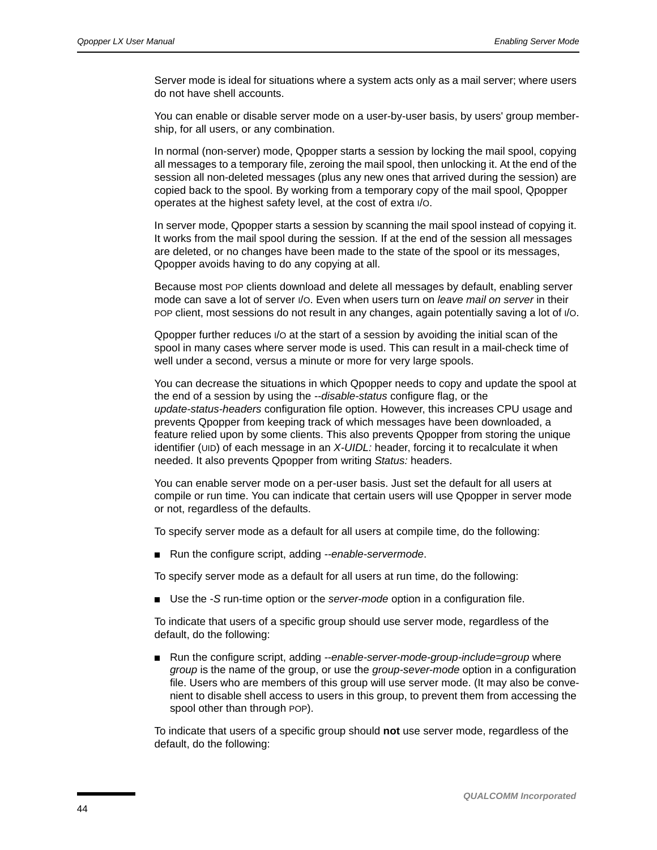Server mode is ideal for situations where a system acts only as a mail server; where users do not have shell accounts.

You can enable or disable server mode on a user-by-user basis, by users' group membership, for all users, or any combination.

In normal (non-server) mode, Qpopper starts a session by locking the mail spool, copying all messages to a temporary file, zeroing the mail spool, then unlocking it. At the end of the session all non-deleted messages (plus any new ones that arrived during the session) are copied back to the spool. By working from a temporary copy of the mail spool, Qpopper operates at the highest safety level, at the cost of extra I/O.

In server mode, Qpopper starts a session by scanning the mail spool instead of copying it. It works from the mail spool during the session. If at the end of the session all messages are deleted, or no changes have been made to the state of the spool or its messages, Qpopper avoids having to do any copying at all.

Because most POP clients download and delete all messages by default, enabling server mode can save a lot of server I/O. Even when users turn on *leave mail on server* in their POP client, most sessions do not result in any changes, again potentially saving a lot of I/O.

Qpopper further reduces I/O at the start of a session by avoiding the initial scan of the spool in many cases where server mode is used. This can result in a mail-check time of well under a second, versus a minute or more for very large spools.

You can decrease the situations in which Qpopper needs to copy and update the spool at the end of a session by using the *--disable-status* configure flag, or the *update-status-headers* configuration file option. However, this increases CPU usage and prevents Qpopper from keeping track of which messages have been downloaded, a feature relied upon by some clients. This also prevents Qpopper from storing the unique identifier (UID) of each message in an *X-UIDL:* header, forcing it to recalculate it when needed. It also prevents Qpopper from writing *Status:* headers.

You can enable server mode on a per-user basis. Just set the default for all users at compile or run time. You can indicate that certain users will use Qpopper in server mode or not, regardless of the defaults.

To specify server mode as a default for all users at compile time, do the following:

■ Run the configure script, adding --enable-servermode.

To specify server mode as a default for all users at run time, do the following:

■ Use the *-S* run-time option or the *server-mode* option in a configuration file.

To indicate that users of a specific group should use server mode, regardless of the default, do the following:

■ Run the configure script, adding *--enable-server-mode-group-include=group* where *group* is the name of the group, or use the *group-sever-mode* option in a configuration file. Users who are members of this group will use server mode. (It may also be convenient to disable shell access to users in this group, to prevent them from accessing the spool other than through POP).

To indicate that users of a specific group should **not** use server mode, regardless of the default, do the following: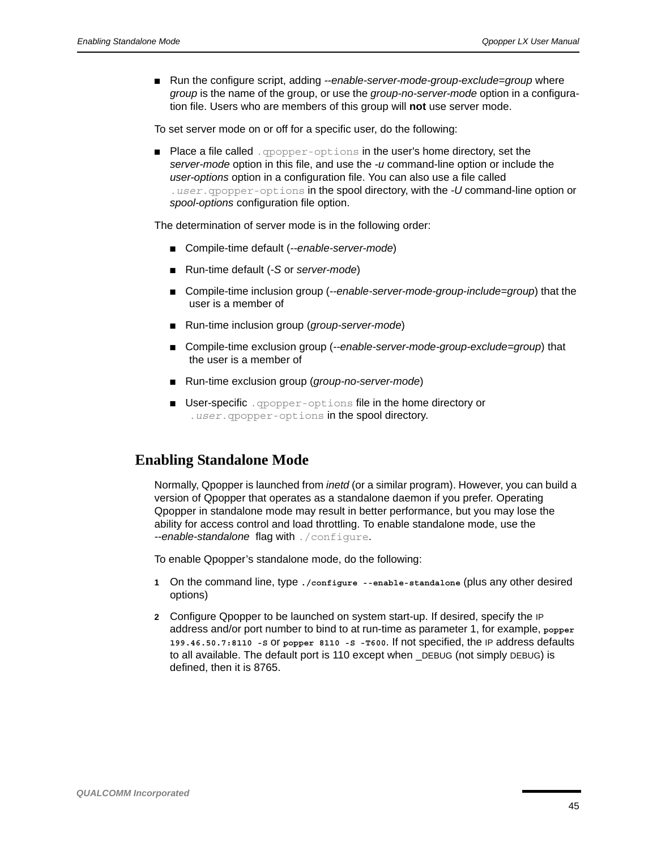■ Run the configure script, adding --enable-server-mode-group-exclude=group where *group* is the name of the group, or use the *group-no-server-mode* option in a configuration file. Users who are members of this group will **not** use server mode.

To set server mode on or off for a specific user, do the following:

■ Place a file called . opopper-options in the user's home directory, set the *server-mode* option in this file, and use the *-u* command-line option or include the *user-options* option in a configuration file. You can also use a file called .*user*.qpopper-options in the spool directory, with the *-U* command-line option or *spool-options* configuration file option.

The determination of server mode is in the following order:

- Compile-time default (--enable-server-mode)
- Run-time default (*-S* or *server-mode*)
- Compile-time inclusion group (--enable-server-mode-group-include=group) that the user is a member of
- Run-time inclusion group (*group-server-mode*)
- Compile-time exclusion group (--enable-server-mode-group-exclude=group) that the user is a member of
- Run-time exclusion group (*group-no-server-mode*)
- User-specific . qpopper-options file in the home directory or .*user*.qpopper-options in the spool directory.

## <span id="page-44-0"></span>**Enabling Standalone Mode**

Normally, Qpopper is launched from *inetd* (or a similar program). However, you can build a version of Qpopper that operates as a standalone daemon if you prefer. Operating Qpopper in standalone mode may result in better performance, but you may lose the ability for access control and load throttling. To enable standalone mode, use the *--enable-standalone* flag with ./configure.

To enable Qpopper's standalone mode, do the following:

- **1** On the command line, type **./configure --enable-standalone** (plus any other desired options)
- **2** Configure Qpopper to be launched on system start-up. If desired, specify the IP address and/or port number to bind to at run-time as parameter 1, for example, **popper 199.46.50.7:8110 -S** or **popper 8110 -S -T600**. If not specified, the IP address defaults to all available. The default port is 110 except when \_DEBUG (not simply DEBUG) is defined, then it is 8765.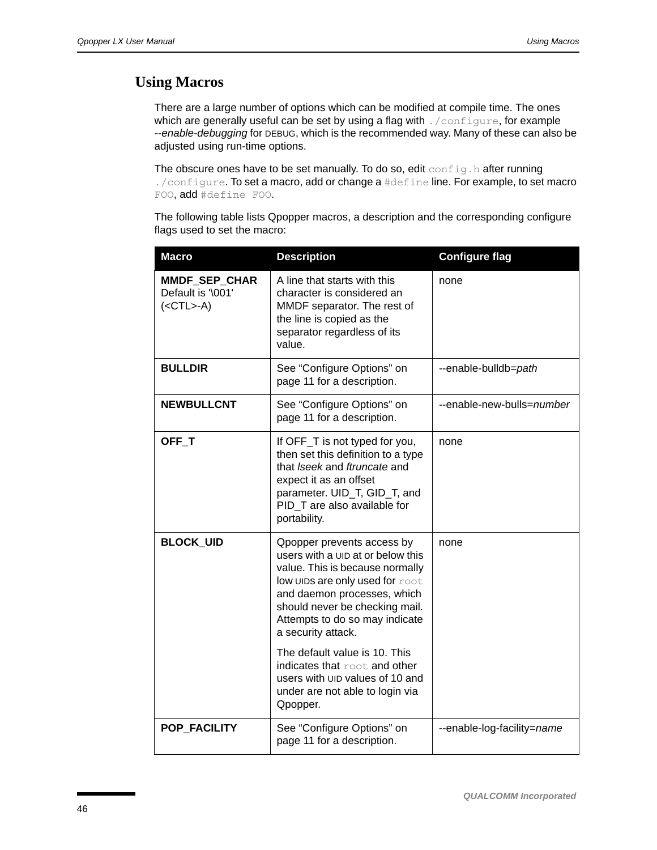## **Using Macros**

There are a large number of options which can be modified at compile time. The ones which are generally useful can be set by using a flag with . /configure, for example *--enable-debugging* for DEBUG, which is the recommended way. Many of these can also be adjusted using run-time options.

The obscure ones have to be set manually. To do so, edit config.h after running ./configure. To set a macro, add or change a #define line. For example, to set macro FOO, add #define FOO.

The following table lists Qpopper macros, a description and the corresponding configure flags used to set the macro:

| <b>Macro</b>                                       | <b>Description</b>                                                                                                                                                                                                                                                                              | <b>Configure flag</b>      |
|----------------------------------------------------|-------------------------------------------------------------------------------------------------------------------------------------------------------------------------------------------------------------------------------------------------------------------------------------------------|----------------------------|
| MMDF_SEP_CHAR<br>Default is '\001'<br>$(<$ CTL>-A) | A line that starts with this<br>character is considered an<br>MMDF separator. The rest of<br>the line is copied as the<br>separator regardless of its<br>value.                                                                                                                                 | none                       |
| <b>BULLDIR</b>                                     | See "Configure Options" on<br>page 11 for a description.                                                                                                                                                                                                                                        | --enable-bulldb=path       |
| <b>NEWBULLCNT</b>                                  | See "Configure Options" on<br>page 11 for a description.                                                                                                                                                                                                                                        | --enable-new-bulls=number  |
| OFF_T                                              | If OFF_T is not typed for you,<br>then set this definition to a type<br>that Iseek and ftruncate and<br>expect it as an offset<br>parameter. UID_T, GID_T, and<br>PID_T are also available for<br>portability.                                                                                  | none                       |
| <b>BLOCK_UID</b>                                   | Opopper prevents access by<br>users with a UID at or below this<br>value. This is because normally<br>low UIDs are only used for root<br>and daemon processes, which<br>should never be checking mail.<br>Attempts to do so may indicate<br>a security attack.<br>The default value is 10. This | none                       |
|                                                    | indicates that root and other<br>users with UID values of 10 and<br>under are not able to login via<br>Qpopper.                                                                                                                                                                                 |                            |
| POP_FACILITY                                       | See "Configure Options" on<br>page 11 for a description.                                                                                                                                                                                                                                        | --enable-log-facility=name |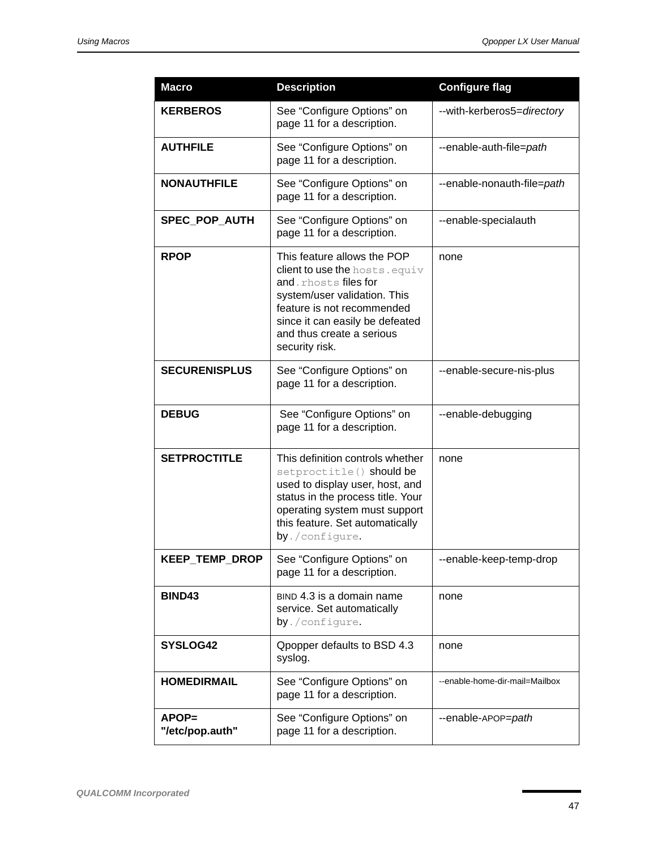| <b>Macro</b>             | <b>Description</b>                                                                                                                                                                                                                    | <b>Configure flag</b>          |
|--------------------------|---------------------------------------------------------------------------------------------------------------------------------------------------------------------------------------------------------------------------------------|--------------------------------|
| <b>KERBEROS</b>          | See "Configure Options" on<br>page 11 for a description.                                                                                                                                                                              | --with-kerberos5=directory     |
| <b>AUTHFILE</b>          | See "Configure Options" on<br>page 11 for a description.                                                                                                                                                                              | --enable-auth-file=path        |
| <b>NONAUTHFILE</b>       | See "Configure Options" on<br>page 11 for a description.                                                                                                                                                                              | --enable-nonauth-file=path     |
| SPEC_POP_AUTH            | See "Configure Options" on<br>page 11 for a description.                                                                                                                                                                              | --enable-specialauth           |
| <b>RPOP</b>              | This feature allows the POP<br>client to use the hosts. equiv<br>and.rhosts files for<br>system/user validation. This<br>feature is not recommended<br>since it can easily be defeated<br>and thus create a serious<br>security risk. | none                           |
| <b>SECURENISPLUS</b>     | See "Configure Options" on<br>page 11 for a description.                                                                                                                                                                              | --enable-secure-nis-plus       |
| <b>DEBUG</b>             | See "Configure Options" on<br>page 11 for a description.                                                                                                                                                                              | --enable-debugging             |
| <b>SETPROCTITLE</b>      | This definition controls whether<br>setproctitle() should be<br>used to display user, host, and<br>status in the process title. Your<br>operating system must support<br>this feature. Set automatically<br>by./configure.            | none                           |
| KEEP_TEMP_DROP           | See "Configure Options" on<br>page 11 for a description.                                                                                                                                                                              | --enable-keep-temp-drop        |
| BIND43                   | BIND 4.3 is a domain name<br>service. Set automatically<br>by./configure.                                                                                                                                                             | none                           |
| SYSLOG42                 | Opopper defaults to BSD 4.3<br>syslog.                                                                                                                                                                                                | none                           |
| <b>HOMEDIRMAIL</b>       | See "Configure Options" on<br>page 11 for a description.                                                                                                                                                                              | --enable-home-dir-mail=Mailbox |
| APOP=<br>"/etc/pop.auth" | See "Configure Options" on<br>page 11 for a description.                                                                                                                                                                              | --enable-APOP=path             |

×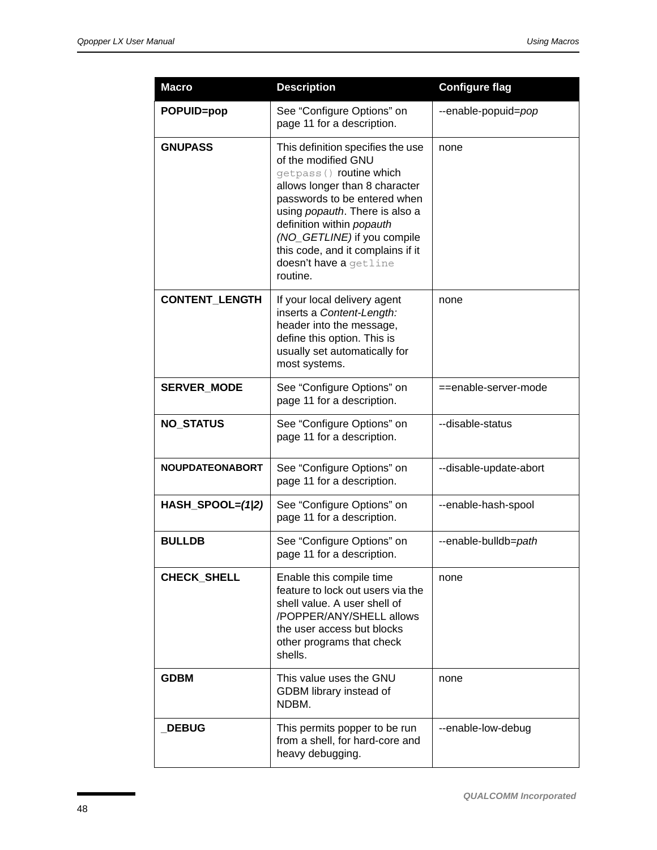| <b>Macro</b>           | <b>Description</b>                                                                                                                                                                                                                                                                                                              | <b>Configure flag</b>  |  |
|------------------------|---------------------------------------------------------------------------------------------------------------------------------------------------------------------------------------------------------------------------------------------------------------------------------------------------------------------------------|------------------------|--|
| POPUID=pop             | See "Configure Options" on<br>page 11 for a description.                                                                                                                                                                                                                                                                        | --enable-popuid=pop    |  |
| <b>GNUPASS</b>         | This definition specifies the use<br>of the modified GNU<br>getpass () routine which<br>allows longer than 8 character<br>passwords to be entered when<br>using popauth. There is also a<br>definition within popauth<br>(NO_GETLINE) if you compile<br>this code, and it complains if it<br>doesn't have a getline<br>routine. | none                   |  |
| <b>CONTENT LENGTH</b>  | If your local delivery agent<br>none<br>inserts a Content-Length:<br>header into the message,<br>define this option. This is<br>usually set automatically for<br>most systems.                                                                                                                                                  |                        |  |
| <b>SERVER_MODE</b>     | See "Configure Options" on<br>page 11 for a description.                                                                                                                                                                                                                                                                        | ==enable-server-mode   |  |
| <b>NO_STATUS</b>       | See "Configure Options" on<br>page 11 for a description.                                                                                                                                                                                                                                                                        | --disable-status       |  |
| <b>NOUPDATEONABORT</b> | See "Configure Options" on<br>page 11 for a description.                                                                                                                                                                                                                                                                        | --disable-update-abort |  |
| $HASH$ _SPOOL= $(1/2)$ | See "Configure Options" on<br>page 11 for a description.                                                                                                                                                                                                                                                                        | --enable-hash-spool    |  |
| <b>BULLDB</b>          | See "Configure Options" on<br>--enable-bulldb=path<br>page 11 for a description.                                                                                                                                                                                                                                                |                        |  |
| <b>CHECK SHELL</b>     | Enable this compile time<br>feature to lock out users via the<br>shell value. A user shell of<br>/POPPER/ANY/SHELL allows<br>the user access but blocks<br>other programs that check<br>shells.                                                                                                                                 |                        |  |
| <b>GDBM</b>            | This value uses the GNU<br>GDBM library instead of<br>NDBM.                                                                                                                                                                                                                                                                     | none                   |  |
| <b>DEBUG</b>           | This permits popper to be run<br>from a shell, for hard-core and<br>heavy debugging.                                                                                                                                                                                                                                            | --enable-low-debug     |  |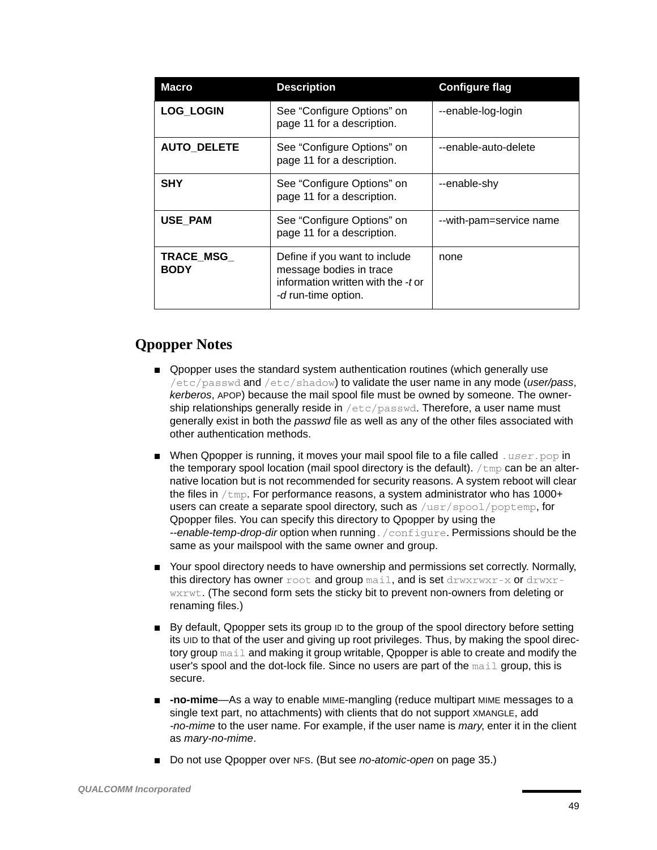| <b>Macro</b>              | <b>Description</b>                                                                                                    | <b>Configure flag</b>   |  |
|---------------------------|-----------------------------------------------------------------------------------------------------------------------|-------------------------|--|
| <b>LOG LOGIN</b>          | See "Configure Options" on<br>page 11 for a description.                                                              | --enable-log-login      |  |
| <b>AUTO DELETE</b>        | See "Configure Options" on<br>page 11 for a description.                                                              | --enable-auto-delete    |  |
| <b>SHY</b>                | See "Configure Options" on<br>page 11 for a description.                                                              | --enable-shy            |  |
| <b>USE PAM</b>            | See "Configure Options" on<br>page 11 for a description.                                                              | --with-pam=service name |  |
| TRACE_MSG_<br><b>BODY</b> | Define if you want to include<br>message bodies in trace<br>information written with the -t or<br>-d run-time option. | none                    |  |

## **Qpopper Notes**

- Qpopper uses the standard system authentication routines (which generally use /etc/passwd and /etc/shadow) to validate the user name in any mode (*user/pass*, *kerberos*, APOP) because the mail spool file must be owned by someone. The ownership relationships generally reside in /etc/passwd. Therefore, a user name must generally exist in both the *passwd* file as well as any of the other files associated with other authentication methods.
- When Qpopper is running, it moves your mail spool file to a file called *user*.pop in the temporary spool location (mail spool directory is the default).  $/\text{tmp}$  can be an alternative location but is not recommended for security reasons. A system reboot will clear the files in  $/\text{tmp}$ . For performance reasons, a system administrator who has 1000+ users can create a separate spool directory, such as /usr/spool/poptemp, for Qpopper files. You can specify this directory to Qpopper by using the *--enable-temp-drop-dir* option when running./configure. Permissions should be the same as your mailspool with the same owner and group.
- Your spool directory needs to have ownership and permissions set correctly. Normally, this directory has owner  $\text{root}$  and  $\text{group}\,\text{mail},$  and is set  $\text{draw}\text{true}$  - x or  $\text{draw}\text{true}$ wxrwt. (The second form sets the sticky bit to prevent non-owners from deleting or renaming files.)
- By default, Qpopper sets its group ID to the group of the spool directory before setting its UID to that of the user and giving up root privileges. Thus, by making the spool directory group mail and making it group writable, Qpopper is able to create and modify the user's spool and the dot-lock file. Since no users are part of the mail group, this is secure.
- **-no-mime**—As a way to enable MIME-mangling (reduce multipart MIME messages to a single text part, no attachments) with clients that do not support XMANGLE, add *-no-mime* to the user name. For example, if the user name is *mary*, enter it in the client as *mary-no-mime*.
- Do not use Qpopper over NFS. (But see *no-atomic-open* on [page 35.](#page-34-0))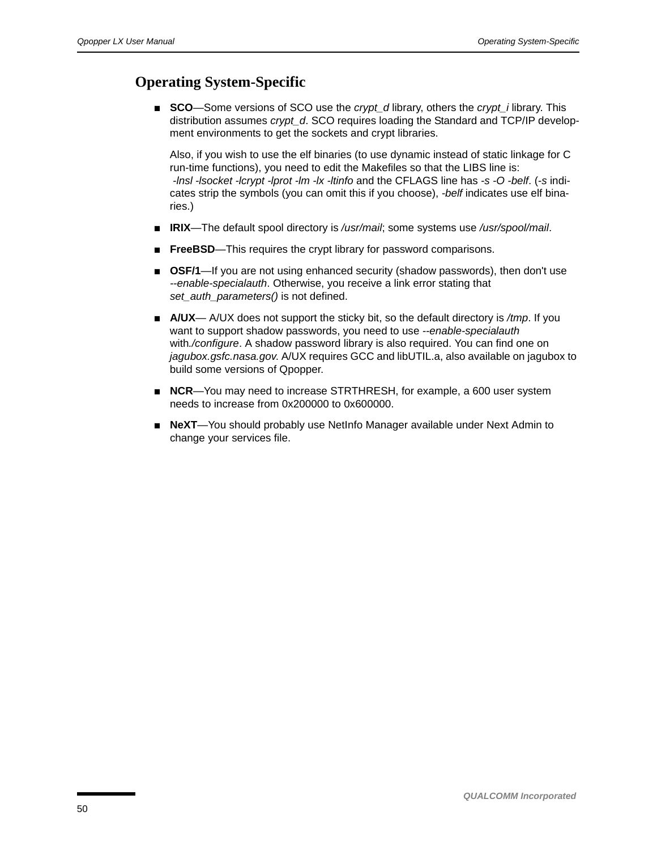## **Operating System-Specific**

■ **SCO**—Some versions of SCO use the *crypt\_d* library, others the *crypt\_i* library. This distribution assumes *crypt\_d*. SCO requires loading the Standard and TCP/IP development environments to get the sockets and crypt libraries.

Also, if you wish to use the elf binaries (to use dynamic instead of static linkage for C run-time functions), you need to edit the Makefiles so that the LIBS line is: *-lnsl -lsocket -lcrypt -lprot -lm -lx -ltinfo* and the CFLAGS line has *-s -O -belf*. (*-s* indicates strip the symbols (you can omit this if you choose), *-belf* indicates use elf binaries.)

- **IRIX**—The default spool directory is */usr/mail*; some systems use */usr/spool/mail*.
- **FreeBSD**—This requires the crypt library for password comparisons.
- **OSF/1**—If you are not using enhanced security (shadow passwords), then don't use *--enable-specialauth*. Otherwise, you receive a link error stating that *set\_auth\_parameters()* is not defined.
- **A/UX** A/UX does not support the sticky bit, so the default directory is /*tmp*. If you want to support shadow passwords, you need to use *--enable-specialauth* with*./configure*. A shadow password library is also required. You can find one on *jagubox.gsfc.nasa.gov*. A/UX requires GCC and libUTIL.a, also available on jagubox to build some versions of Qpopper.
- **NCR**—You may need to increase STRTHRESH, for example, a 600 user system needs to increase from 0x200000 to 0x600000.
- **NeXT**—You should probably use NetInfo Manager available under Next Admin to change your services file.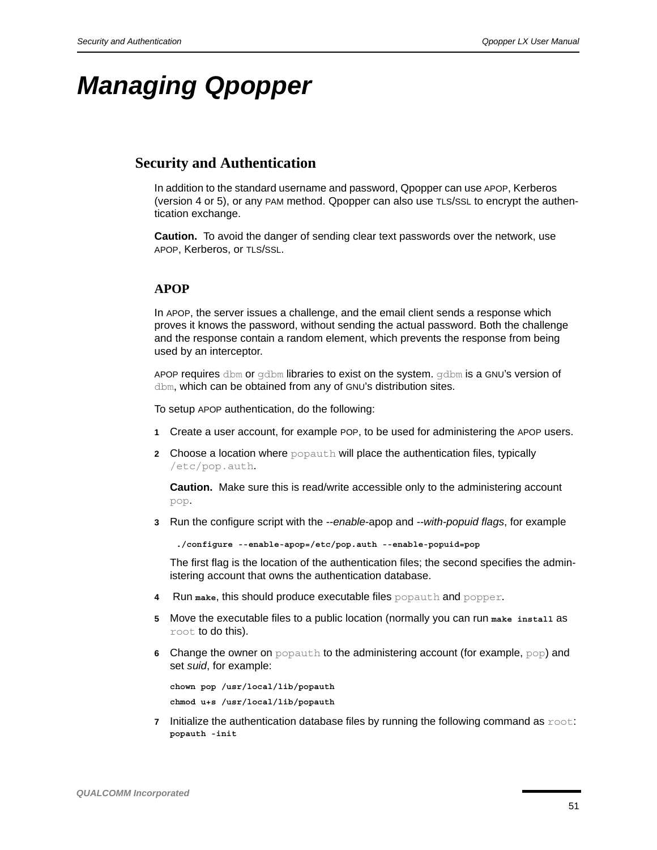# *Managing Qpopper*

## <span id="page-50-1"></span>**Security and Authentication**

In addition to the standard username and password, Qpopper can use APOP, Kerberos (version 4 or 5), or any PAM method. Qpopper can also use TLS/SSL to encrypt the authentication exchange.

**Caution.** To avoid the danger of sending clear text passwords over the network, use APOP, Kerberos, or TLS/SSL.

#### <span id="page-50-0"></span>**APOP**

In APOP, the server issues a challenge, and the email client sends a response which proves it knows the password, without sending the actual password. Both the challenge and the response contain a random element, which prevents the response from being used by an interceptor.

APOP requires dbm or  $q$ dbm libraries to exist on the system.  $q$ dbm is a GNU's version of dbm, which can be obtained from any of GNU's distribution sites.

To setup APOP authentication, do the following:

- **1** Create a user account, for example POP, to be used for administering the APOP users.
- **2** Choose a location where popauth will place the authentication files, typically /etc/pop.auth.

**Caution.** Make sure this is read/write accessible only to the administering account pop.

**3** Run the configure script with the *--enable*-apop and *--with-popuid flags*, for example

**./configure --enable-apop=/etc/pop.auth --enable-popuid=pop**

The first flag is the location of the authentication files; the second specifies the administering account that owns the authentication database.

- **4** Run **make**, this should produce executable files popauth and popper.
- **5** Move the executable files to a public location (normally you can run **make install** as root to do this).
- **6** Change the owner on popauth to the administering account (for example, pop) and set *suid*, for example:

```
chown pop /usr/local/lib/popauth 
chmod u+s /usr/local/lib/popauth
```
**7** Initialize the authentication database files by running the following command as  $\text{root}$ : **popauth -init**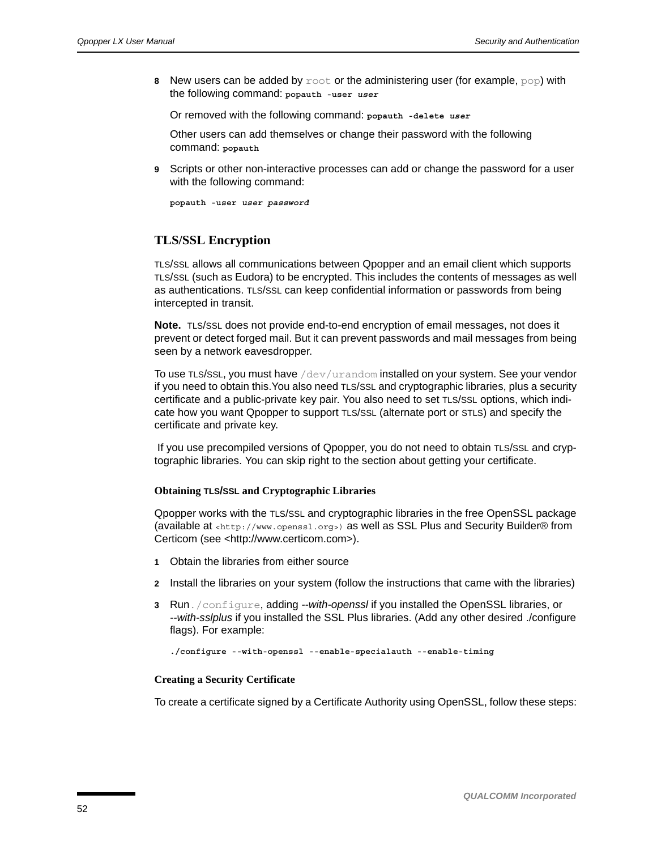**8** New users can be added by root or the administering user (for example, pop) with the following command: **popauth -user** *user*

Or removed with the following command: **popauth -delete** *user*

Other users can add themselves or change their password with the following command: **popauth**

**9** Scripts or other non-interactive processes can add or change the password for a user with the following command:

**popauth -user** *user password*

#### **TLS/SSL Encryption**

TLS/SSL allows all communications between Qpopper and an email client which supports TLS/SSL (such as Eudora) to be encrypted. This includes the contents of messages as well as authentications. TLS/SSL can keep confidential information or passwords from being intercepted in transit.

**Note.** TLS/SSL does not provide end-to-end encryption of email messages, not does it prevent or detect forged mail. But it can prevent passwords and mail messages from being seen by a network eavesdropper.

To use TLS/SSL, you must have  $/$  dev $/$ urandom installed on your system. See your vendor if you need to obtain this.You also need TLS/SSL and cryptographic libraries, plus a security certificate and a public-private key pair. You also need to set TLS/SSL options, which indicate how you want Qpopper to support TLS/SSL (alternate port or STLS) and specify the certificate and private key.

 If you use precompiled versions of Qpopper, you do not need to obtain TLS/SSL and cryptographic libraries. You can skip right to the section about getting your certificate.

#### **Obtaining TLS/SSL and Cryptographic Libraries**

Qpopper works with the TLS/SSL and cryptographic libraries in the free OpenSSL package (available at [<http://www.openssl.org>\)](http://www.openssl.org) [as well as SSL Plus and Security Builder® from](http://www.certicom.com)  [Certicom \(see <http://www.certicom.com>\).](http://www.certicom.com)

- **1** Obtain the libraries from either source
- **2** Install the libraries on your system (follow the instructions that came with the libraries)
- **3** Run./configure, adding *--with-openssl* if you installed the OpenSSL libraries, or *--with-sslplus* if you installed the SSL Plus libraries. (Add any other desired ./configure flags). For example:

```
./configure --with-openssl --enable-specialauth --enable-timing
```
#### **Creating a Security Certificate**

To create a certificate signed by a Certificate Authority using OpenSSL, follow these steps: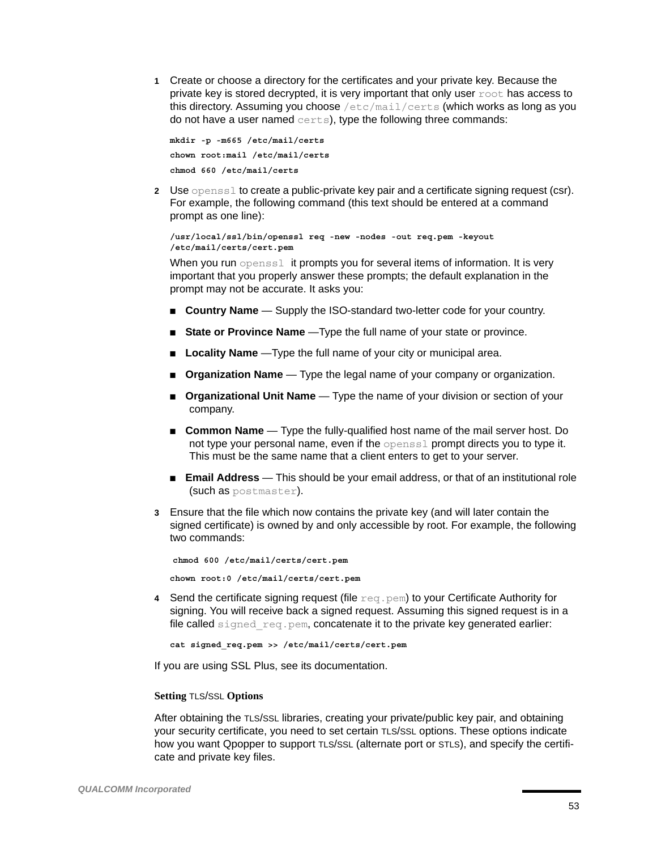**1** Create or choose a directory for the certificates and your private key. Because the private key is stored decrypted, it is very important that only user  $\text{root}$  has access to this directory. Assuming you choose /etc/mail/certs (which works as long as you do not have a user named certs), type the following three commands:

```
mkdir -p -m665 /etc/mail/certs
chown root:mail /etc/mail/certs
chmod 660 /etc/mail/certs
```
**2** Use openssl to create a public-private key pair and a certificate signing request (csr). For example, the following command (this text should be entered at a command prompt as one line):

```
/usr/local/ssl/bin/openssl req -new -nodes -out req.pem -keyout 
/etc/mail/certs/cert.pem
```
When you run opensslit prompts you for several items of information. It is very important that you properly answer these prompts; the default explanation in the prompt may not be accurate. It asks you:

- **Country Name** Supply the ISO-standard two-letter code for your country.
- **State or Province Name** —Type the full name of your state or province.
- **Locality Name** Type the full name of your city or municipal area.
- **Organization Name** Type the legal name of your company or organization.
- **Organizational Unit Name** Type the name of your division or section of your company.
- **Common Name** Type the fully-qualified host name of the mail server host. Do not type your personal name, even if the openssl prompt directs you to type it. This must be the same name that a client enters to get to your server.
- **Email Address** This should be your email address, or that of an institutional role (such as postmaster).
- **3** Ensure that the file which now contains the private key (and will later contain the signed certificate) is owned by and only accessible by root. For example, the following two commands:

```
chmod 600 /etc/mail/certs/cert.pem
chown root:0 /etc/mail/certs/cert.pem
```
**4** Send the certificate signing request (file  $\text{req.}$  pem) to your Certificate Authority for signing. You will receive back a signed request. Assuming this signed request is in a file called signed\_req.pem, concatenate it to the private key generated earlier:

```
cat signed_req.pem >> /etc/mail/certs/cert.pem
```
If you are using SSL Plus, see its documentation.

#### **Setting** TLS/SSL **Options**

After obtaining the TLS/SSL libraries, creating your private/public key pair, and obtaining your security certificate, you need to set certain TLS/SSL options. These options indicate how you want Qpopper to support TLS/SSL (alternate port or STLS), and specify the certificate and private key files.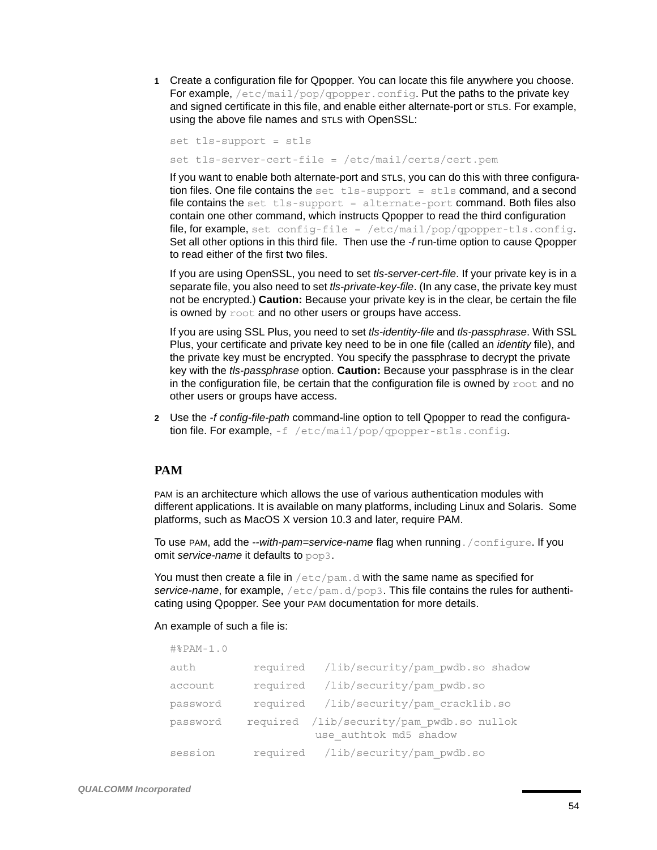**1** Create a configuration file for Qpopper. You can locate this file anywhere you choose. For example,  $/etc/mail/pop/qpopper.comfig.$  Put the paths to the private key and signed certificate in this file, and enable either alternate-port or STLS. For example, using the above file names and STLS with OpenSSL:

set tls-support = stls set tls-server-cert-file = /etc/mail/certs/cert.pem

If you want to enable both alternate-port and STLS, you can do this with three configuration files. One file contains the  $set$   $tls-support = stls$  command, and a second file contains the set tls-support = alternate-port command. Both files also contain one other command, which instructs Qpopper to read the third configuration file, for example, set config-file =  $/etc/mail/pop/qpopper-tls.comfig.$ Set all other options in this third file. Then use the *-f* run-time option to cause Qpopper to read either of the first two files.

If you are using OpenSSL, you need to set *tls-server-cert-file*. If your private key is in a separate file, you also need to set *tls-private-key-file*. (In any case, the private key must not be encrypted.) **Caution:** Because your private key is in the clear, be certain the file is owned by  $\text{root}$  and no other users or groups have access.

If you are using SSL Plus, you need to set *tls-identity-file* and *tls-passphrase*. With SSL Plus, your certificate and private key need to be in one file (called an *identity* file), and the private key must be encrypted. You specify the passphrase to decrypt the private key with the *tls-passphrase* option. **Caution:** Because your passphrase is in the clear in the configuration file, be certain that the configuration file is owned by  $\text{root}$  and no other users or groups have access.

**2** Use the *-f config-file-path* command-line option to tell Qpopper to read the configuration file. For example,  $-f$  /etc/mail/pop/qpopper-stls.config.

## **PAM**

PAM is an architecture which allows the use of various authentication modules with different applications. It is available on many platforms, including Linux and Solaris. Some platforms, such as MacOS X version 10.3 and later, require PAM.

To use PAM, add the *--with-pam=service-name* flag when running./configure. If you omit *service-name* it defaults to pop3.

You must then create a file in  $/$ etc $/$ pam.d with the same name as specified for *service-name*, for example, /etc/pam.d/pop3. This file contains the rules for authenticating using Qpopper. See your PAM documentation for more details.

#### An example of such a file is:

| $\text{\#}\text{\#}\text{PAM-1.0}$ |  |                                                                     |  |
|------------------------------------|--|---------------------------------------------------------------------|--|
| auth                               |  | required /lib/security/pam pwdb.so shadow                           |  |
| account                            |  | required /lib/security/pam pwdb.so                                  |  |
| password                           |  | required /lib/security/pam cracklib.so                              |  |
| password                           |  | required /lib/security/pam pwdb.so nullok<br>use authtok md5 shadow |  |
| session                            |  | required /lib/security/pam pwdb.so                                  |  |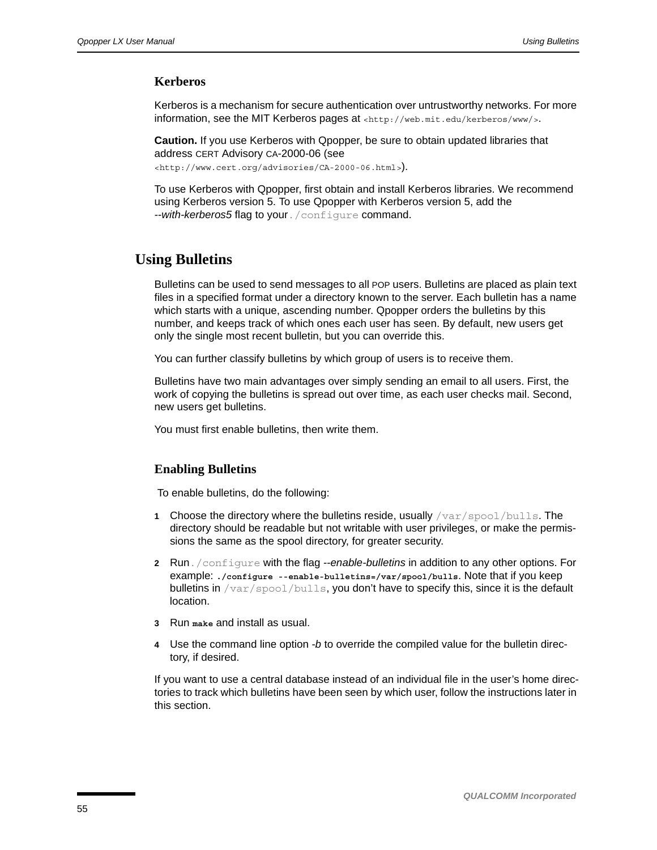#### **Kerberos**

Kerberos is a mechanism for secure authentication over untrustworthy networks. For more information, see the MIT Kerberos pages at [<http://web.mit.edu/kerberos/www/>](http://web.mit.edu/kerberos/www/).

**Caution.** If you use Kerberos with Qpopper, be sure to obtain updated libraries that address CERT Advisory CA-2000-06 (see

[<http://www.cert.org/advisories/CA-2000-06.html>](http://www.cert.org/advisories/CA-2000-06.html)).

To use Kerberos with Qpopper, first obtain and install Kerberos libraries. We recommend using Kerberos version 5. To use Qpopper with Kerberos version 5, add the *--with-kerberos5* flag to your./configure command.

## <span id="page-54-0"></span>**Using Bulletins**

Bulletins can be used to send messages to all POP users. Bulletins are placed as plain text files in a specified format under a directory known to the server. Each bulletin has a name which starts with a unique, ascending number. Qpopper orders the bulletins by this number, and keeps track of which ones each user has seen. By default, new users get only the single most recent bulletin, but you can override this.

You can further classify bulletins by which group of users is to receive them.

Bulletins have two main advantages over simply sending an email to all users. First, the work of copying the bulletins is spread out over time, as each user checks mail. Second, new users get bulletins.

You must first enable bulletins, then write them.

## **Enabling Bulletins**

To enable bulletins, do the following:

- **1** Choose the directory where the bulletins reside, usually /var/spool/bulls. The directory should be readable but not writable with user privileges, or make the permissions the same as the spool directory, for greater security.
- **2** Run./configure with the flag *--enable-bulletins* in addition to any other options. For example: **./configure --enable-bulletins=/var/spool/bulls**. Note that if you keep bulletins in  $/\text{var}/\text{spool}/\text{bulk}$ , you don't have to specify this, since it is the default location.
- **3** Run **make** and install as usual.
- **4** Use the command line option *-b* to override the compiled value for the bulletin directory, if desired.

If you want to use a central database instead of an individual file in the user's home directories to track which bulletins have been seen by which user, follow the instructions later in this section.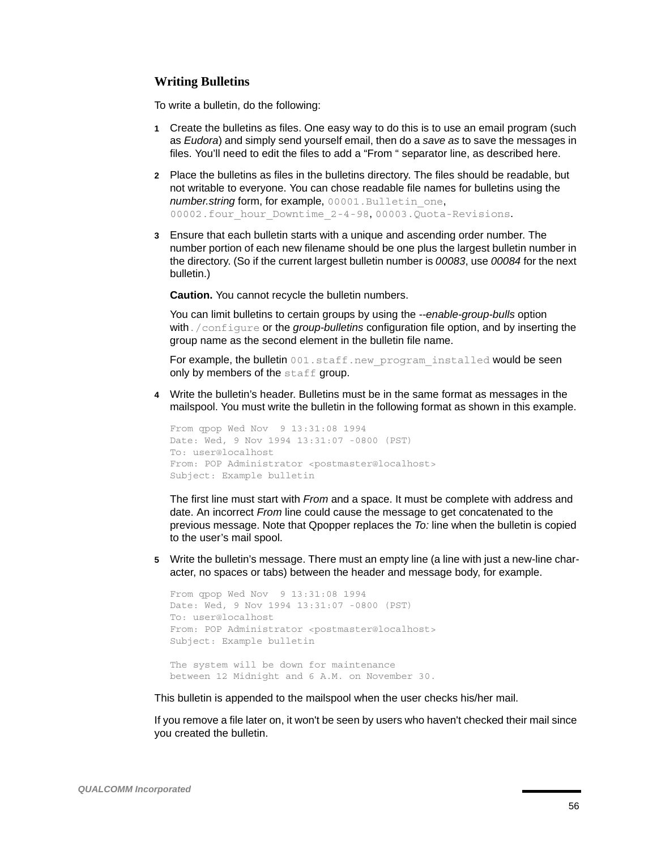#### **Writing Bulletins**

To write a bulletin, do the following:

- **1** Create the bulletins as files. One easy way to do this is to use an email program (such as *Eudora*) and simply send yourself email, then do a *save as* to save the messages in files. You'll need to edit the files to add a "From " separator line, as described here.
- **2** Place the bulletins as files in the bulletins directory. The files should be readable, but not writable to everyone. You can chose readable file names for bulletins using the *number.string* form, for example, 00001. Bulletin one, 00002.four hour Downtime 2-4-98, 00003.Quota-Revisions.
- **3** Ensure that each bulletin starts with a unique and ascending order number. The number portion of each new filename should be one plus the largest bulletin number in the directory. (So if the current largest bulletin number is *00083*, use *00084* for the next bulletin.)

**Caution.** You cannot recycle the bulletin numbers.

You can limit bulletins to certain groups by using the *--enable-group-bulls* option with./configure or the *group-bulletins* configuration file option, and by inserting the group name as the second element in the bulletin file name.

For example, the bulletin 001.staff.new\_program\_installed would be seen only by members of the  $\text{statf}$  group.

**4** Write the bulletin's header. Bulletins must be in the same format as messages in the mailspool. You must write the bulletin in the following format as shown in this example.

```
From qpop Wed Nov 9 13:31:08 1994
Date: Wed, 9 Nov 1994 13:31:07 -0800 (PST)
To: user@localhost
From: POP Administrator <postmaster@localhost>
Subject: Example bulletin
```
The first line must start with *From* and a space. It must be complete with address and date. An incorrect *From* line could cause the message to get concatenated to the previous message. Note that Qpopper replaces the *To:* line when the bulletin is copied to the user's mail spool.

**5** Write the bulletin's message. There must an empty line (a line with just a new-line character, no spaces or tabs) between the header and message body, for example.

```
From qpop Wed Nov 9 13:31:08 1994
Date: Wed, 9 Nov 1994 13:31:07 -0800 (PST)
To: user@localhost
From: POP Administrator <postmaster@localhost>
Subject: Example bulletin
The system will be down for maintenance 
between 12 Midnight and 6 A.M. on November 30.
```
This bulletin is appended to the mailspool when the user checks his/her mail.

If you remove a file later on, it won't be seen by users who haven't checked their mail since you created the bulletin.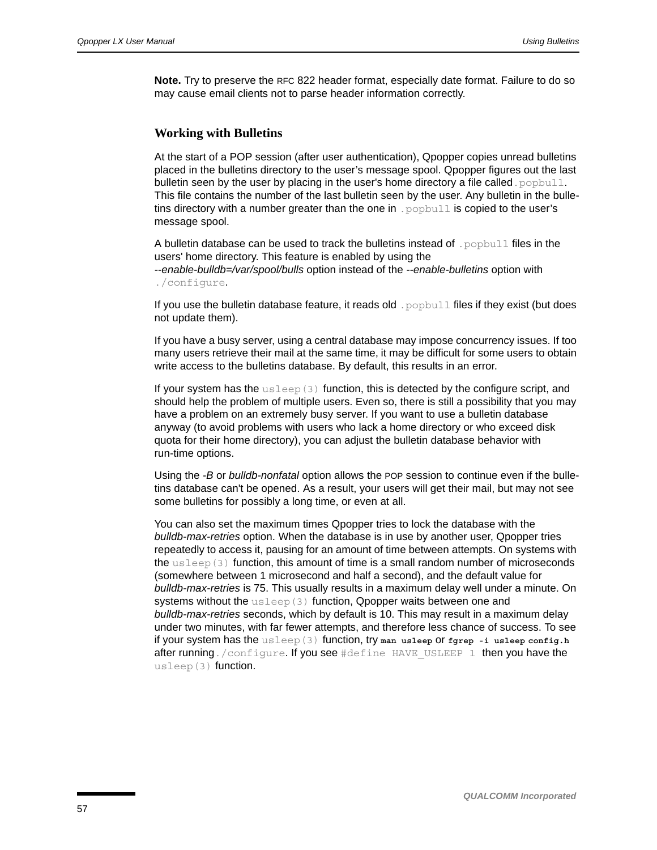**Note.** Try to preserve the RFC 822 header format, especially date format. Failure to do so may cause email clients not to parse header information correctly.

#### **Working with Bulletins**

At the start of a POP session (after user authentication), Qpopper copies unread bulletins placed in the bulletins directory to the user's message spool. Qpopper figures out the last bulletin seen by the user by placing in the user's home directory a file called. popbull. This file contains the number of the last bulletin seen by the user. Any bulletin in the bulletins directory with a number greater than the one in .  $p$ opbull is copied to the user's message spool.

A bulletin database can be used to track the bulletins instead of . popbull files in the users' home directory. This feature is enabled by using the *--enable-bulldb=/var/spool/bulls* option instead of the *--enable-bulletins* option with ./configure.

If you use the bulletin database feature, it reads old . popbull files if they exist (but does not update them).

If you have a busy server, using a central database may impose concurrency issues. If too many users retrieve their mail at the same time, it may be difficult for some users to obtain write access to the bulletins database. By default, this results in an error.

If your system has the  $\text{usleep}(3)$  function, this is detected by the configure script, and should help the problem of multiple users. Even so, there is still a possibility that you may have a problem on an extremely busy server. If you want to use a bulletin database anyway (to avoid problems with users who lack a home directory or who exceed disk quota for their home directory), you can adjust the bulletin database behavior with run-time options.

Using the *-B* or *bulldb-nonfatal* option allows the POP session to continue even if the bulletins database can't be opened. As a result, your users will get their mail, but may not see some bulletins for possibly a long time, or even at all.

You can also set the maximum times Qpopper tries to lock the database with the *bulldb-max-retries* option. When the database is in use by another user, Qpopper tries repeatedly to access it, pausing for an amount of time between attempts. On systems with the usleep(3) function, this amount of time is a small random number of microseconds (somewhere between 1 microsecond and half a second), and the default value for *bulldb-max-retries* is 75. This usually results in a maximum delay well under a minute. On systems without the usleep(3) function, Qpopper waits between one and *bulldb-max-retries* seconds, which by default is 10. This may result in a maximum delay under two minutes, with far fewer attempts, and therefore less chance of success. To see if your system has the usleep(3) function, try **man usleep** or **fgrep -i usleep config.h** after running./configure. If you see #define HAVE USLEEP 1 then you have the usleep(3) function.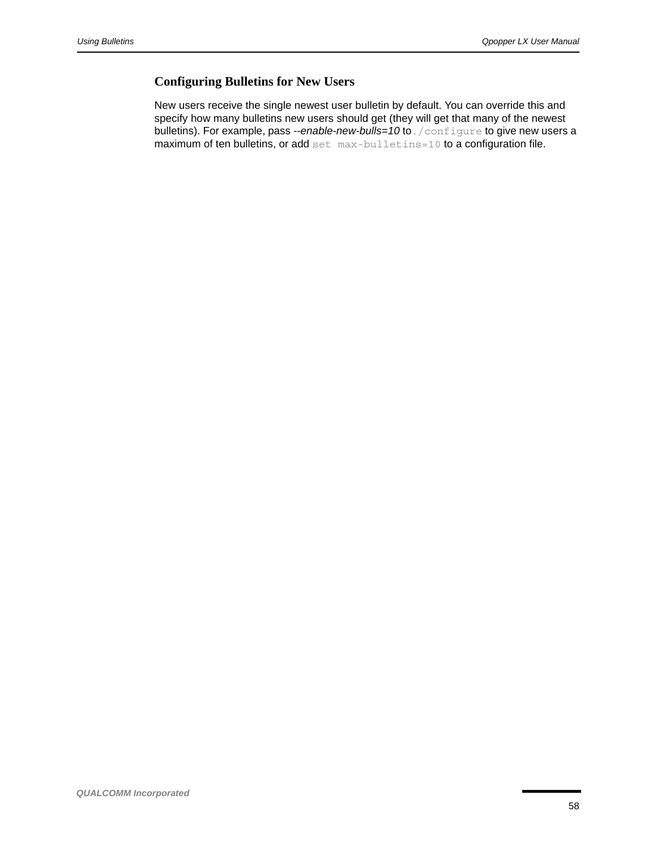## **Configuring Bulletins for New Users**

New users receive the single newest user bulletin by default. You can override this and specify how many bulletins new users should get (they will get that many of the newest bulletins). For example, pass --enable-new-bulls=10 to. /configure to give new users a maximum of ten bulletins, or add set max-bulletins=10 to a configuration file.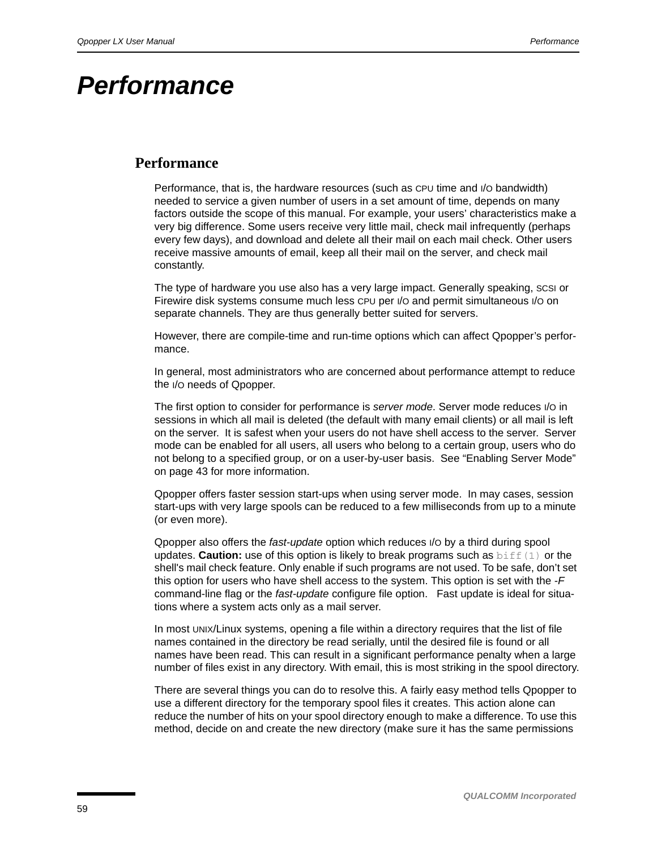# *Performance*

## <span id="page-58-0"></span>**Performance**

Performance, that is, the hardware resources (such as CPU time and I/O bandwidth) needed to service a given number of users in a set amount of time, depends on many factors outside the scope of this manual. For example, your users' characteristics make a very big difference. Some users receive very little mail, check mail infrequently (perhaps every few days), and download and delete all their mail on each mail check. Other users receive massive amounts of email, keep all their mail on the server, and check mail constantly.

The type of hardware you use also has a very large impact. Generally speaking, SCSI or Firewire disk systems consume much less CPU per I/O and permit simultaneous I/O on separate channels. They are thus generally better suited for servers.

However, there are compile-time and run-time options which can affect Qpopper's performance.

In general, most administrators who are concerned about performance attempt to reduce the I/O needs of Qpopper.

The first option to consider for performance is *server mode*. Server mode reduces I/O in sessions in which all mail is deleted (the default with many email clients) or all mail is left on the server. It is safest when your users do not have shell access to the server. Server mode can be enabled for all users, all users who belong to a certain group, users who do not belong to a specified group, or on a user-by-user basis. See ["Enabling Server Mode"](#page-42-0)  [on page 43](#page-42-0) for more information.

Qpopper offers faster session start-ups when using server mode. In may cases, session start-ups with very large spools can be reduced to a few milliseconds from up to a minute (or even more).

Qpopper also offers the *fast-update* option which reduces I/O by a third during spool updates. **Caution:** use of this option is likely to break programs such as biff(1) or the shell's mail check feature. Only enable if such programs are not used. To be safe, don't set this option for users who have shell access to the system. This option is set with the *-F* command-line flag or the *fast-update* configure file option. Fast update is ideal for situations where a system acts only as a mail server.

In most UNIX/Linux systems, opening a file within a directory requires that the list of file names contained in the directory be read serially, until the desired file is found or all names have been read. This can result in a significant performance penalty when a large number of files exist in any directory. With email, this is most striking in the spool directory.

There are several things you can do to resolve this. A fairly easy method tells Qpopper to use a different directory for the temporary spool files it creates. This action alone can reduce the number of hits on your spool directory enough to make a difference. To use this method, decide on and create the new directory (make sure it has the same permissions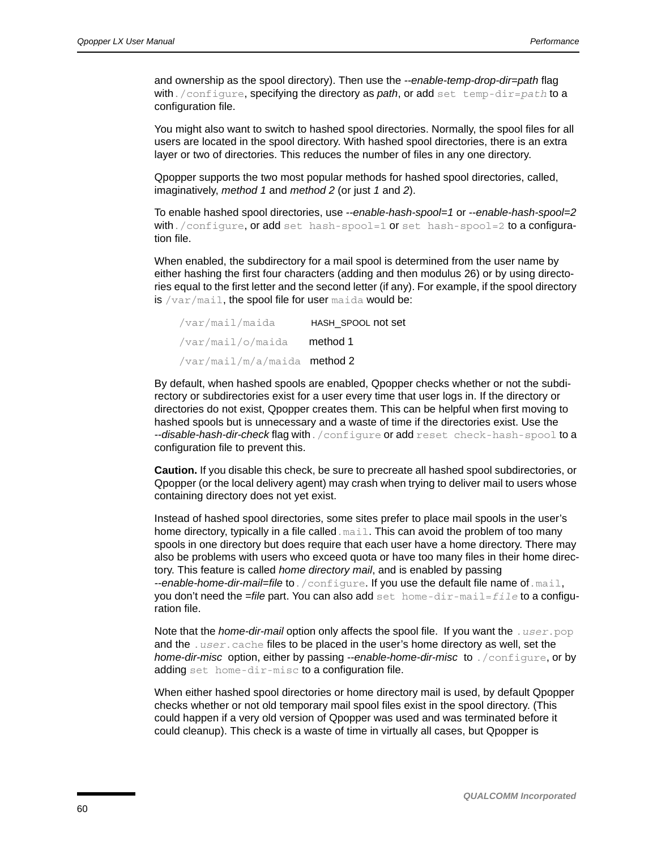and ownership as the spool directory). Then use the *--enable-temp-drop-dir=path* flag with./configure, specifying the directory as *path*, or add set temp-dir=*path* to a configuration file.

You might also want to switch to hashed spool directories. Normally, the spool files for all users are located in the spool directory. With hashed spool directories, there is an extra layer or two of directories. This reduces the number of files in any one directory.

Qpopper supports the two most popular methods for hashed spool directories, called, imaginatively, *method 1* and *method 2* (or just *1* and *2*).

To enable hashed spool directories, use *--enable-hash-spool=1* or *--enable-hash-spool=2* with./configure, or add set hash-spool=1 or set hash-spool=2 to a configuration file.

When enabled, the subdirectory for a mail spool is determined from the user name by either hashing the first four characters (adding and then modulus 26) or by using directories equal to the first letter and the second letter (if any). For example, if the spool directory is  $/var / \text{mail}$ , the spool file for user maida would be:

| /var/mail/maida                    | HASH SPOOL not set |
|------------------------------------|--------------------|
| /var/mail/o/maida <b>method1</b>   |                    |
| /var/mail/m/a/maida <b>method2</b> |                    |

By default, when hashed spools are enabled, Qpopper checks whether or not the subdirectory or subdirectories exist for a user every time that user logs in. If the directory or directories do not exist, Qpopper creates them. This can be helpful when first moving to hashed spools but is unnecessary and a waste of time if the directories exist. Use the *--disable-hash-dir-check* flag with./configure or add reset check-hash-spool to a configuration file to prevent this.

**Caution.** If you disable this check, be sure to precreate all hashed spool subdirectories, or Qpopper (or the local delivery agent) may crash when trying to deliver mail to users whose containing directory does not yet exist.

Instead of hashed spool directories, some sites prefer to place mail spools in the user's home directory, typically in a file called.mail. This can avoid the problem of too many spools in one directory but does require that each user have a home directory. There may also be problems with users who exceed quota or have too many files in their home directory. This feature is called *home directory mail*, and is enabled by passing *--enable-home-dir-mail=file* to./configure. If you use the default file name of.mail, you don't need the *=file* part. You can also add set home-dir-mail=*file* to a configuration file.

Note that the *home-dir-mail* option only affects the spool file. If you want the .*user*.pop and the .*user*.cache files to be placed in the user's home directory as well, set the *home-dir-misc* option, either by passing *--enable-home-dir-misc* to ./configure, or by adding set home-dir-misc to a configuration file.

When either hashed spool directories or home directory mail is used, by default Qpopper checks whether or not old temporary mail spool files exist in the spool directory. (This could happen if a very old version of Qpopper was used and was terminated before it could cleanup). This check is a waste of time in virtually all cases, but Qpopper is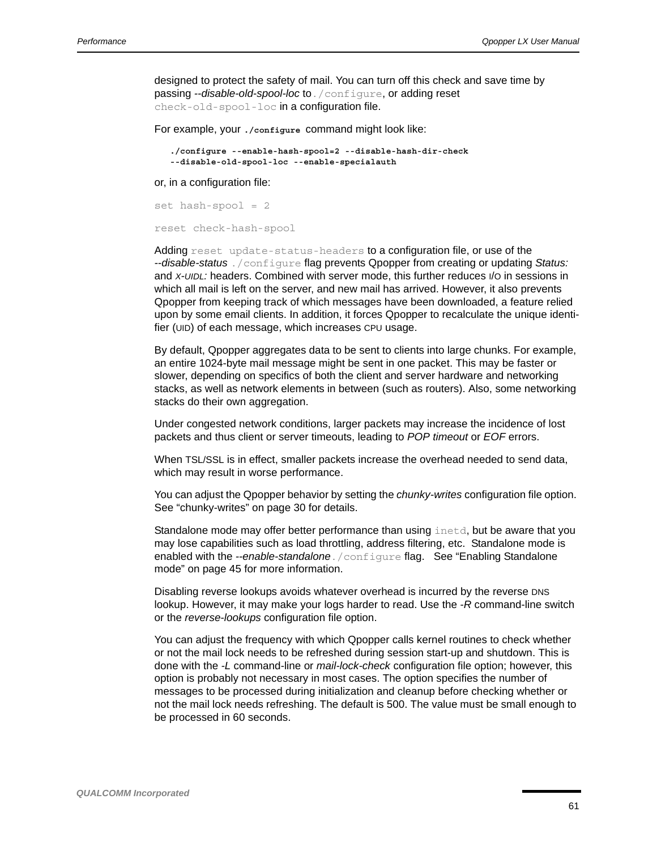designed to protect the safety of mail. You can turn off this check and save time by passing --disable-old-spool-loc to. /configure, or adding reset check-old-spool-loc in a configuration file.

For example, your **./configure** command might look like:

```
./configure --enable-hash-spool=2 --disable-hash-dir-check 
--disable-old-spool-loc --enable-specialauth
```
or, in a configuration file:

```
set hash-spool = 2
reset check-hash-spool
```
Adding reset update-status-headers to a configuration file, or use of the *--disable-status* ./configure flag prevents Qpopper from creating or updating *Status:*  and *X-UIDL:* headers. Combined with server mode, this further reduces I/O in sessions in which all mail is left on the server, and new mail has arrived. However, it also prevents Qpopper from keeping track of which messages have been downloaded, a feature relied upon by some email clients. In addition, it forces Qpopper to recalculate the unique identifier (UID) of each message, which increases CPU usage.

By default, Qpopper aggregates data to be sent to clients into large chunks. For example, an entire 1024-byte mail message might be sent in one packet. This may be faster or slower, depending on specifics of both the client and server hardware and networking stacks, as well as network elements in between (such as routers). Also, some networking stacks do their own aggregation.

Under congested network conditions, larger packets may increase the incidence of lost packets and thus client or server timeouts, leading to *POP timeout* or *EOF* errors.

When TSL/SSL is in effect, smaller packets increase the overhead needed to send data, which may result in worse performance.

You can adjust the Qpopper behavior by setting the *chunky-writes* configuration file option. See "chunky-writes" on [page 30](#page-29-0) for details.

Standalone mode may offer better performance than using inetd, but be aware that you may lose capabilities such as load throttling, address filtering, etc. Standalone mode is enabled with the *--enable-standalone*./configure flag. See "Enabling Standalone mode" on [page 45](#page-44-0) for more information.

Disabling reverse lookups avoids whatever overhead is incurred by the reverse DNS lookup. However, it may make your logs harder to read. Use the *-R* command-line switch or the *reverse-lookups* configuration file option.

You can adjust the frequency with which Qpopper calls kernel routines to check whether or not the mail lock needs to be refreshed during session start-up and shutdown. This is done with the *-L* command-line or *mail-lock-check* configuration file option; however, this option is probably not necessary in most cases. The option specifies the number of messages to be processed during initialization and cleanup before checking whether or not the mail lock needs refreshing. The default is 500. The value must be small enough to be processed in 60 seconds.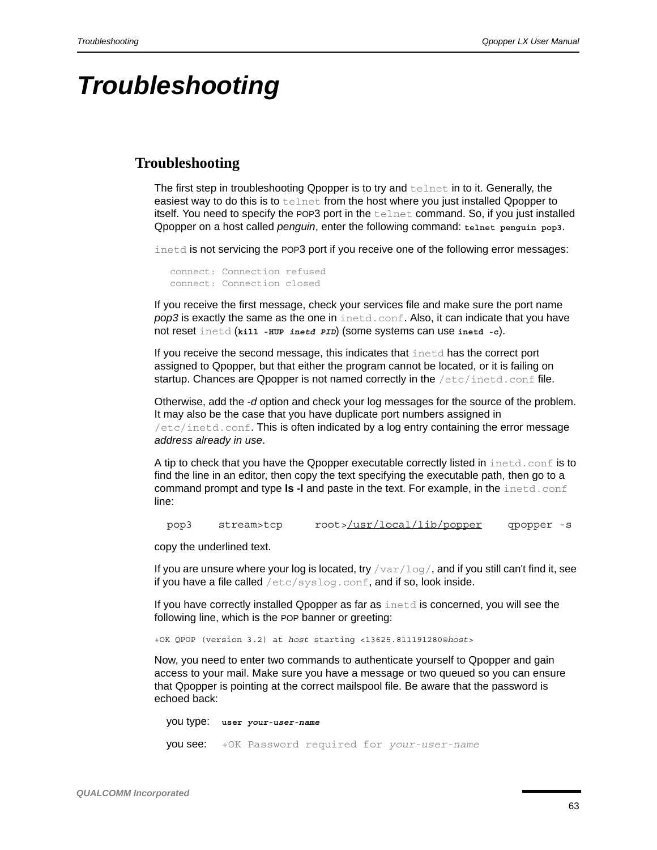## *Troubleshooting*

## **Troubleshooting**

The first step in troubleshooting Qpopper is to try and telnet in to it. Generally, the easiest way to do this is to telnet from the host where you just installed Qpopper to itself. You need to specify the POP3 port in the telnet command. So, if you just installed Qpopper on a host called *penguin*, enter the following command: **telnet penguin pop3**.

inetd is not servicing the POP3 port if you receive one of the following error messages:

```
connect: Connection refused
connect: Connection closed
```
If you receive the first message, check your services file and make sure the port name **pop3** is exactly the same as the one in inetd.conf. Also, it can indicate that you have not reset inetd (**kill -HUP** *inetd PID*) (some systems can use **inetd -c**).

If you receive the second message, this indicates that inetd has the correct port assigned to Qpopper, but that either the program cannot be located, or it is failing on startup. Chances are Qpopper is not named correctly in the  $/etc/ind.conf$  file.

Otherwise, add the *-d* option and check your log messages for the source of the problem. It may also be the case that you have duplicate port numbers assigned in  $/$ etc $/$ inetd.conf. This is often indicated by a log entry containing the error message *address already in use*.

A tip to check that you have the Qpopper executable correctly listed in inetd.conf is to find the line in an editor, then copy the text specifying the executable path, then go to a command prompt and type **ls -l** and paste in the text. For example, in the inetd.conf line:

pop3 stream>tcp root>/usr/local/lib/popper qpopper -s

copy the underlined text.

If you are unsure where your log is located, try  $/\text{var}/\text{log}/$ , and if you still can't find it, see if you have a file called  $/etc/syslog.com$ , and if so, look inside.

If you have correctly installed Qpopper as far as  $\Delta$  inetd is concerned, you will see the following line, which is the POP banner or greeting:

+OK QPOP (version 3.2) at *host* starting <13625.811191280@*host*>

Now, you need to enter two commands to authenticate yourself to Qpopper and gain access to your mail. Make sure you have a message or two queued so you can ensure that Qpopper is pointing at the correct mailspool file. Be aware that the password is echoed back:

 you type: **user** *your-user-name* you see: +OK Password required for *your-user-name*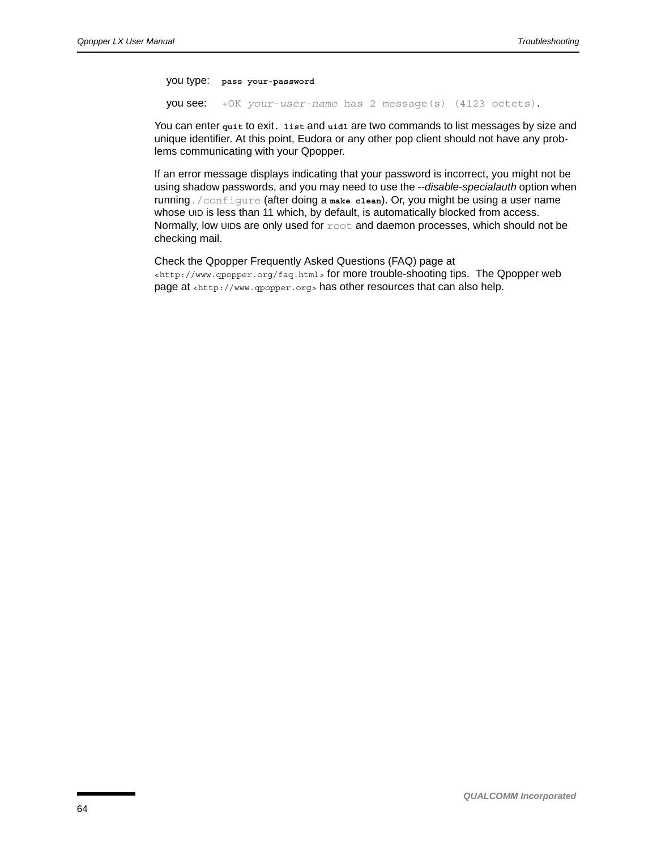you type: **pass your-password**

you see: +OK *your-user-name* has 2 message(s) (4123 octets).

You can enter quit to exit. list and uidl are two commands to list messages by size and unique identifier. At this point, Eudora or any other pop client should not have any problems communicating with your Qpopper.

If an error message displays indicating that your password is incorrect, you might not be using shadow passwords, and you may need to use the *--disable-specialauth* option when running./configure (after doing a **make clean**). Or, you might be using a user name whose UID is less than 11 which, by default, is automatically blocked from access. Normally, low UIDs are only used for  $\text{root}$  and daemon processes, which should not be checking mail.

Check the Qpopper Frequently Asked Questions (FAQ) page at [<http://www.qpopper.org/faq.html>](www.qpopper.org/faq.html) for more trouble-shooting tips. The Qpopper web page at [<http://www.qpopper.org>](http://www.qpopper.org) has other resources that can also help.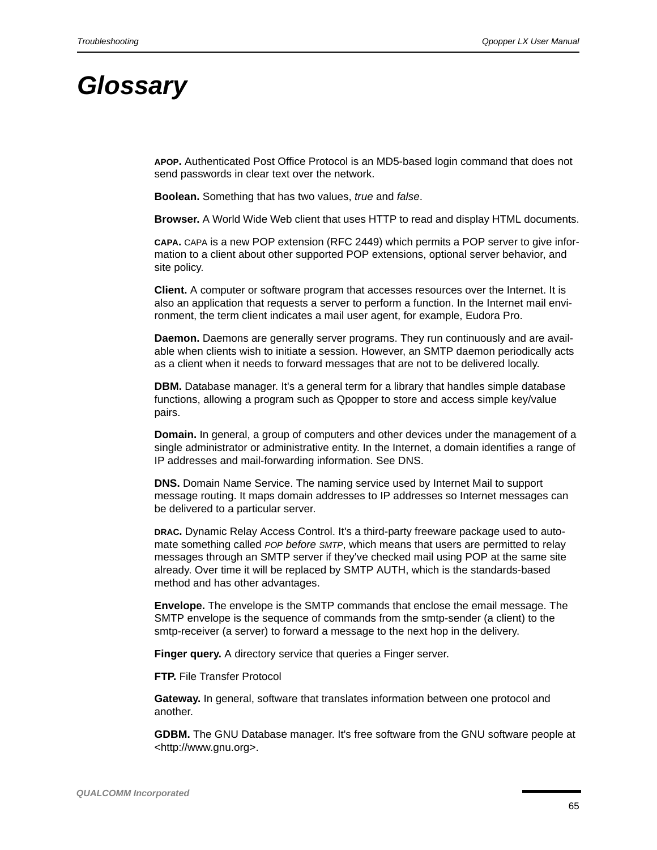# *Glossary*

**APOP.** Authenticated Post Office Protocol is an MD5-based login command that does not send passwords in clear text over the network.

**Boolean.** Something that has two values, *true* and *false*.

**Browser.** A World Wide Web client that uses HTTP to read and display HTML documents.

**CAPA.** CAPA is a new POP extension (RFC 2449) which permits a POP server to give information to a client about other supported POP extensions, optional server behavior, and site policy.

**Client.** A computer or software program that accesses resources over the Internet. It is also an application that requests a server to perform a function. In the Internet mail environment, the term client indicates a mail user agent, for example, Eudora Pro.

**Daemon.** Daemons are generally server programs. They run continuously and are available when clients wish to initiate a session. However, an SMTP daemon periodically acts as a client when it needs to forward messages that are not to be delivered locally.

**DBM.** Database manager. It's a general term for a library that handles simple database functions, allowing a program such as Qpopper to store and access simple key/value pairs.

**Domain.** In general, a group of computers and other devices under the management of a single administrator or administrative entity. In the Internet, a domain identifies a range of IP addresses and mail-forwarding information. See DNS.

**DNS.** Domain Name Service. The naming service used by Internet Mail to support message routing. It maps domain addresses to IP addresses so Internet messages can be delivered to a particular server.

**DRAC.** Dynamic Relay Access Control. It's a third-party freeware package used to automate something called *POP before SMTP*, which means that users are permitted to relay messages through an SMTP server if they've checked mail using POP at the same site already. Over time it will be replaced by SMTP AUTH, which is the standards-based method and has other advantages.

**Envelope.** The envelope is the SMTP commands that enclose the email message. The SMTP envelope is the sequence of commands from the smtp-sender (a client) to the smtp-receiver (a server) to forward a message to the next hop in the delivery.

**Finger query.** A directory service that queries a Finger server.

**FTP.** File Transfer Protocol

**Gateway.** In general, software that translates information between one protocol and another.

**GDBM.** [The GNU Database manager. It's free software from the GNU software people at](http://www.gnu.org)  [<http://www.gnu.org>.](http://www.gnu.org)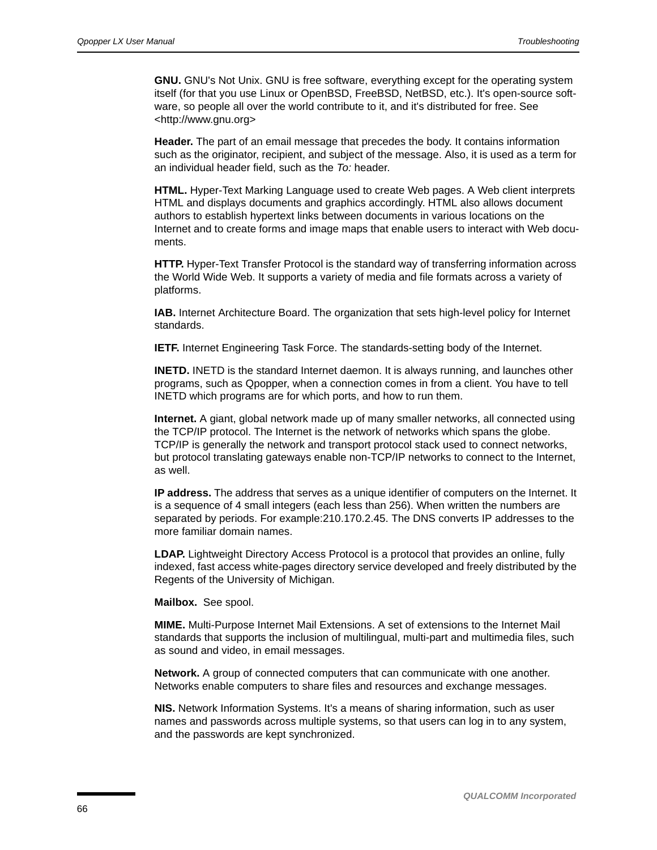**GNU.** [GNU's Not Unix. GNU is free software, everything except for the operating system](http://www.gnu.org)  [itself \(for that you use Linux or OpenBSD, FreeBSD, NetBSD, etc.\). It's open-source soft](http://www.gnu.org)ware, so people all over the world contribute to it, and it's distributed for free. See <http://www.gnu.org>

**Header.** The part of an email message that precedes the body. It contains information such as the originator, recipient, and subject of the message. Also, it is used as a term for an individual header field, such as the *To:* header.

**HTML.** Hyper-Text Marking Language used to create Web pages. A Web client interprets HTML and displays documents and graphics accordingly. HTML also allows document authors to establish hypertext links between documents in various locations on the Internet and to create forms and image maps that enable users to interact with Web documents.

**HTTP.** Hyper-Text Transfer Protocol is the standard way of transferring information across the World Wide Web. It supports a variety of media and file formats across a variety of platforms.

**IAB.** Internet Architecture Board. The organization that sets high-level policy for Internet standards.

**IETF.** Internet Engineering Task Force. The standards-setting body of the Internet.

**INETD.** INETD is the standard Internet daemon. It is always running, and launches other programs, such as Qpopper, when a connection comes in from a client. You have to tell INETD which programs are for which ports, and how to run them.

**Internet.** A giant, global network made up of many smaller networks, all connected using the TCP/IP protocol. The Internet is the network of networks which spans the globe. TCP/IP is generally the network and transport protocol stack used to connect networks, but protocol translating gateways enable non-TCP/IP networks to connect to the Internet, as well.

**IP address.** The address that serves as a unique identifier of computers on the Internet. It is a sequence of 4 small integers (each less than 256). When written the numbers are separated by periods. For example:210.170.2.45. The DNS converts IP addresses to the more familiar domain names.

**LDAP.** Lightweight Directory Access Protocol is a protocol that provides an online, fully indexed, fast access white-pages directory service developed and freely distributed by the Regents of the University of Michigan.

**Mailbox.** See spool.

**MIME.** Multi-Purpose Internet Mail Extensions. A set of extensions to the Internet Mail standards that supports the inclusion of multilingual, multi-part and multimedia files, such as sound and video, in email messages.

**Network.** A group of connected computers that can communicate with one another. Networks enable computers to share files and resources and exchange messages.

**NIS.** Network Information Systems. It's a means of sharing information, such as user names and passwords across multiple systems, so that users can log in to any system, and the passwords are kept synchronized.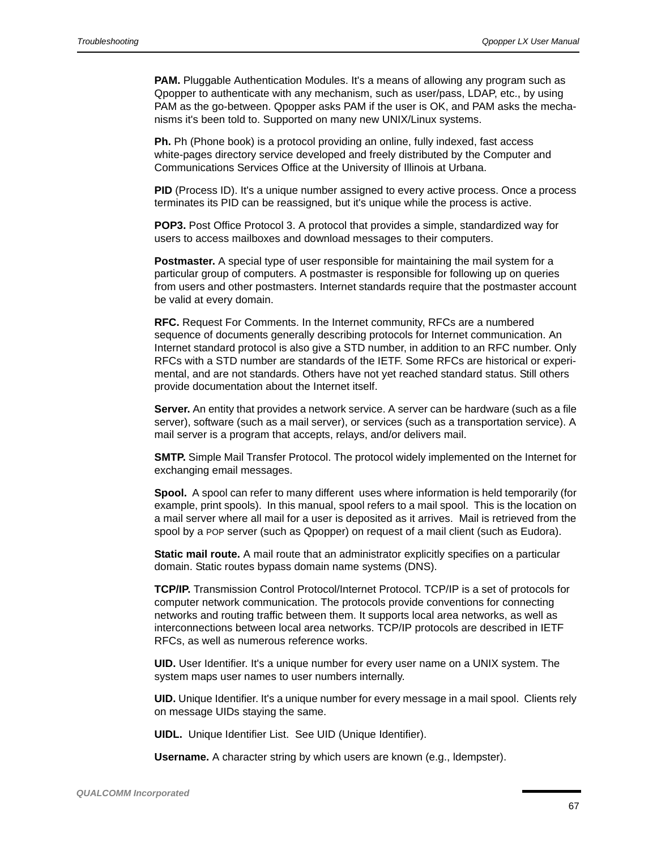**PAM.** Pluggable Authentication Modules. It's a means of allowing any program such as Qpopper to authenticate with any mechanism, such as user/pass, LDAP, etc., by using PAM as the go-between. Qpopper asks PAM if the user is OK, and PAM asks the mechanisms it's been told to. Supported on many new UNIX/Linux systems.

**Ph.** Ph (Phone book) is a protocol providing an online, fully indexed, fast access white-pages directory service developed and freely distributed by the Computer and Communications Services Office at the University of Illinois at Urbana.

**PID** (Process ID). It's a unique number assigned to every active process. Once a process terminates its PID can be reassigned, but it's unique while the process is active.

**POP3.** Post Office Protocol 3. A protocol that provides a simple, standardized way for users to access mailboxes and download messages to their computers.

**Postmaster.** A special type of user responsible for maintaining the mail system for a particular group of computers. A postmaster is responsible for following up on queries from users and other postmasters. Internet standards require that the postmaster account be valid at every domain.

**RFC.** Request For Comments. In the Internet community, RFCs are a numbered sequence of documents generally describing protocols for Internet communication. An Internet standard protocol is also give a STD number, in addition to an RFC number. Only RFCs with a STD number are standards of the IETF. Some RFCs are historical or experimental, and are not standards. Others have not yet reached standard status. Still others provide documentation about the Internet itself.

**Server.** An entity that provides a network service. A server can be hardware (such as a file server), software (such as a mail server), or services (such as a transportation service). A mail server is a program that accepts, relays, and/or delivers mail.

**SMTP.** Simple Mail Transfer Protocol. The protocol widely implemented on the Internet for exchanging email messages.

**Spool.** A spool can refer to many different uses where information is held temporarily (for example, print spools). In this manual, spool refers to a mail spool. This is the location on a mail server where all mail for a user is deposited as it arrives. Mail is retrieved from the spool by a POP server (such as Qpopper) on request of a mail client (such as Eudora).

**Static mail route.** A mail route that an administrator explicitly specifies on a particular domain. Static routes bypass domain name systems (DNS).

**TCP/IP.** Transmission Control Protocol/Internet Protocol. TCP/IP is a set of protocols for computer network communication. The protocols provide conventions for connecting networks and routing traffic between them. It supports local area networks, as well as interconnections between local area networks. TCP/IP protocols are described in IETF RFCs, as well as numerous reference works.

**UID.** User Identifier. It's a unique number for every user name on a UNIX system. The system maps user names to user numbers internally.

**UID.** Unique Identifier. It's a unique number for every message in a mail spool. Clients rely on message UIDs staying the same.

**UIDL.** Unique Identifier List. See UID (Unique Identifier).

**Username.** A character string by which users are known (e.g., ldempster).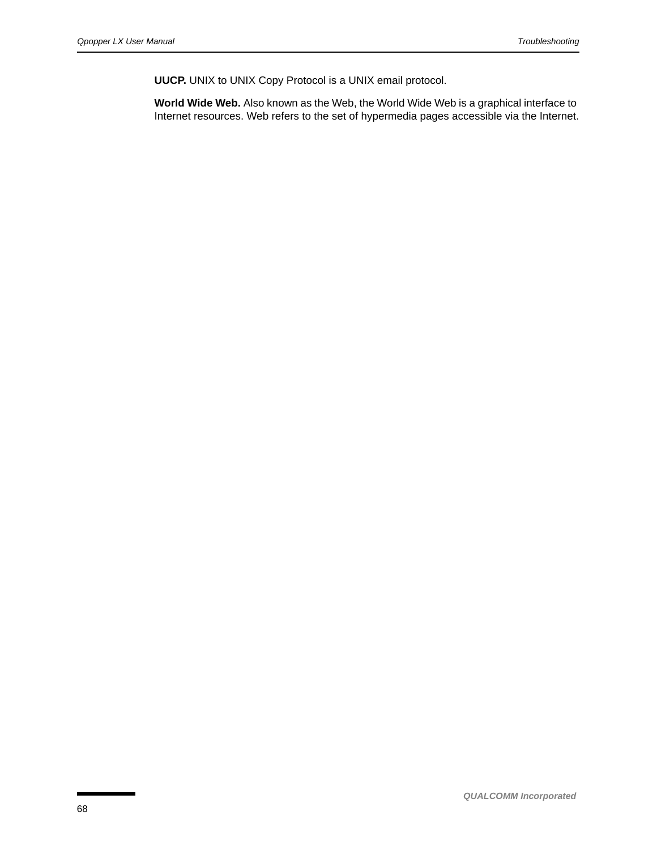**UUCP.** UNIX to UNIX Copy Protocol is a UNIX email protocol.

**World Wide Web.** Also known as the Web, the World Wide Web is a graphical interface to Internet resources. Web refers to the set of hypermedia pages accessible via the Internet.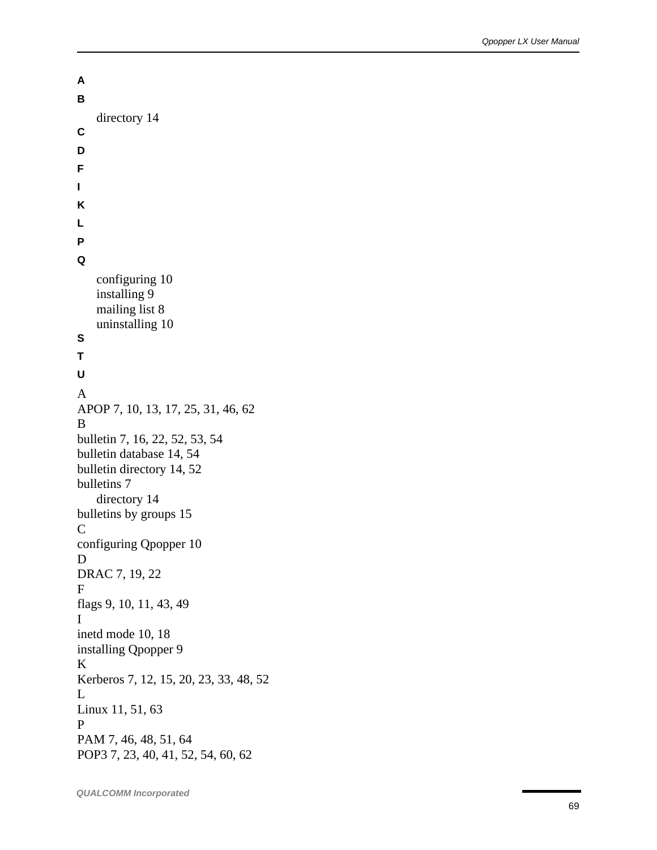```
A
B
   directory 14
C
D
F
I
K
L
P
Q
   configuring 10
   installing 9
   mailing list 8
   uninstalling 10
S
T
U
A
APOP 7, 10, 13, 17, 25, 31, 46, 62
B
bulletin 7, 16, 22, 52, 53, 54
bulletin database 14, 54
bulletin directory 14, 52
bulletins 7
   directory 14
bulletins by groups 15
C
configuring Qpopper 10
D
DRAC 7, 19, 22
F
flags 9, 10, 11, 43, 49
I
inetd mode 10, 18
installing Qpopper 9
K
Kerberos 7, 12, 15, 20, 23, 33, 48, 52
L
Linux 11, 51, 63
P
PAM 7, 46, 48, 51, 64
POP3 7, 23, 40, 41, 52, 54, 60, 62
```